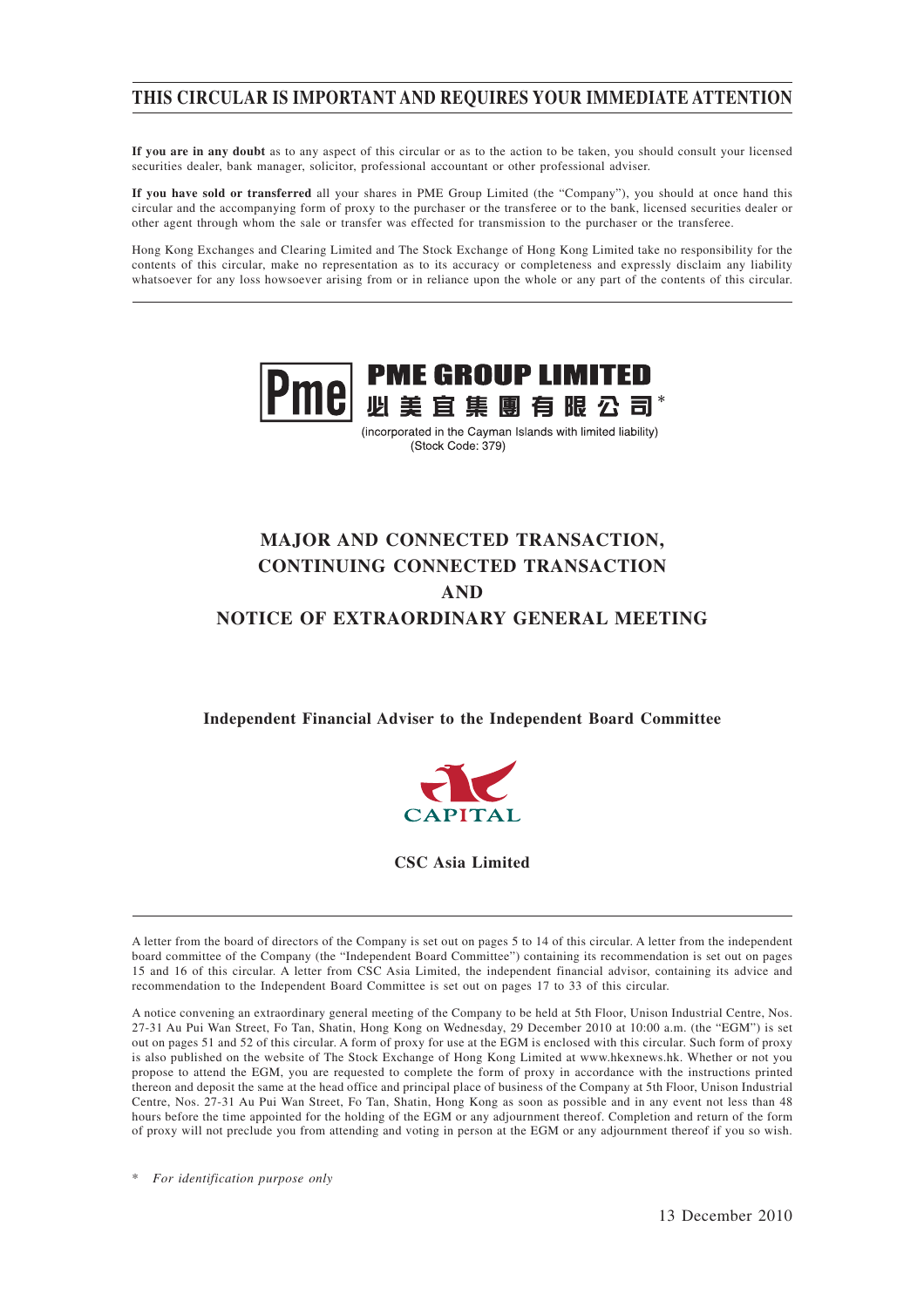# **THIS CIRCULAR IS IMPORTANT AND REQUIRES YOUR IMMEDIATE ATTENTION**

**If you are in any doubt** as to any aspect of this circular or as to the action to be taken, you should consult your licensed securities dealer, bank manager, solicitor, professional accountant or other professional adviser.

**If you have sold or transferred** all your shares in PME Group Limited (the "Company"), you should at once hand this circular and the accompanying form of proxy to the purchaser or the transferee or to the bank, licensed securities dealer or other agent through whom the sale or transfer was effected for transmission to the purchaser or the transferee.

Hong Kong Exchanges and Clearing Limited and The Stock Exchange of Hong Kong Limited take no responsibility for the contents of this circular, make no representation as to its accuracy or completeness and expressly disclaim any liability whatsoever for any loss howsoever arising from or in reliance upon the whole or any part of the contents of this circular.



(incorporated in the Cayman Islands with limited liability) (Stock Code: 379)

# **MAJOR AND CONNECTED TRANSACTION, CONTINUING CONNECTED TRANSACTION AND NOTICE OF EXTRAORDINARY GENERAL MEETING**

**Independent Financial Adviser to the Independent Board Committee**



**CSC Asia Limited**

A letter from the board of directors of the Company is set out on pages 5 to 14 of this circular. A letter from the independent board committee of the Company (the "Independent Board Committee") containing its recommendation is set out on pages 15 and 16 of this circular. A letter from CSC Asia Limited, the independent financial advisor, containing its advice and recommendation to the Independent Board Committee is set out on pages 17 to 33 of this circular.

A notice convening an extraordinary general meeting of the Company to be held at 5th Floor, Unison Industrial Centre, Nos. 27-31 Au Pui Wan Street, Fo Tan, Shatin, Hong Kong on Wednesday, 29 December 2010 at 10:00 a.m. (the "EGM") is set out on pages 51 and 52 of this circular. A form of proxy for use at the EGM is enclosed with this circular. Such form of proxy is also published on the website of The Stock Exchange of Hong Kong Limited at www.hkexnews.hk. Whether or not you propose to attend the EGM, you are requested to complete the form of proxy in accordance with the instructions printed thereon and deposit the same at the head office and principal place of business of the Company at 5th Floor, Unison Industrial Centre, Nos. 27-31 Au Pui Wan Street, Fo Tan, Shatin, Hong Kong as soon as possible and in any event not less than 48 hours before the time appointed for the holding of the EGM or any adjournment thereof. Completion and return of the form of proxy will not preclude you from attending and voting in person at the EGM or any adjournment thereof if you so wish.

\* *For identification purpose only*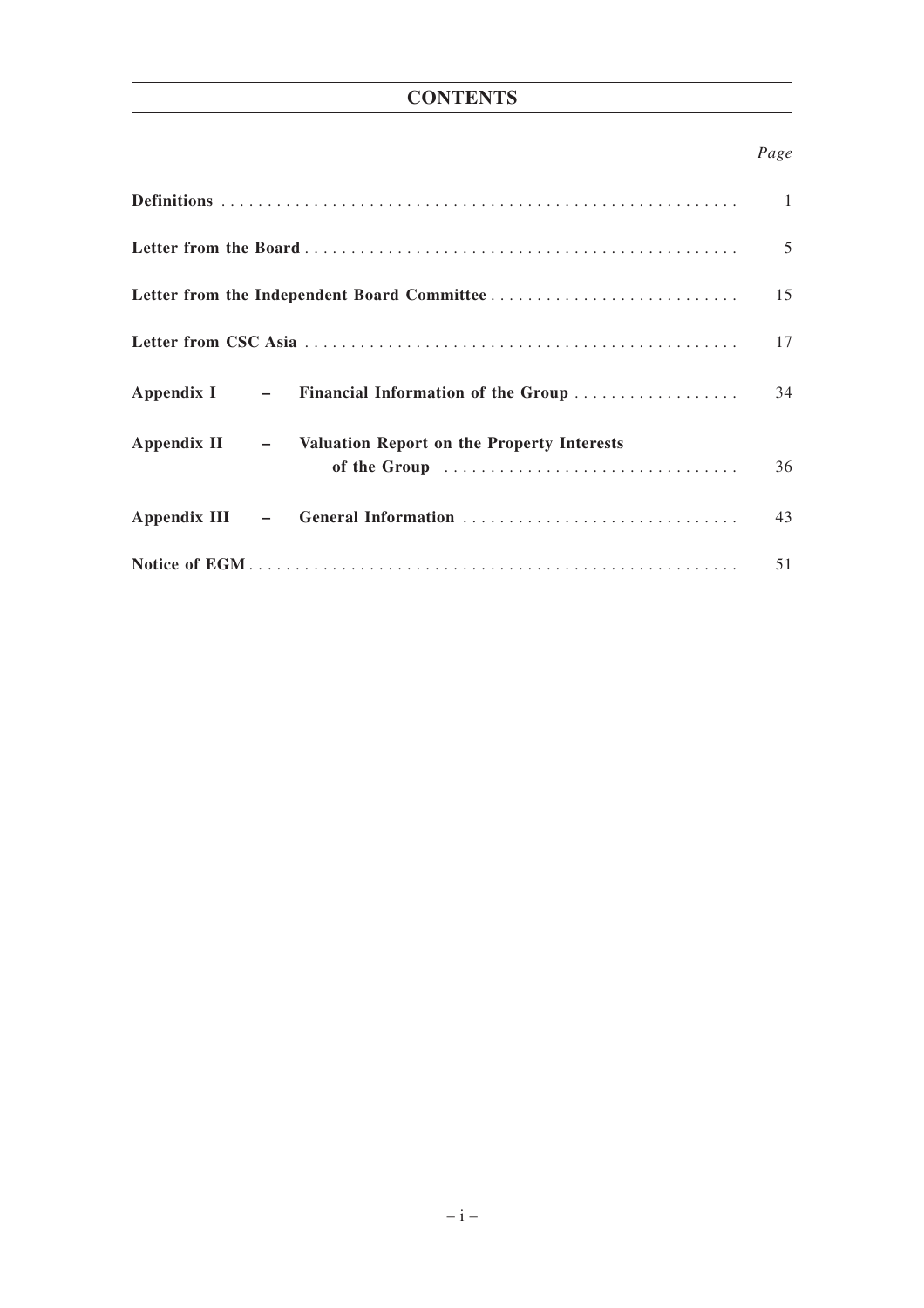# **CONTENTS**

# *Page*

|                                                                          | 5  |
|--------------------------------------------------------------------------|----|
|                                                                          | 15 |
|                                                                          | 17 |
| Appendix I – Financial Information of the Group                          | 34 |
| Appendix II - Valuation Report on the Property Interests<br>of the Group | 36 |
|                                                                          | 43 |
|                                                                          | 51 |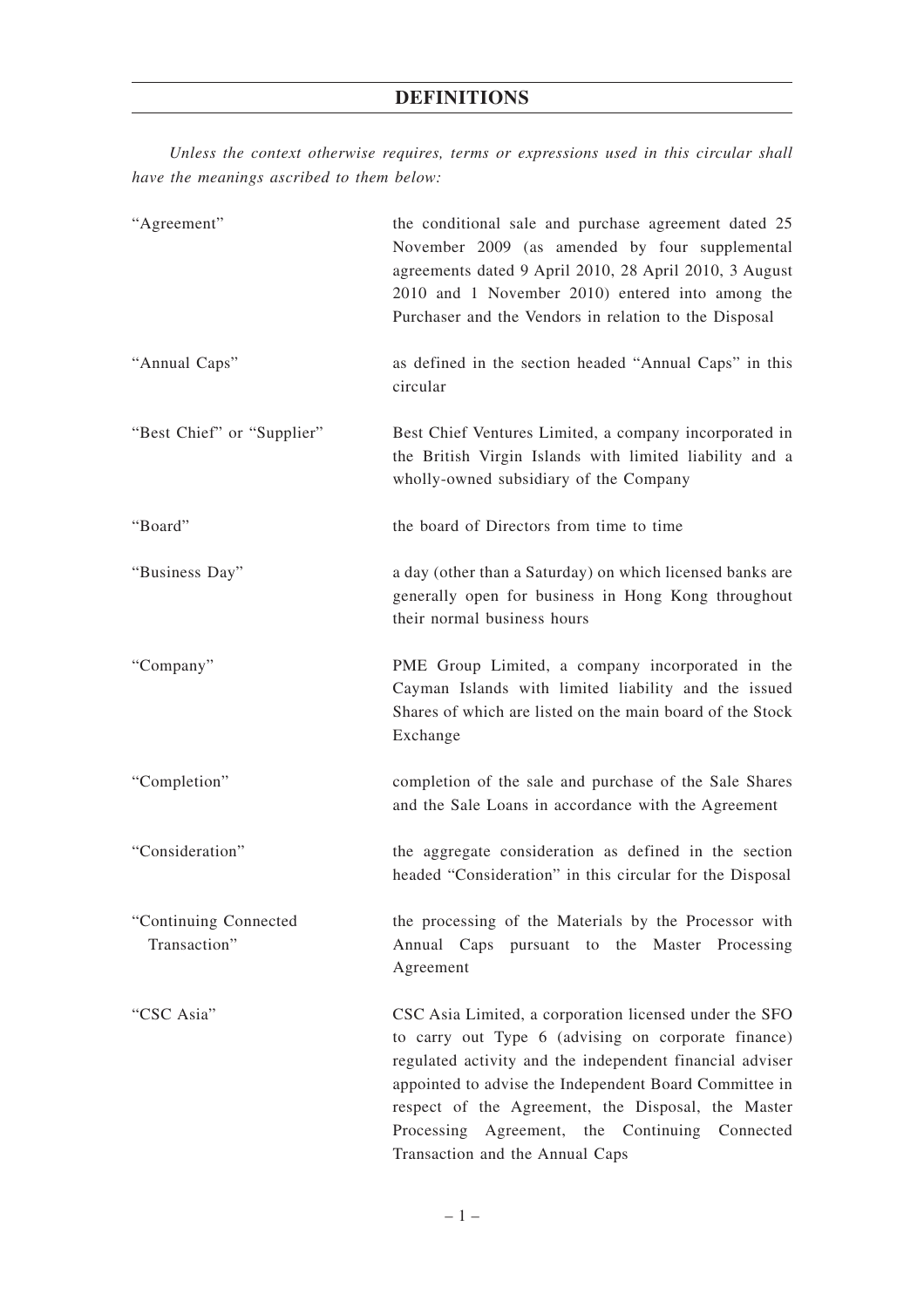*Unless the context otherwise requires, terms or expressions used in this circular shall have the meanings ascribed to them below:*

| "Agreement"                           | the conditional sale and purchase agreement dated 25<br>November 2009 (as amended by four supplemental<br>agreements dated 9 April 2010, 28 April 2010, 3 August<br>2010 and 1 November 2010) entered into among the<br>Purchaser and the Vendors in relation to the Disposal                                                                                                  |
|---------------------------------------|--------------------------------------------------------------------------------------------------------------------------------------------------------------------------------------------------------------------------------------------------------------------------------------------------------------------------------------------------------------------------------|
| "Annual Caps"                         | as defined in the section headed "Annual Caps" in this<br>circular                                                                                                                                                                                                                                                                                                             |
| "Best Chief" or "Supplier"            | Best Chief Ventures Limited, a company incorporated in<br>the British Virgin Islands with limited liability and a<br>wholly-owned subsidiary of the Company                                                                                                                                                                                                                    |
| "Board"                               | the board of Directors from time to time                                                                                                                                                                                                                                                                                                                                       |
| "Business Day"                        | a day (other than a Saturday) on which licensed banks are<br>generally open for business in Hong Kong throughout<br>their normal business hours                                                                                                                                                                                                                                |
| "Company"                             | PME Group Limited, a company incorporated in the<br>Cayman Islands with limited liability and the issued<br>Shares of which are listed on the main board of the Stock<br>Exchange                                                                                                                                                                                              |
| "Completion"                          | completion of the sale and purchase of the Sale Shares<br>and the Sale Loans in accordance with the Agreement                                                                                                                                                                                                                                                                  |
| "Consideration"                       | the aggregate consideration as defined in the section<br>headed "Consideration" in this circular for the Disposal                                                                                                                                                                                                                                                              |
| "Continuing Connected<br>Transaction" | the processing of the Materials by the Processor with<br>Annual Caps pursuant to the Master Processing<br>Agreement                                                                                                                                                                                                                                                            |
| "CSC Asia"                            | CSC Asia Limited, a corporation licensed under the SFO<br>to carry out Type 6 (advising on corporate finance)<br>regulated activity and the independent financial adviser<br>appointed to advise the Independent Board Committee in<br>respect of the Agreement, the Disposal, the Master<br>Processing Agreement, the Continuing Connected<br>Transaction and the Annual Caps |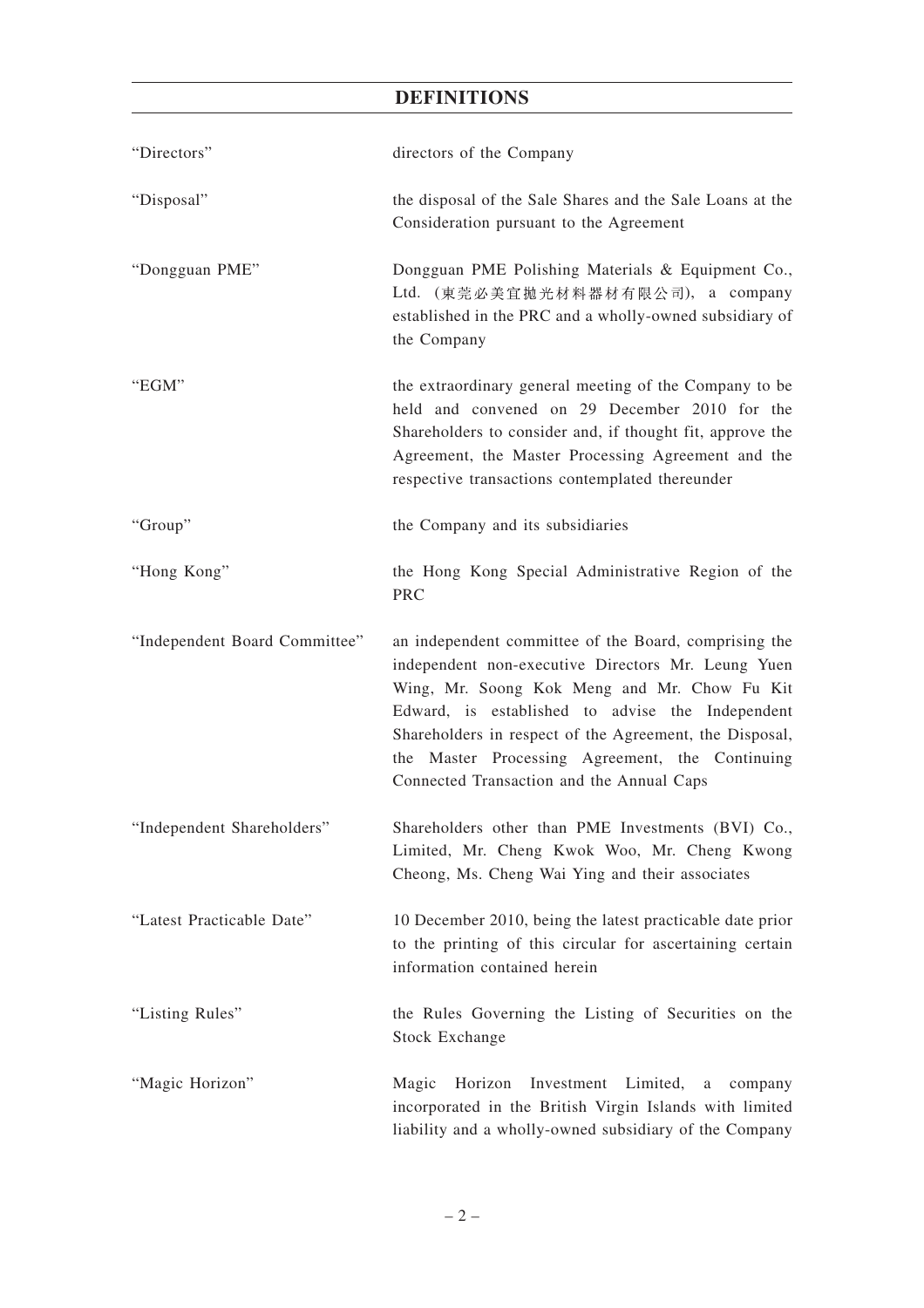| "Directors"                   | directors of the Company                                                                                                                                                                                                                                                                                                                                                   |
|-------------------------------|----------------------------------------------------------------------------------------------------------------------------------------------------------------------------------------------------------------------------------------------------------------------------------------------------------------------------------------------------------------------------|
| "Disposal"                    | the disposal of the Sale Shares and the Sale Loans at the<br>Consideration pursuant to the Agreement                                                                                                                                                                                                                                                                       |
| "Dongguan PME"                | Dongguan PME Polishing Materials & Equipment Co.,<br>Ltd. (東莞必美宜抛光材料器材有限公司), a company<br>established in the PRC and a wholly-owned subsidiary of<br>the Company                                                                                                                                                                                                           |
| "EGM"                         | the extraordinary general meeting of the Company to be<br>held and convened on 29 December 2010 for the<br>Shareholders to consider and, if thought fit, approve the<br>Agreement, the Master Processing Agreement and the<br>respective transactions contemplated thereunder                                                                                              |
| "Group"                       | the Company and its subsidiaries                                                                                                                                                                                                                                                                                                                                           |
| "Hong Kong"                   | the Hong Kong Special Administrative Region of the<br>PRC                                                                                                                                                                                                                                                                                                                  |
| "Independent Board Committee" | an independent committee of the Board, comprising the<br>independent non-executive Directors Mr. Leung Yuen<br>Wing, Mr. Soong Kok Meng and Mr. Chow Fu Kit<br>Edward, is established to advise the Independent<br>Shareholders in respect of the Agreement, the Disposal,<br>the Master Processing Agreement, the Continuing<br>Connected Transaction and the Annual Caps |
| "Independent Shareholders"    | Shareholders other than PME Investments (BVI) Co.,<br>Limited, Mr. Cheng Kwok Woo, Mr. Cheng Kwong<br>Cheong, Ms. Cheng Wai Ying and their associates                                                                                                                                                                                                                      |
| "Latest Practicable Date"     | 10 December 2010, being the latest practicable date prior<br>to the printing of this circular for ascertaining certain<br>information contained herein                                                                                                                                                                                                                     |
| "Listing Rules"               | the Rules Governing the Listing of Securities on the<br><b>Stock Exchange</b>                                                                                                                                                                                                                                                                                              |
| "Magic Horizon"               | Horizon Investment Limited, a company<br>Magic<br>incorporated in the British Virgin Islands with limited<br>liability and a wholly-owned subsidiary of the Company                                                                                                                                                                                                        |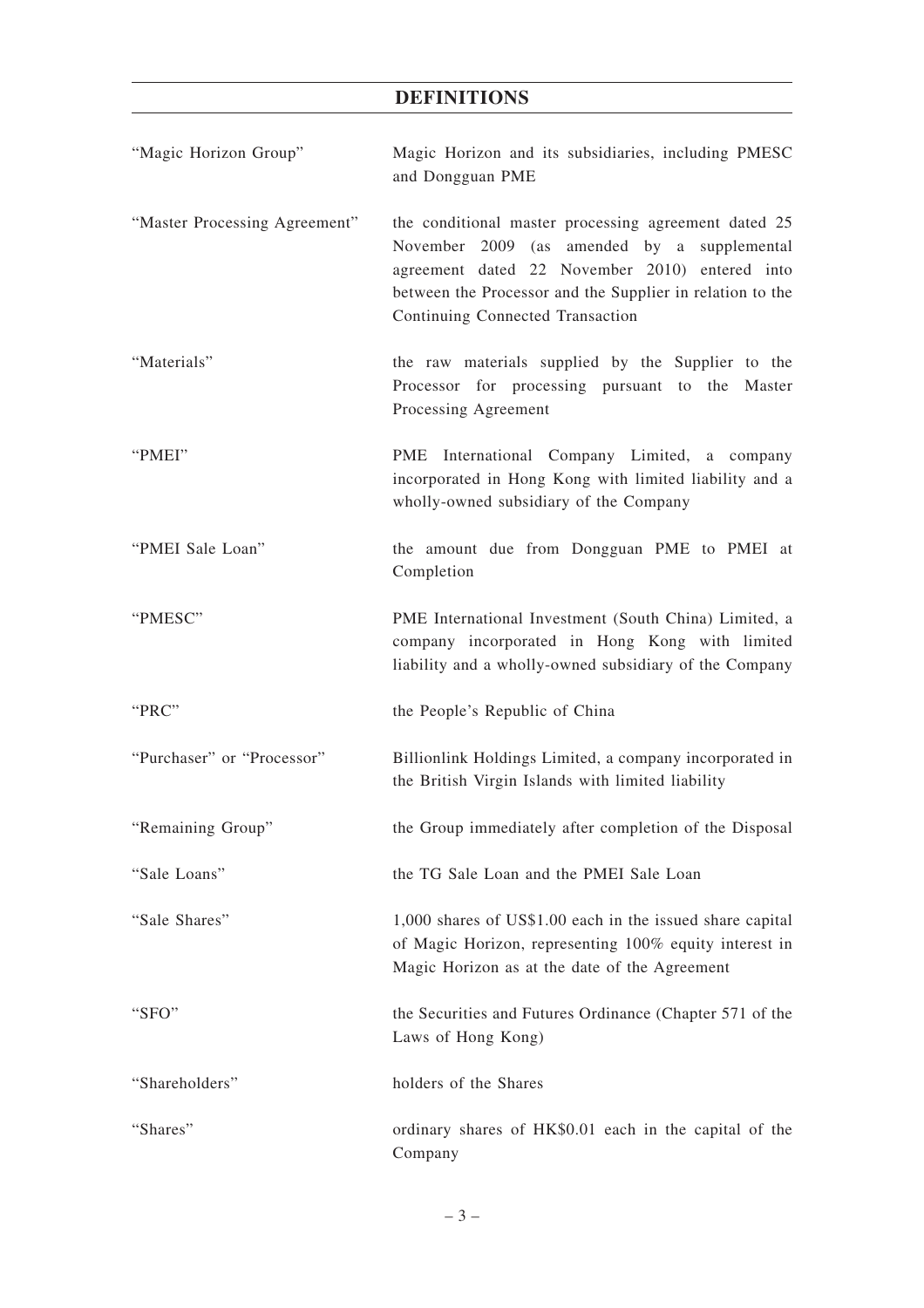| "Magic Horizon Group"         | Magic Horizon and its subsidiaries, including PMESC<br>and Dongguan PME                                                                                                                                                                                |
|-------------------------------|--------------------------------------------------------------------------------------------------------------------------------------------------------------------------------------------------------------------------------------------------------|
| "Master Processing Agreement" | the conditional master processing agreement dated 25<br>November 2009 (as amended by a supplemental<br>agreement dated 22 November 2010) entered into<br>between the Processor and the Supplier in relation to the<br>Continuing Connected Transaction |
| "Materials"                   | the raw materials supplied by the Supplier to the<br>Processor for processing pursuant to the Master<br>Processing Agreement                                                                                                                           |
| "PMEI"                        | PME International Company Limited, a company<br>incorporated in Hong Kong with limited liability and a<br>wholly-owned subsidiary of the Company                                                                                                       |
| "PMEI Sale Loan"              | the amount due from Dongguan PME to PMEI at<br>Completion                                                                                                                                                                                              |
| "PMESC"                       | PME International Investment (South China) Limited, a<br>company incorporated in Hong Kong with limited<br>liability and a wholly-owned subsidiary of the Company                                                                                      |
| "PRC"                         | the People's Republic of China                                                                                                                                                                                                                         |
| "Purchaser" or "Processor"    | Billionlink Holdings Limited, a company incorporated in<br>the British Virgin Islands with limited liability                                                                                                                                           |
| "Remaining Group"             | the Group immediately after completion of the Disposal                                                                                                                                                                                                 |
| "Sale Loans"                  | the TG Sale Loan and the PMEI Sale Loan                                                                                                                                                                                                                |
| "Sale Shares"                 | 1,000 shares of US\$1.00 each in the issued share capital<br>of Magic Horizon, representing 100% equity interest in<br>Magic Horizon as at the date of the Agreement                                                                                   |
| "SFO"                         | the Securities and Futures Ordinance (Chapter 571 of the<br>Laws of Hong Kong)                                                                                                                                                                         |
| "Shareholders"                | holders of the Shares                                                                                                                                                                                                                                  |
| "Shares"                      | ordinary shares of HK\$0.01 each in the capital of the<br>Company                                                                                                                                                                                      |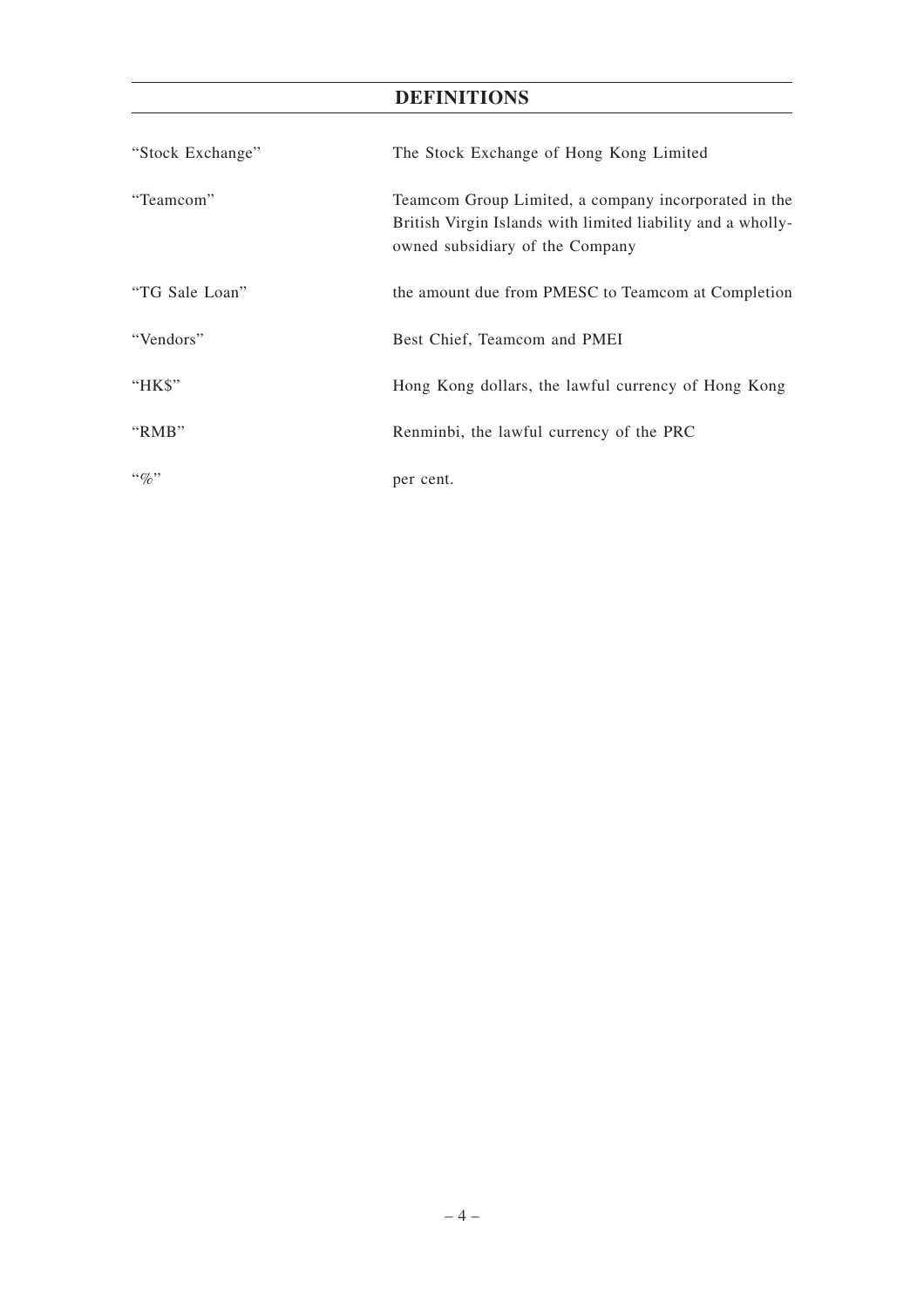| "Stock Exchange" | The Stock Exchange of Hong Kong Limited                                                                                                                |
|------------------|--------------------------------------------------------------------------------------------------------------------------------------------------------|
| "Teamcom"        | Teamcom Group Limited, a company incorporated in the<br>British Virgin Islands with limited liability and a wholly-<br>owned subsidiary of the Company |
| "TG Sale Loan"   | the amount due from PMESC to Teamcom at Completion                                                                                                     |
| "Vendors"        | Best Chief, Teamcom and PMEI                                                                                                                           |
| "HK\$"           | Hong Kong dollars, the lawful currency of Hong Kong                                                                                                    |
| "RMB"            | Renminbi, the lawful currency of the PRC                                                                                                               |
| $\lq\lq q_0$ "   | per cent.                                                                                                                                              |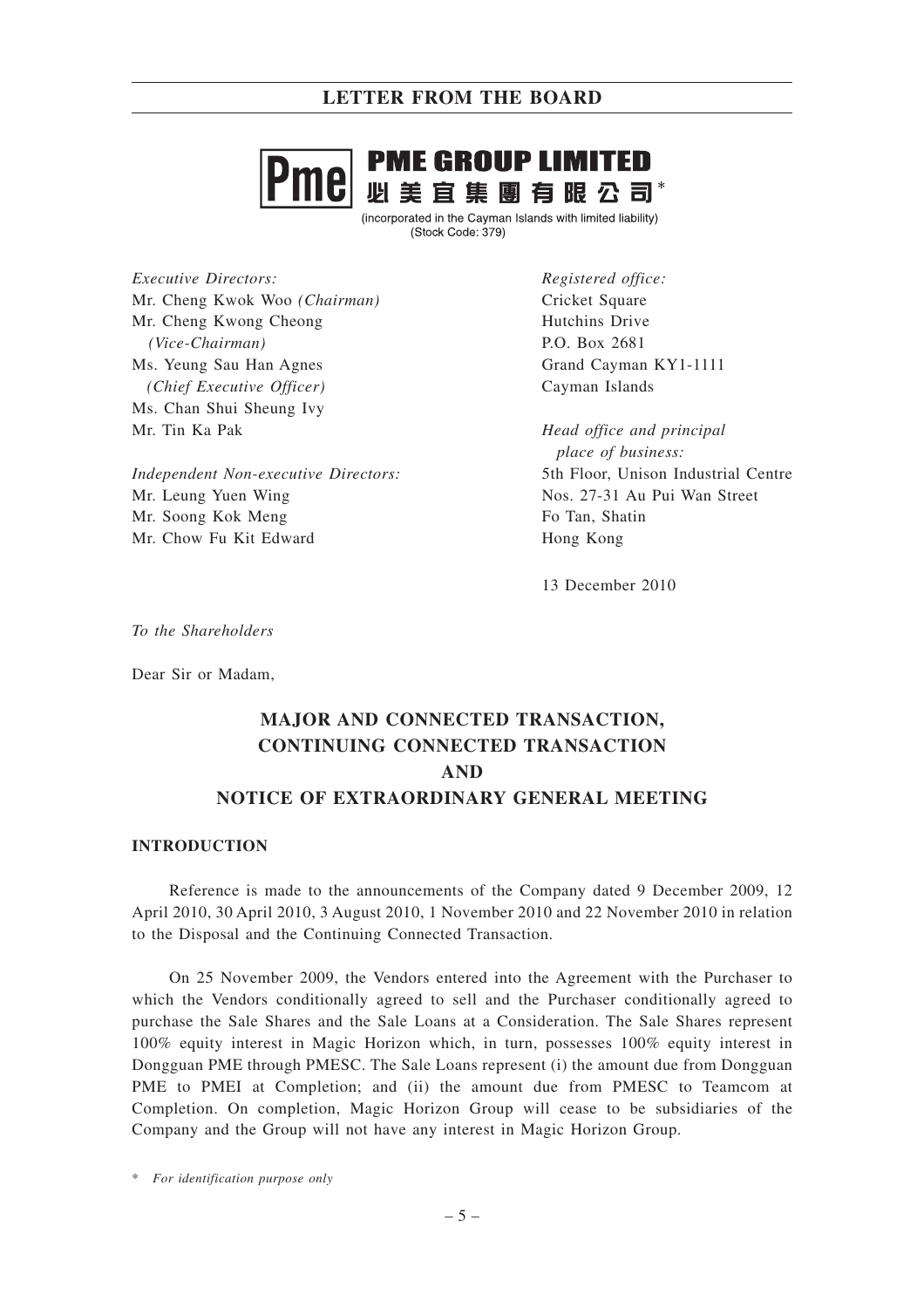

(incorporated in the Cayman Islands with limited liability) (Stock Code: 379)

*Executive Directors:* Mr. Cheng Kwok Woo *(Chairman)* Mr. Cheng Kwong Cheong *(Vice-Chairman)* Ms. Yeung Sau Han Agnes *(Chief Executive Officer)* Ms. Chan Shui Sheung Ivy Mr. Tin Ka Pak

*Independent Non-executive Directors:* Mr. Leung Yuen Wing Mr. Soong Kok Meng Mr. Chow Fu Kit Edward

*Registered office:* Cricket Square Hutchins Drive P.O. Box 2681 Grand Cayman KY1-1111 Cayman Islands

*Head office and principal place of business:* 5th Floor, Unison Industrial Centre Nos. 27-31 Au Pui Wan Street Fo Tan, Shatin Hong Kong

13 December 2010

*To the Shareholders*

Dear Sir or Madam,

# **MAJOR AND CONNECTED TRANSACTION, CONTINUING CONNECTED TRANSACTION AND NOTICE OF EXTRAORDINARY GENERAL MEETING**

#### **INTRODUCTION**

Reference is made to the announcements of the Company dated 9 December 2009, 12 April 2010, 30 April 2010, 3 August 2010, 1 November 2010 and 22 November 2010 in relation to the Disposal and the Continuing Connected Transaction.

On 25 November 2009, the Vendors entered into the Agreement with the Purchaser to which the Vendors conditionally agreed to sell and the Purchaser conditionally agreed to purchase the Sale Shares and the Sale Loans at a Consideration. The Sale Shares represent 100% equity interest in Magic Horizon which, in turn, possesses 100% equity interest in Dongguan PME through PMESC. The Sale Loans represent (i) the amount due from Dongguan PME to PMEI at Completion; and (ii) the amount due from PMESC to Teamcom at Completion. On completion, Magic Horizon Group will cease to be subsidiaries of the Company and the Group will not have any interest in Magic Horizon Group.

\* *For identification purpose only*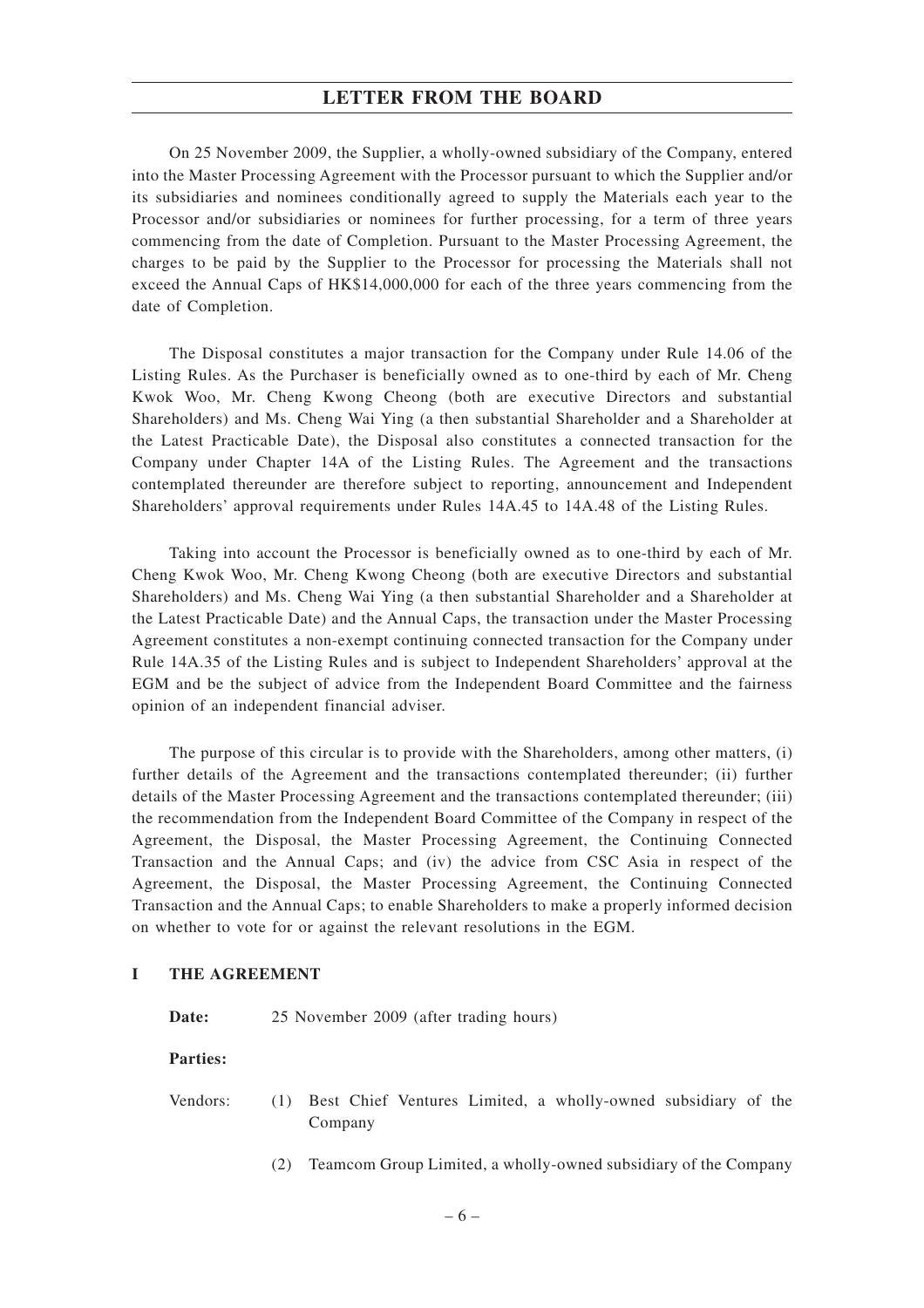On 25 November 2009, the Supplier, a wholly-owned subsidiary of the Company, entered into the Master Processing Agreement with the Processor pursuant to which the Supplier and/or its subsidiaries and nominees conditionally agreed to supply the Materials each year to the Processor and/or subsidiaries or nominees for further processing, for a term of three years commencing from the date of Completion. Pursuant to the Master Processing Agreement, the charges to be paid by the Supplier to the Processor for processing the Materials shall not exceed the Annual Caps of HK\$14,000,000 for each of the three years commencing from the date of Completion.

The Disposal constitutes a major transaction for the Company under Rule 14.06 of the Listing Rules. As the Purchaser is beneficially owned as to one-third by each of Mr. Cheng Kwok Woo, Mr. Cheng Kwong Cheong (both are executive Directors and substantial Shareholders) and Ms. Cheng Wai Ying (a then substantial Shareholder and a Shareholder at the Latest Practicable Date), the Disposal also constitutes a connected transaction for the Company under Chapter 14A of the Listing Rules. The Agreement and the transactions contemplated thereunder are therefore subject to reporting, announcement and Independent Shareholders' approval requirements under Rules 14A.45 to 14A.48 of the Listing Rules.

Taking into account the Processor is beneficially owned as to one-third by each of Mr. Cheng Kwok Woo, Mr. Cheng Kwong Cheong (both are executive Directors and substantial Shareholders) and Ms. Cheng Wai Ying (a then substantial Shareholder and a Shareholder at the Latest Practicable Date) and the Annual Caps, the transaction under the Master Processing Agreement constitutes a non-exempt continuing connected transaction for the Company under Rule 14A.35 of the Listing Rules and is subject to Independent Shareholders' approval at the EGM and be the subject of advice from the Independent Board Committee and the fairness opinion of an independent financial adviser.

The purpose of this circular is to provide with the Shareholders, among other matters, (i) further details of the Agreement and the transactions contemplated thereunder; (ii) further details of the Master Processing Agreement and the transactions contemplated thereunder; (iii) the recommendation from the Independent Board Committee of the Company in respect of the Agreement, the Disposal, the Master Processing Agreement, the Continuing Connected Transaction and the Annual Caps; and (iv) the advice from CSC Asia in respect of the Agreement, the Disposal, the Master Processing Agreement, the Continuing Connected Transaction and the Annual Caps; to enable Shareholders to make a properly informed decision on whether to vote for or against the relevant resolutions in the EGM.

# **I THE AGREEMENT**

Date: 25 November 2009 (after trading hours)

**Parties:**

- Vendors: (1) Best Chief Ventures Limited, a wholly-owned subsidiary of the Company
	- (2) Teamcom Group Limited, a wholly-owned subsidiary of the Company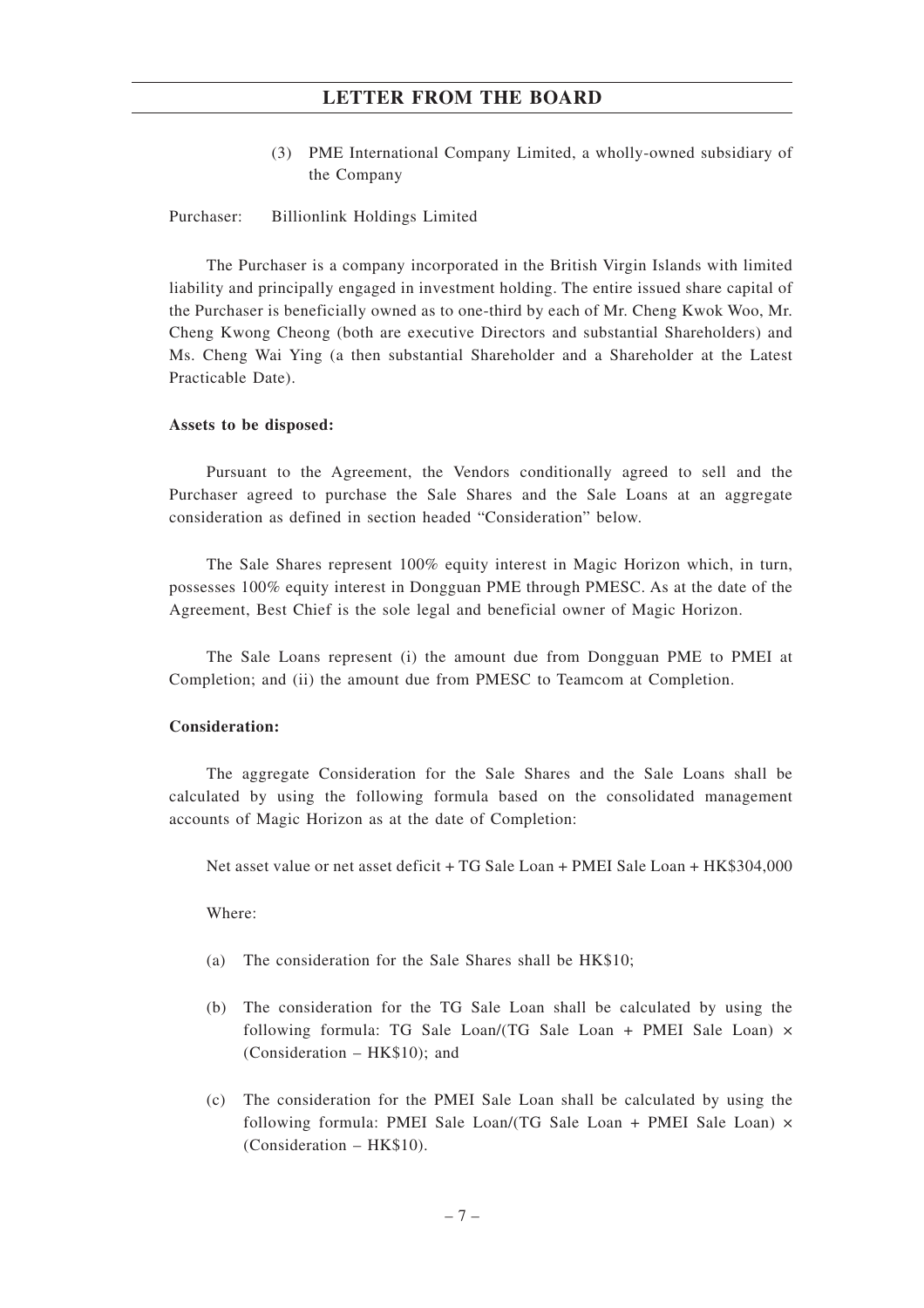(3) PME International Company Limited, a wholly-owned subsidiary of the Company

#### Purchaser: Billionlink Holdings Limited

The Purchaser is a company incorporated in the British Virgin Islands with limited liability and principally engaged in investment holding. The entire issued share capital of the Purchaser is beneficially owned as to one-third by each of Mr. Cheng Kwok Woo, Mr. Cheng Kwong Cheong (both are executive Directors and substantial Shareholders) and Ms. Cheng Wai Ying (a then substantial Shareholder and a Shareholder at the Latest Practicable Date).

#### **Assets to be disposed:**

Pursuant to the Agreement, the Vendors conditionally agreed to sell and the Purchaser agreed to purchase the Sale Shares and the Sale Loans at an aggregate consideration as defined in section headed "Consideration" below.

The Sale Shares represent 100% equity interest in Magic Horizon which, in turn, possesses 100% equity interest in Dongguan PME through PMESC. As at the date of the Agreement, Best Chief is the sole legal and beneficial owner of Magic Horizon.

The Sale Loans represent (i) the amount due from Dongguan PME to PMEI at Completion; and (ii) the amount due from PMESC to Teamcom at Completion.

#### **Consideration:**

The aggregate Consideration for the Sale Shares and the Sale Loans shall be calculated by using the following formula based on the consolidated management accounts of Magic Horizon as at the date of Completion:

Net asset value or net asset deficit + TG Sale Loan + PMEI Sale Loan + HK\$304,000

Where:

- (a) The consideration for the Sale Shares shall be HK\$10;
- (b) The consideration for the TG Sale Loan shall be calculated by using the following formula: TG Sale Loan/(TG Sale Loan + PMEI Sale Loan)  $\times$ (Consideration – HK\$10); and
- (c) The consideration for the PMEI Sale Loan shall be calculated by using the following formula: PMEI Sale Loan/(TG Sale Loan + PMEI Sale Loan)  $\times$ (Consideration – HK\$10).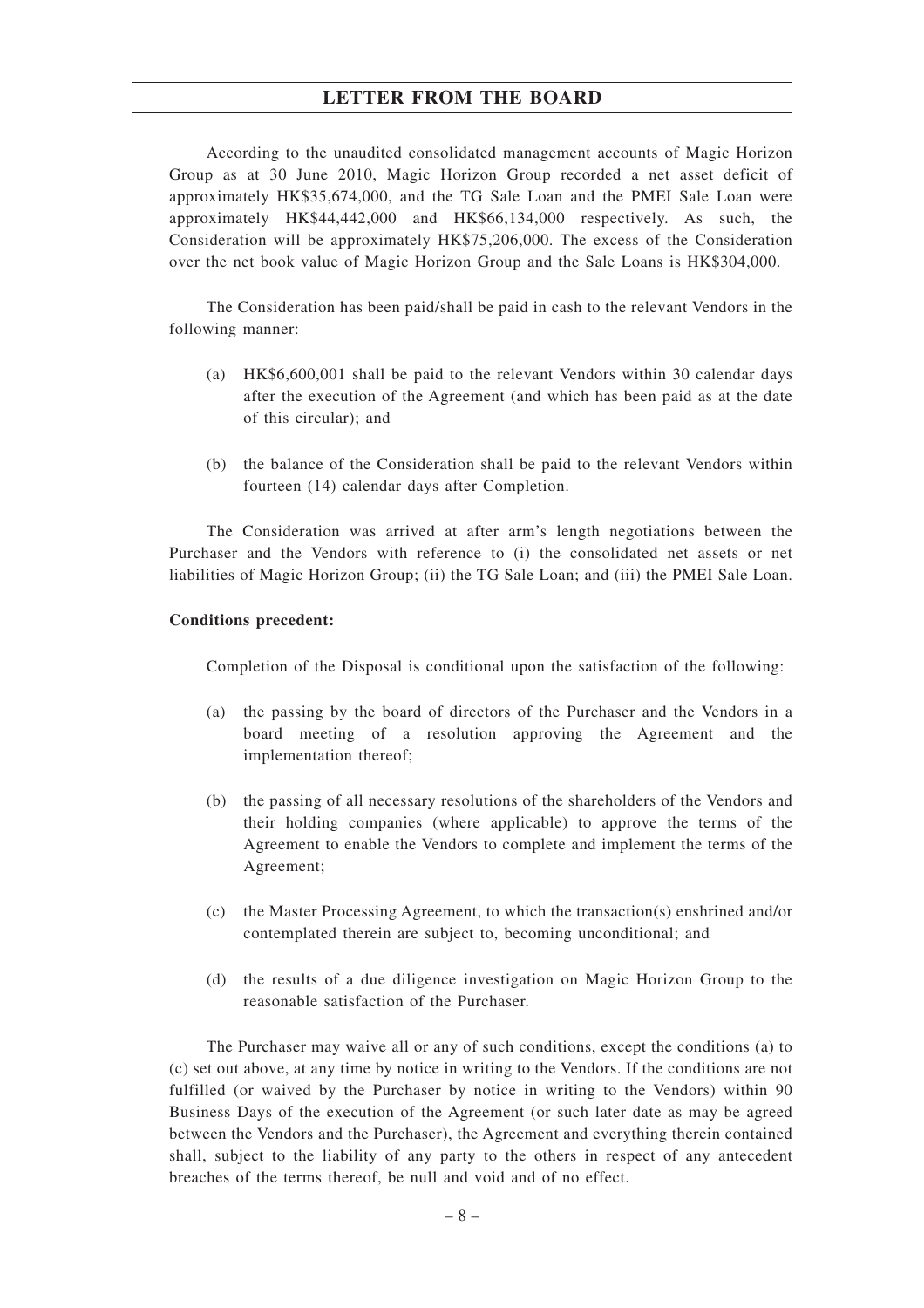According to the unaudited consolidated management accounts of Magic Horizon Group as at 30 June 2010, Magic Horizon Group recorded a net asset deficit of approximately HK\$35,674,000, and the TG Sale Loan and the PMEI Sale Loan were approximately HK\$44,442,000 and HK\$66,134,000 respectively. As such, the Consideration will be approximately HK\$75,206,000. The excess of the Consideration over the net book value of Magic Horizon Group and the Sale Loans is HK\$304,000.

The Consideration has been paid/shall be paid in cash to the relevant Vendors in the following manner:

- (a) HK\$6,600,001 shall be paid to the relevant Vendors within 30 calendar days after the execution of the Agreement (and which has been paid as at the date of this circular); and
- (b) the balance of the Consideration shall be paid to the relevant Vendors within fourteen (14) calendar days after Completion.

The Consideration was arrived at after arm's length negotiations between the Purchaser and the Vendors with reference to (i) the consolidated net assets or net liabilities of Magic Horizon Group; (ii) the TG Sale Loan; and (iii) the PMEI Sale Loan.

#### **Conditions precedent:**

Completion of the Disposal is conditional upon the satisfaction of the following:

- (a) the passing by the board of directors of the Purchaser and the Vendors in a board meeting of a resolution approving the Agreement and the implementation thereof;
- (b) the passing of all necessary resolutions of the shareholders of the Vendors and their holding companies (where applicable) to approve the terms of the Agreement to enable the Vendors to complete and implement the terms of the Agreement;
- (c) the Master Processing Agreement, to which the transaction(s) enshrined and/or contemplated therein are subject to, becoming unconditional; and
- (d) the results of a due diligence investigation on Magic Horizon Group to the reasonable satisfaction of the Purchaser.

The Purchaser may waive all or any of such conditions, except the conditions (a) to (c) set out above, at any time by notice in writing to the Vendors. If the conditions are not fulfilled (or waived by the Purchaser by notice in writing to the Vendors) within 90 Business Days of the execution of the Agreement (or such later date as may be agreed between the Vendors and the Purchaser), the Agreement and everything therein contained shall, subject to the liability of any party to the others in respect of any antecedent breaches of the terms thereof, be null and void and of no effect.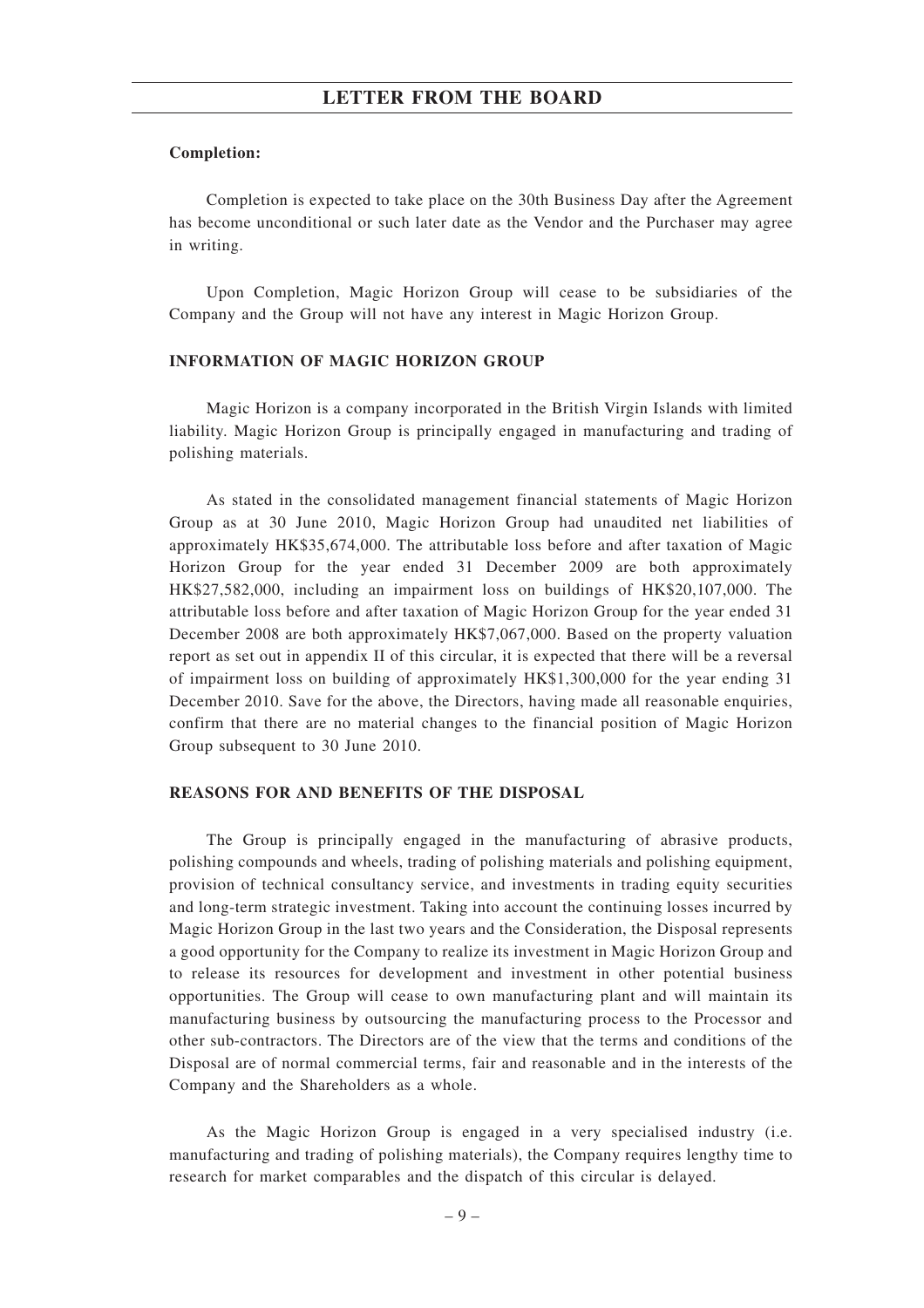#### **Completion:**

Completion is expected to take place on the 30th Business Day after the Agreement has become unconditional or such later date as the Vendor and the Purchaser may agree in writing.

Upon Completion, Magic Horizon Group will cease to be subsidiaries of the Company and the Group will not have any interest in Magic Horizon Group.

### **INFORMATION OF MAGIC HORIZON GROUP**

Magic Horizon is a company incorporated in the British Virgin Islands with limited liability. Magic Horizon Group is principally engaged in manufacturing and trading of polishing materials.

As stated in the consolidated management financial statements of Magic Horizon Group as at 30 June 2010, Magic Horizon Group had unaudited net liabilities of approximately HK\$35,674,000. The attributable loss before and after taxation of Magic Horizon Group for the year ended 31 December 2009 are both approximately HK\$27,582,000, including an impairment loss on buildings of HK\$20,107,000. The attributable loss before and after taxation of Magic Horizon Group for the year ended 31 December 2008 are both approximately HK\$7,067,000. Based on the property valuation report as set out in appendix II of this circular, it is expected that there will be a reversal of impairment loss on building of approximately HK\$1,300,000 for the year ending 31 December 2010. Save for the above, the Directors, having made all reasonable enquiries, confirm that there are no material changes to the financial position of Magic Horizon Group subsequent to 30 June 2010.

## **REASONS FOR AND BENEFITS OF THE DISPOSAL**

The Group is principally engaged in the manufacturing of abrasive products, polishing compounds and wheels, trading of polishing materials and polishing equipment, provision of technical consultancy service, and investments in trading equity securities and long-term strategic investment. Taking into account the continuing losses incurred by Magic Horizon Group in the last two years and the Consideration, the Disposal represents a good opportunity for the Company to realize its investment in Magic Horizon Group and to release its resources for development and investment in other potential business opportunities. The Group will cease to own manufacturing plant and will maintain its manufacturing business by outsourcing the manufacturing process to the Processor and other sub-contractors. The Directors are of the view that the terms and conditions of the Disposal are of normal commercial terms, fair and reasonable and in the interests of the Company and the Shareholders as a whole.

As the Magic Horizon Group is engaged in a very specialised industry (i.e. manufacturing and trading of polishing materials), the Company requires lengthy time to research for market comparables and the dispatch of this circular is delayed.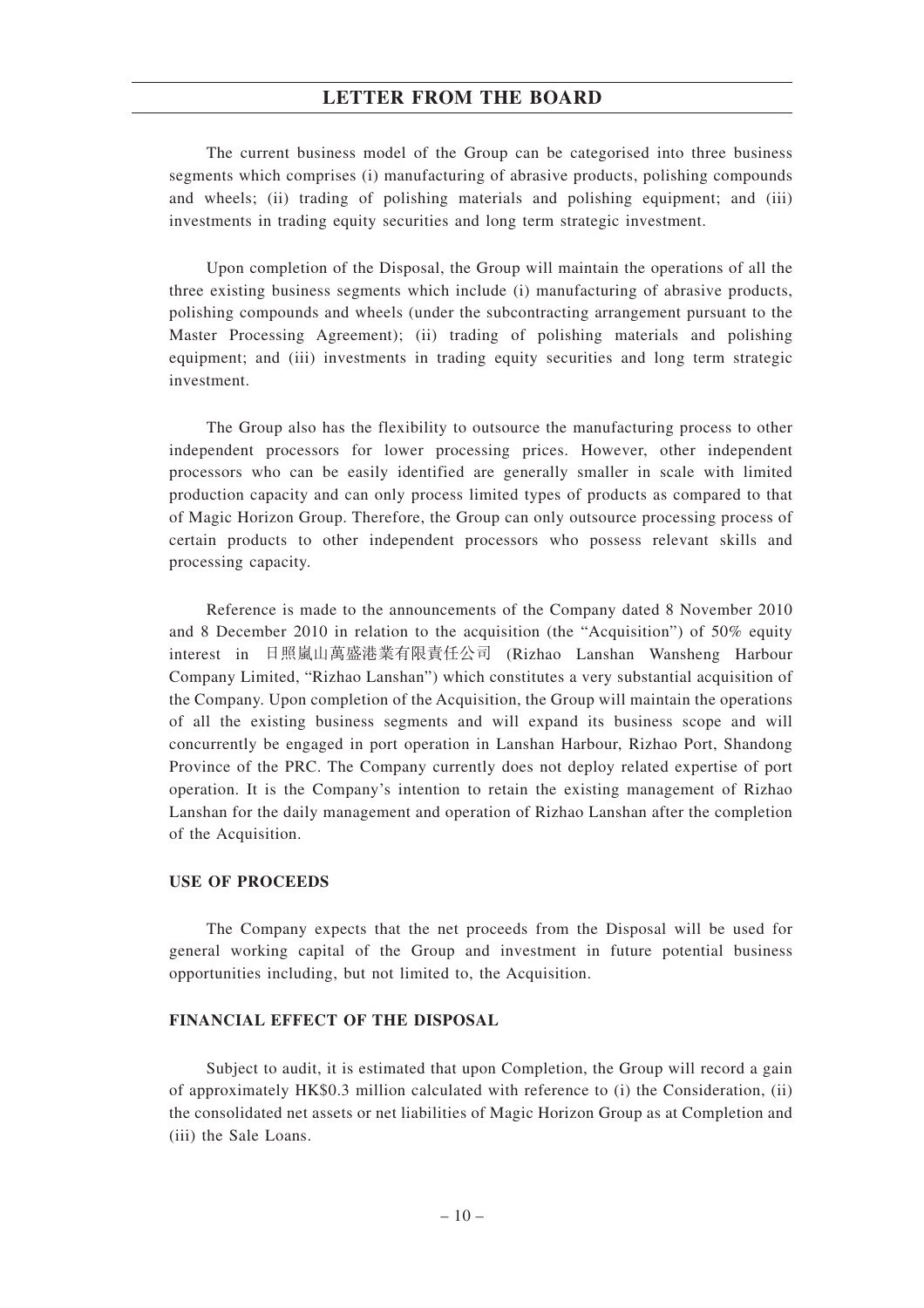The current business model of the Group can be categorised into three business segments which comprises (i) manufacturing of abrasive products, polishing compounds and wheels; (ii) trading of polishing materials and polishing equipment; and (iii) investments in trading equity securities and long term strategic investment.

Upon completion of the Disposal, the Group will maintain the operations of all the three existing business segments which include (i) manufacturing of abrasive products, polishing compounds and wheels (under the subcontracting arrangement pursuant to the Master Processing Agreement); (ii) trading of polishing materials and polishing equipment; and (iii) investments in trading equity securities and long term strategic investment.

The Group also has the flexibility to outsource the manufacturing process to other independent processors for lower processing prices. However, other independent processors who can be easily identified are generally smaller in scale with limited production capacity and can only process limited types of products as compared to that of Magic Horizon Group. Therefore, the Group can only outsource processing process of certain products to other independent processors who possess relevant skills and processing capacity.

Reference is made to the announcements of the Company dated 8 November 2010 and 8 December 2010 in relation to the acquisition (the "Acquisition") of 50% equity interest in 日照嵐山萬盛港業有限責任公司 (Rizhao Lanshan Wansheng Harbour Company Limited, "Rizhao Lanshan") which constitutes a very substantial acquisition of the Company. Upon completion of the Acquisition, the Group will maintain the operations of all the existing business segments and will expand its business scope and will concurrently be engaged in port operation in Lanshan Harbour, Rizhao Port, Shandong Province of the PRC. The Company currently does not deploy related expertise of port operation. It is the Company's intention to retain the existing management of Rizhao Lanshan for the daily management and operation of Rizhao Lanshan after the completion of the Acquisition.

#### **USE OF PROCEEDS**

The Company expects that the net proceeds from the Disposal will be used for general working capital of the Group and investment in future potential business opportunities including, but not limited to, the Acquisition.

#### **FINANCIAL EFFECT OF THE DISPOSAL**

Subject to audit, it is estimated that upon Completion, the Group will record a gain of approximately HK\$0.3 million calculated with reference to (i) the Consideration, (ii) the consolidated net assets or net liabilities of Magic Horizon Group as at Completion and (iii) the Sale Loans.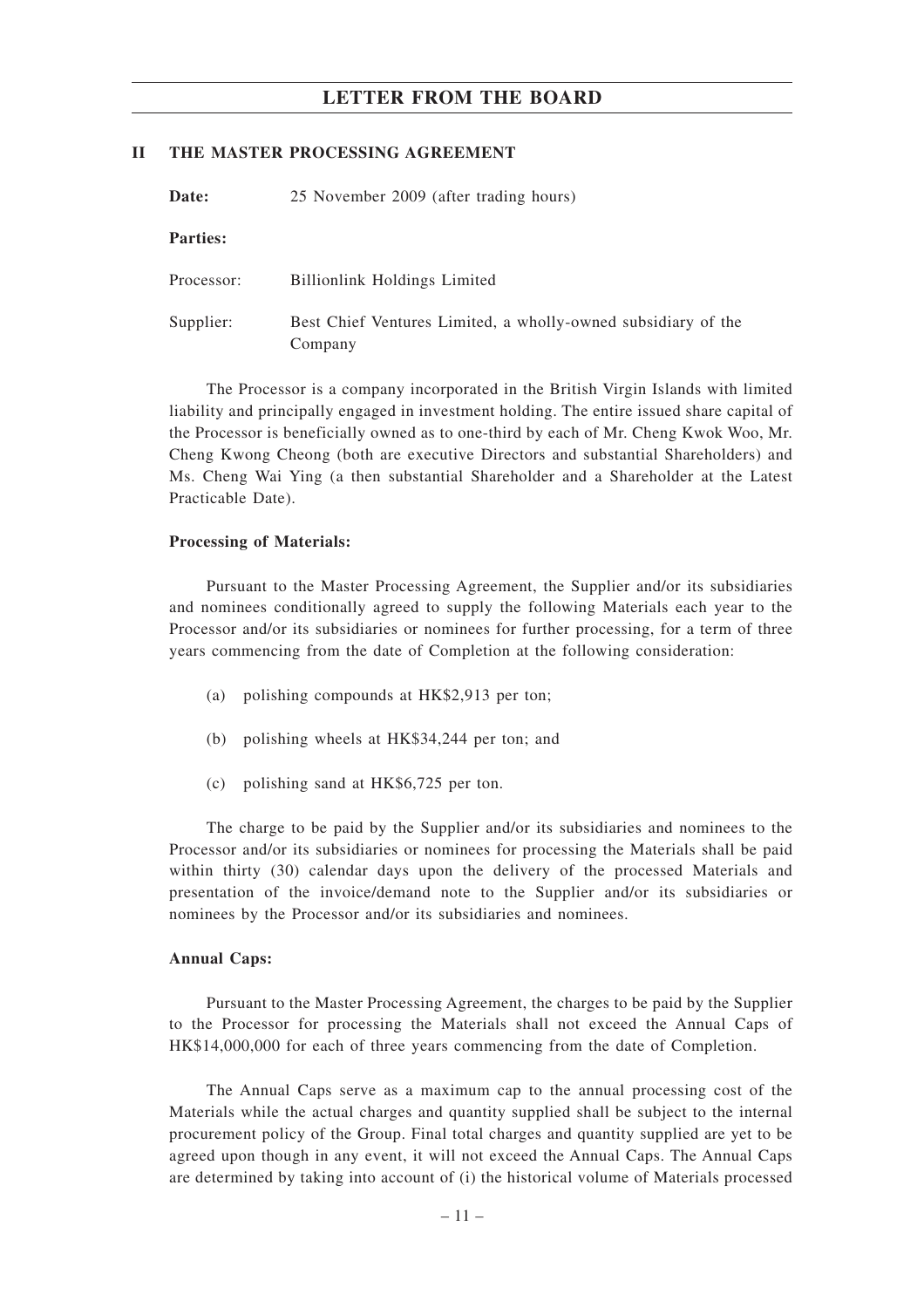#### **II THE MASTER PROCESSING AGREEMENT**

| 25 November 2009 (after trading hours)<br>Date: |                                                                          |  |
|-------------------------------------------------|--------------------------------------------------------------------------|--|
| <b>Parties:</b>                                 |                                                                          |  |
| Processor:                                      | <b>Billionlink Holdings Limited</b>                                      |  |
| Supplier:                                       | Best Chief Ventures Limited, a wholly-owned subsidiary of the<br>Company |  |

The Processor is a company incorporated in the British Virgin Islands with limited liability and principally engaged in investment holding. The entire issued share capital of the Processor is beneficially owned as to one-third by each of Mr. Cheng Kwok Woo, Mr. Cheng Kwong Cheong (both are executive Directors and substantial Shareholders) and Ms. Cheng Wai Ying (a then substantial Shareholder and a Shareholder at the Latest Practicable Date).

#### **Processing of Materials:**

Pursuant to the Master Processing Agreement, the Supplier and/or its subsidiaries and nominees conditionally agreed to supply the following Materials each year to the Processor and/or its subsidiaries or nominees for further processing, for a term of three years commencing from the date of Completion at the following consideration:

- (a) polishing compounds at HK\$2,913 per ton;
- (b) polishing wheels at HK\$34,244 per ton; and
- (c) polishing sand at HK\$6,725 per ton.

The charge to be paid by the Supplier and/or its subsidiaries and nominees to the Processor and/or its subsidiaries or nominees for processing the Materials shall be paid within thirty (30) calendar days upon the delivery of the processed Materials and presentation of the invoice/demand note to the Supplier and/or its subsidiaries or nominees by the Processor and/or its subsidiaries and nominees.

#### **Annual Caps:**

Pursuant to the Master Processing Agreement, the charges to be paid by the Supplier to the Processor for processing the Materials shall not exceed the Annual Caps of HK\$14,000,000 for each of three years commencing from the date of Completion.

The Annual Caps serve as a maximum cap to the annual processing cost of the Materials while the actual charges and quantity supplied shall be subject to the internal procurement policy of the Group. Final total charges and quantity supplied are yet to be agreed upon though in any event, it will not exceed the Annual Caps. The Annual Caps are determined by taking into account of (i) the historical volume of Materials processed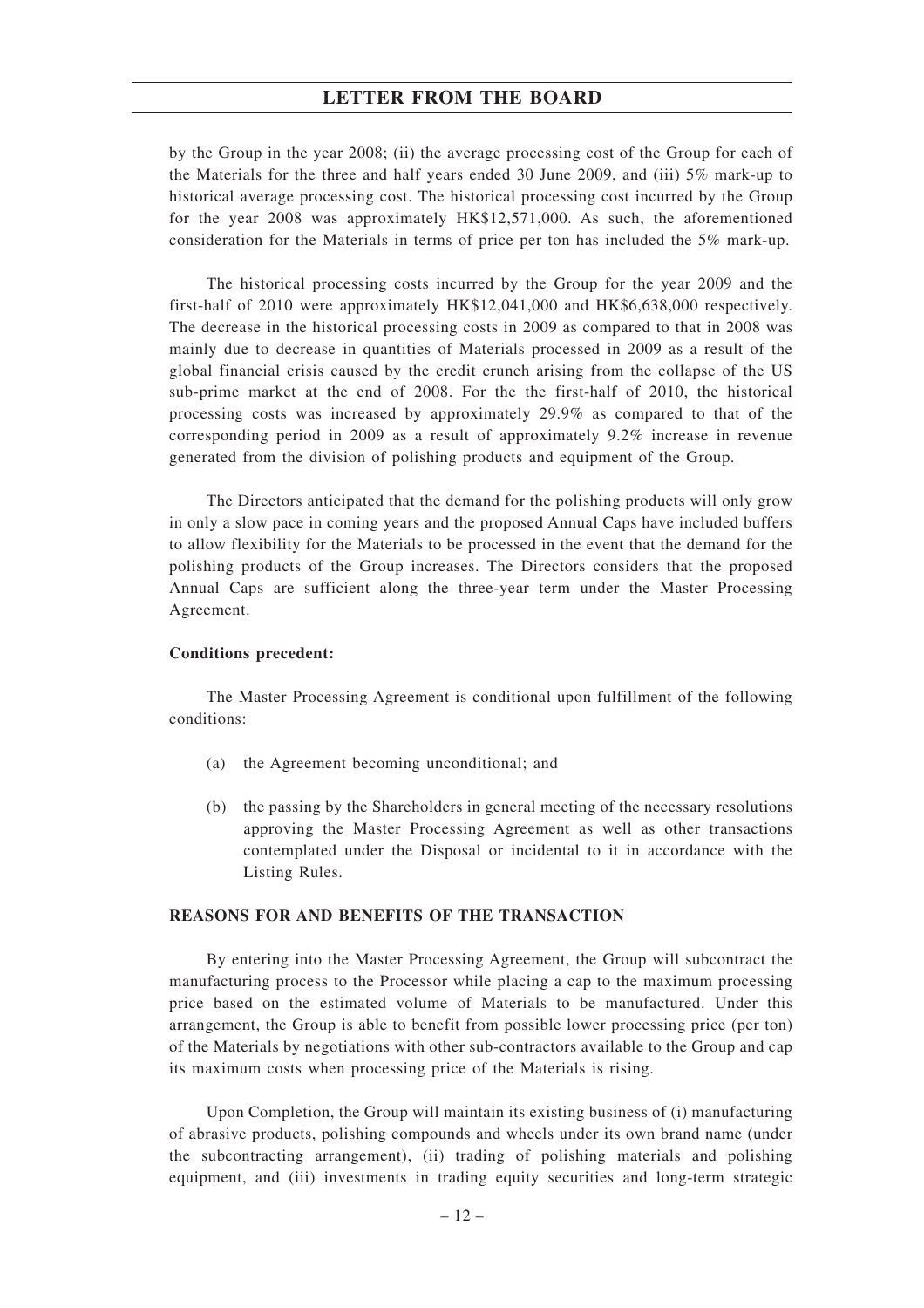by the Group in the year 2008; (ii) the average processing cost of the Group for each of the Materials for the three and half years ended 30 June 2009, and (iii) 5% mark-up to historical average processing cost. The historical processing cost incurred by the Group for the year 2008 was approximately HK\$12,571,000. As such, the aforementioned consideration for the Materials in terms of price per ton has included the 5% mark-up.

The historical processing costs incurred by the Group for the year 2009 and the first-half of 2010 were approximately HK\$12,041,000 and HK\$6,638,000 respectively. The decrease in the historical processing costs in 2009 as compared to that in 2008 was mainly due to decrease in quantities of Materials processed in 2009 as a result of the global financial crisis caused by the credit crunch arising from the collapse of the US sub-prime market at the end of 2008. For the the first-half of 2010, the historical processing costs was increased by approximately 29.9% as compared to that of the corresponding period in 2009 as a result of approximately 9.2% increase in revenue generated from the division of polishing products and equipment of the Group.

The Directors anticipated that the demand for the polishing products will only grow in only a slow pace in coming years and the proposed Annual Caps have included buffers to allow flexibility for the Materials to be processed in the event that the demand for the polishing products of the Group increases. The Directors considers that the proposed Annual Caps are sufficient along the three-year term under the Master Processing Agreement.

#### **Conditions precedent:**

The Master Processing Agreement is conditional upon fulfillment of the following conditions:

- (a) the Agreement becoming unconditional; and
- (b) the passing by the Shareholders in general meeting of the necessary resolutions approving the Master Processing Agreement as well as other transactions contemplated under the Disposal or incidental to it in accordance with the Listing Rules.

## **REASONS FOR AND BENEFITS OF THE TRANSACTION**

By entering into the Master Processing Agreement, the Group will subcontract the manufacturing process to the Processor while placing a cap to the maximum processing price based on the estimated volume of Materials to be manufactured. Under this arrangement, the Group is able to benefit from possible lower processing price (per ton) of the Materials by negotiations with other sub-contractors available to the Group and cap its maximum costs when processing price of the Materials is rising.

Upon Completion, the Group will maintain its existing business of (i) manufacturing of abrasive products, polishing compounds and wheels under its own brand name (under the subcontracting arrangement), (ii) trading of polishing materials and polishing equipment, and (iii) investments in trading equity securities and long-term strategic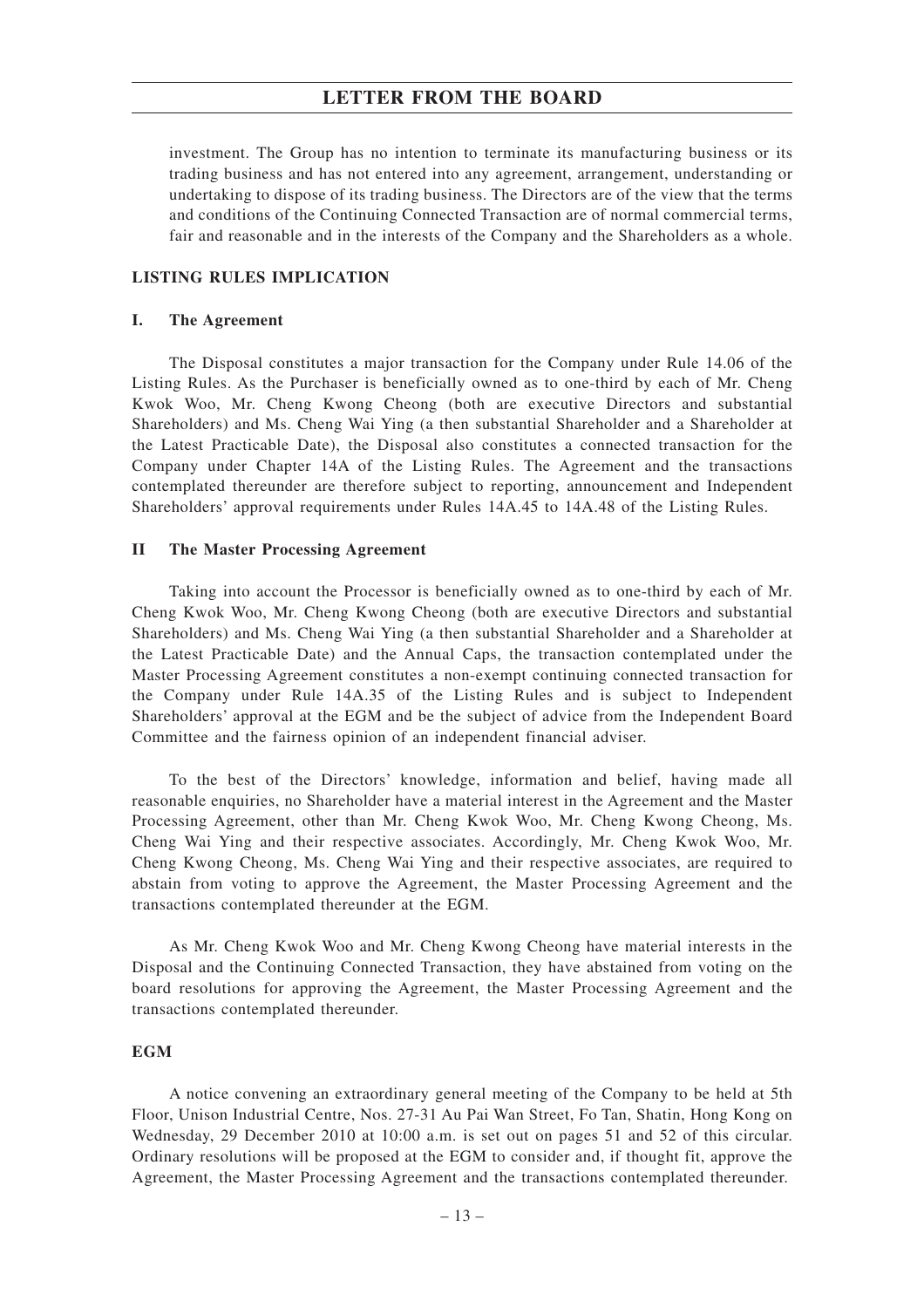investment. The Group has no intention to terminate its manufacturing business or its trading business and has not entered into any agreement, arrangement, understanding or undertaking to dispose of its trading business. The Directors are of the view that the terms and conditions of the Continuing Connected Transaction are of normal commercial terms, fair and reasonable and in the interests of the Company and the Shareholders as a whole.

#### **LISTING RULES IMPLICATION**

#### **I. The Agreement**

The Disposal constitutes a major transaction for the Company under Rule 14.06 of the Listing Rules. As the Purchaser is beneficially owned as to one-third by each of Mr. Cheng Kwok Woo, Mr. Cheng Kwong Cheong (both are executive Directors and substantial Shareholders) and Ms. Cheng Wai Ying (a then substantial Shareholder and a Shareholder at the Latest Practicable Date), the Disposal also constitutes a connected transaction for the Company under Chapter 14A of the Listing Rules. The Agreement and the transactions contemplated thereunder are therefore subject to reporting, announcement and Independent Shareholders' approval requirements under Rules 14A.45 to 14A.48 of the Listing Rules.

#### **II The Master Processing Agreement**

Taking into account the Processor is beneficially owned as to one-third by each of Mr. Cheng Kwok Woo, Mr. Cheng Kwong Cheong (both are executive Directors and substantial Shareholders) and Ms. Cheng Wai Ying (a then substantial Shareholder and a Shareholder at the Latest Practicable Date) and the Annual Caps, the transaction contemplated under the Master Processing Agreement constitutes a non-exempt continuing connected transaction for the Company under Rule 14A.35 of the Listing Rules and is subject to Independent Shareholders' approval at the EGM and be the subject of advice from the Independent Board Committee and the fairness opinion of an independent financial adviser.

To the best of the Directors' knowledge, information and belief, having made all reasonable enquiries, no Shareholder have a material interest in the Agreement and the Master Processing Agreement, other than Mr. Cheng Kwok Woo, Mr. Cheng Kwong Cheong, Ms. Cheng Wai Ying and their respective associates. Accordingly, Mr. Cheng Kwok Woo, Mr. Cheng Kwong Cheong, Ms. Cheng Wai Ying and their respective associates, are required to abstain from voting to approve the Agreement, the Master Processing Agreement and the transactions contemplated thereunder at the EGM.

As Mr. Cheng Kwok Woo and Mr. Cheng Kwong Cheong have material interests in the Disposal and the Continuing Connected Transaction, they have abstained from voting on the board resolutions for approving the Agreement, the Master Processing Agreement and the transactions contemplated thereunder.

#### **EGM**

A notice convening an extraordinary general meeting of the Company to be held at 5th Floor, Unison Industrial Centre, Nos. 27-31 Au Pai Wan Street, Fo Tan, Shatin, Hong Kong on Wednesday, 29 December 2010 at 10:00 a.m. is set out on pages 51 and 52 of this circular. Ordinary resolutions will be proposed at the EGM to consider and, if thought fit, approve the Agreement, the Master Processing Agreement and the transactions contemplated thereunder.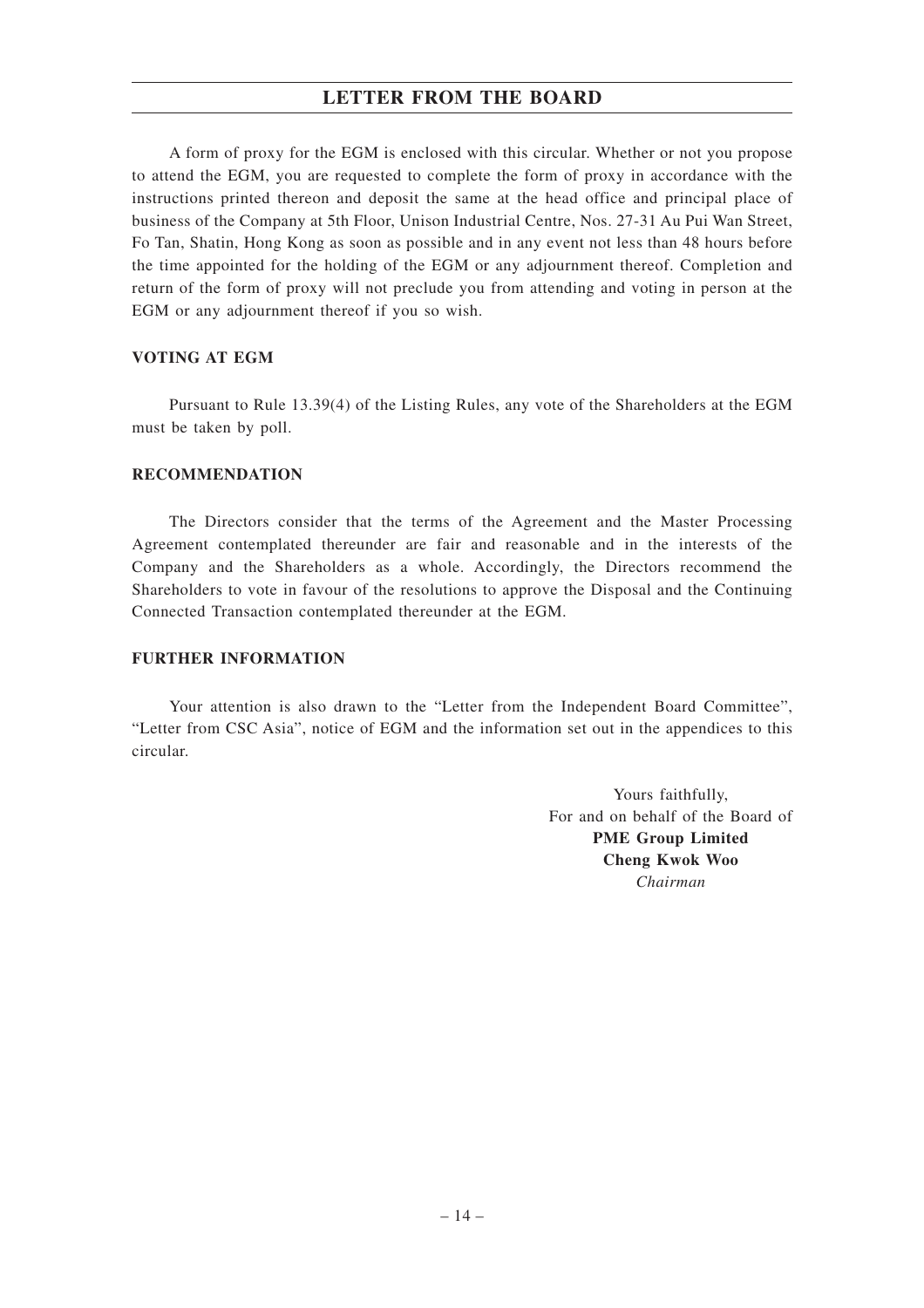A form of proxy for the EGM is enclosed with this circular. Whether or not you propose to attend the EGM, you are requested to complete the form of proxy in accordance with the instructions printed thereon and deposit the same at the head office and principal place of business of the Company at 5th Floor, Unison Industrial Centre, Nos. 27-31 Au Pui Wan Street, Fo Tan, Shatin, Hong Kong as soon as possible and in any event not less than 48 hours before the time appointed for the holding of the EGM or any adjournment thereof. Completion and return of the form of proxy will not preclude you from attending and voting in person at the EGM or any adjournment thereof if you so wish.

### **VOTING AT EGM**

Pursuant to Rule 13.39(4) of the Listing Rules, any vote of the Shareholders at the EGM must be taken by poll.

### **RECOMMENDATION**

The Directors consider that the terms of the Agreement and the Master Processing Agreement contemplated thereunder are fair and reasonable and in the interests of the Company and the Shareholders as a whole. Accordingly, the Directors recommend the Shareholders to vote in favour of the resolutions to approve the Disposal and the Continuing Connected Transaction contemplated thereunder at the EGM.

#### **FURTHER INFORMATION**

Your attention is also drawn to the "Letter from the Independent Board Committee", "Letter from CSC Asia", notice of EGM and the information set out in the appendices to this circular.

> Yours faithfully, For and on behalf of the Board of **PME Group Limited Cheng Kwok Woo** *Chairman*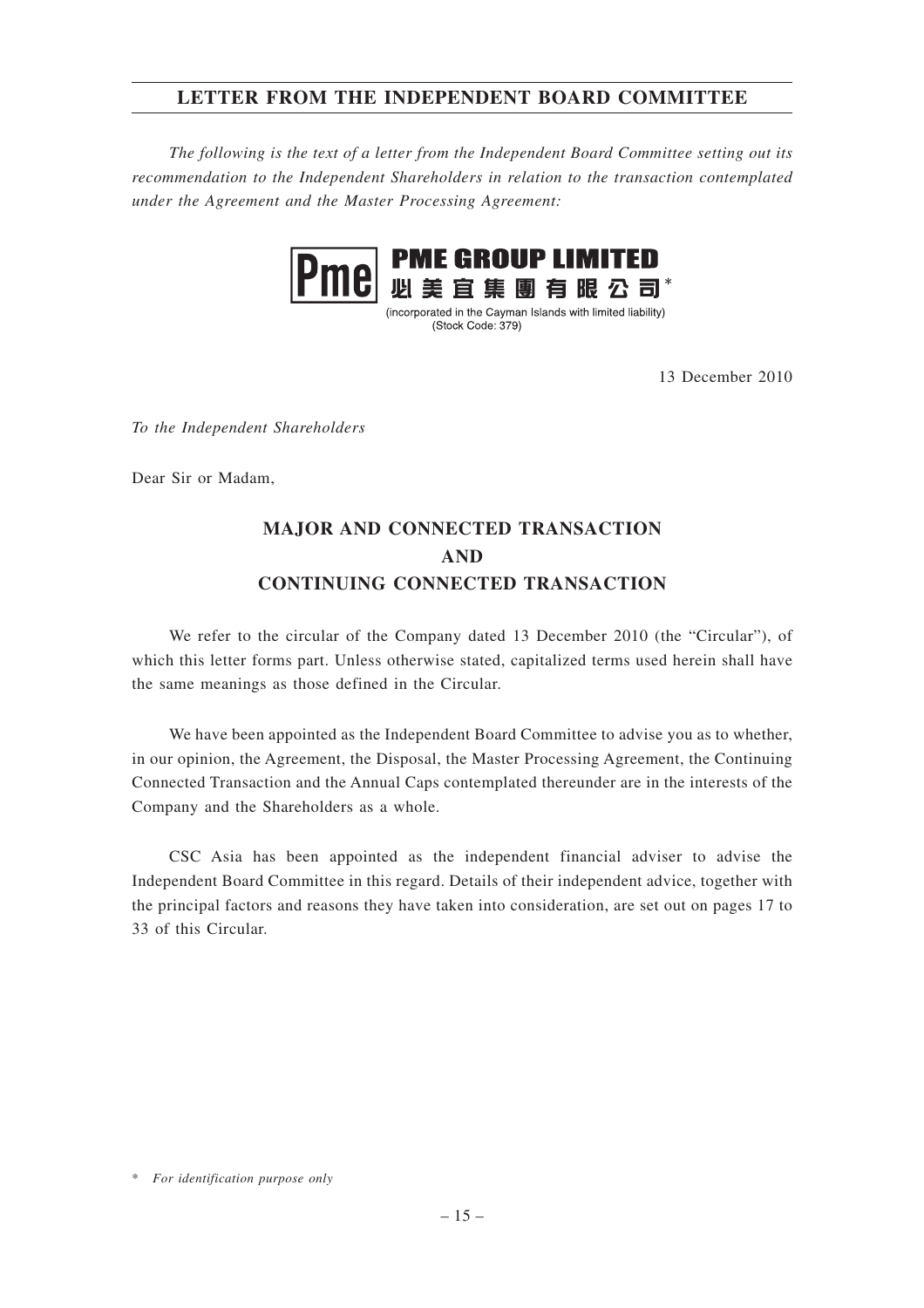# **LETTER FROM THE INDEPENDENT BOARD COMMITTEE**

*The following is the text of a letter from the Independent Board Committee setting out its recommendation to the Independent Shareholders in relation to the transaction contemplated under the Agreement and the Master Processing Agreement:*



(incorporated in the Cayman Islands with limited liability) (Stock Code: 379)

13 December 2010

*To the Independent Shareholders*

Dear Sir or Madam,

# **MAJOR AND CONNECTED TRANSACTION AND CONTINUING CONNECTED TRANSACTION**

We refer to the circular of the Company dated 13 December 2010 (the "Circular"), of which this letter forms part. Unless otherwise stated, capitalized terms used herein shall have the same meanings as those defined in the Circular.

We have been appointed as the Independent Board Committee to advise you as to whether, in our opinion, the Agreement, the Disposal, the Master Processing Agreement, the Continuing Connected Transaction and the Annual Caps contemplated thereunder are in the interests of the Company and the Shareholders as a whole.

CSC Asia has been appointed as the independent financial adviser to advise the Independent Board Committee in this regard. Details of their independent advice, together with the principal factors and reasons they have taken into consideration, are set out on pages 17 to 33 of this Circular.

<sup>\*</sup> *For identification purpose only*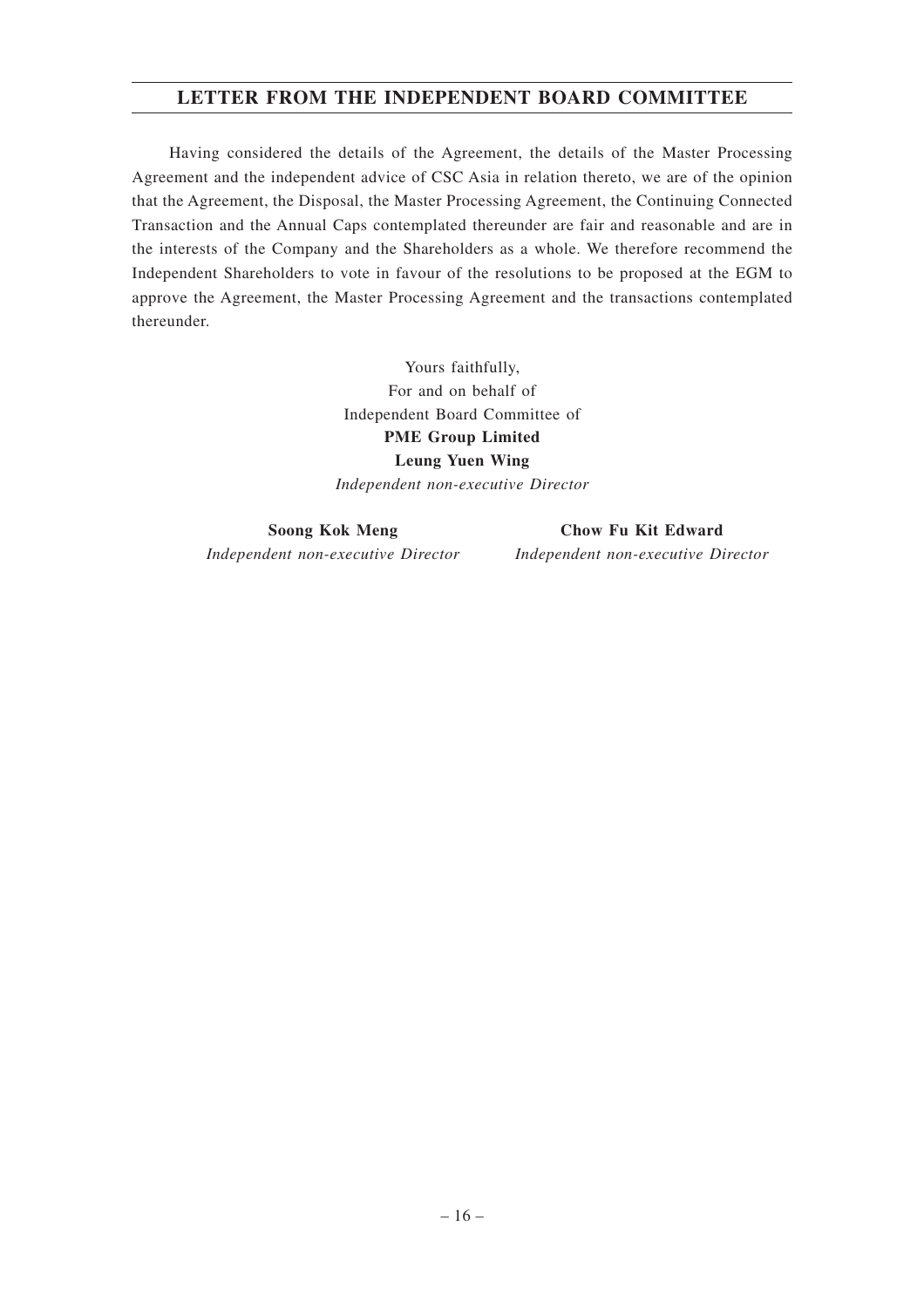# **LETTER FROM THE INDEPENDENT BOARD COMMITTEE**

Having considered the details of the Agreement, the details of the Master Processing Agreement and the independent advice of CSC Asia in relation thereto, we are of the opinion that the Agreement, the Disposal, the Master Processing Agreement, the Continuing Connected Transaction and the Annual Caps contemplated thereunder are fair and reasonable and are in the interests of the Company and the Shareholders as a whole. We therefore recommend the Independent Shareholders to vote in favour of the resolutions to be proposed at the EGM to approve the Agreement, the Master Processing Agreement and the transactions contemplated thereunder.

> Yours faithfully, For and on behalf of Independent Board Committee of **PME Group Limited Leung Yuen Wing** *Independent non-executive Director*

**Soong Kok Meng** *Independent non-executive Director*

**Chow Fu Kit Edward** *Independent non-executive Director*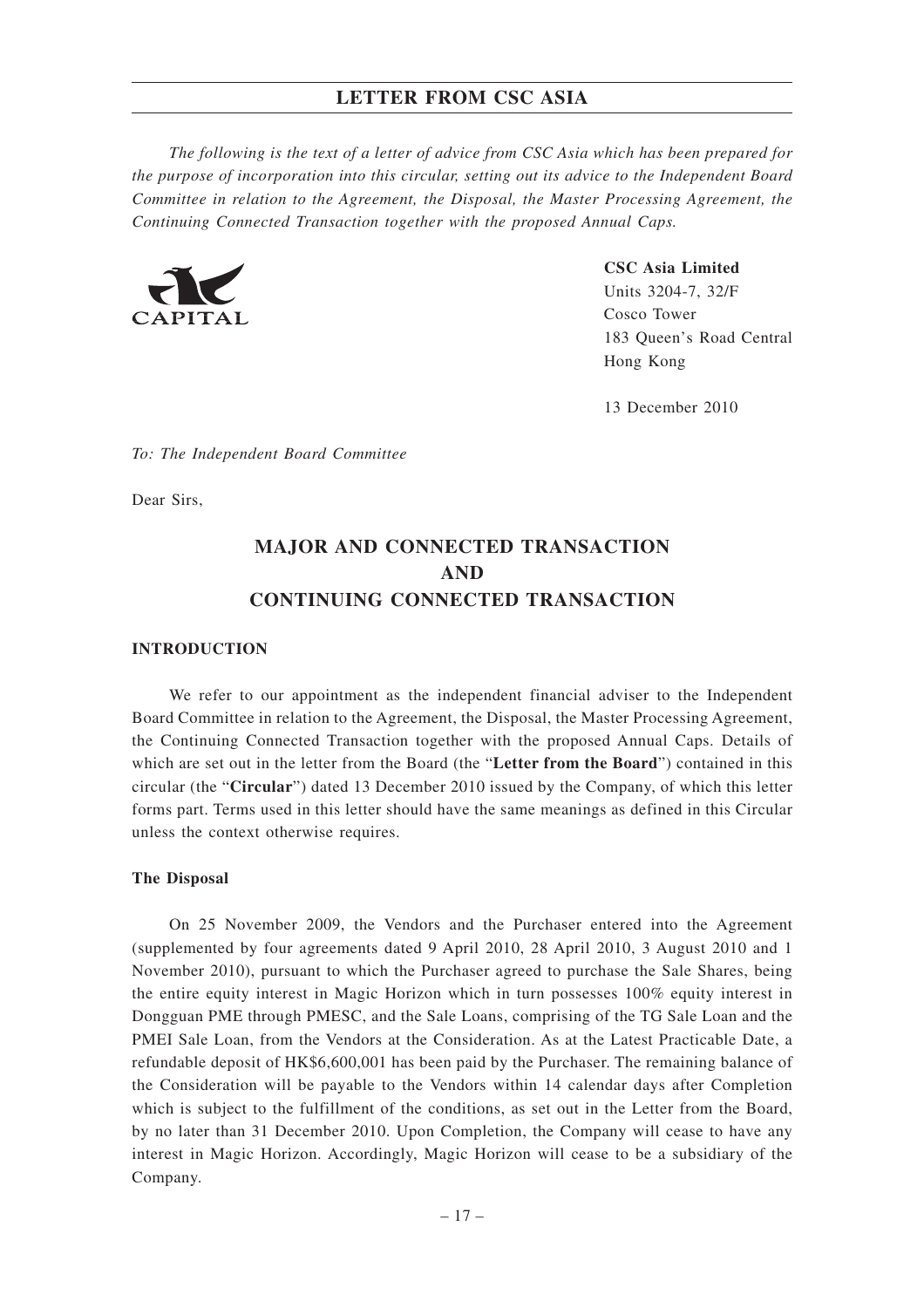*The following is the text of a letter of advice from CSC Asia which has been prepared for the purpose of incorporation into this circular, setting out its advice to the Independent Board Committee in relation to the Agreement, the Disposal, the Master Processing Agreement, the Continuing Connected Transaction together with the proposed Annual Caps.*



**CSC Asia Limited** Units 3204-7, 32/F Cosco Tower 183 Queen's Road Central Hong Kong

13 December 2010

*To: The Independent Board Committee*

Dear Sirs,

# **MAJOR AND CONNECTED TRANSACTION AND CONTINUING CONNECTED TRANSACTION**

#### **INTRODUCTION**

We refer to our appointment as the independent financial adviser to the Independent Board Committee in relation to the Agreement, the Disposal, the Master Processing Agreement, the Continuing Connected Transaction together with the proposed Annual Caps. Details of which are set out in the letter from the Board (the "**Letter from the Board**") contained in this circular (the "**Circular**") dated 13 December 2010 issued by the Company, of which this letter forms part. Terms used in this letter should have the same meanings as defined in this Circular unless the context otherwise requires.

#### **The Disposal**

On 25 November 2009, the Vendors and the Purchaser entered into the Agreement (supplemented by four agreements dated 9 April 2010, 28 April 2010, 3 August 2010 and 1 November 2010), pursuant to which the Purchaser agreed to purchase the Sale Shares, being the entire equity interest in Magic Horizon which in turn possesses 100% equity interest in Dongguan PME through PMESC, and the Sale Loans, comprising of the TG Sale Loan and the PMEI Sale Loan, from the Vendors at the Consideration. As at the Latest Practicable Date, a refundable deposit of HK\$6,600,001 has been paid by the Purchaser. The remaining balance of the Consideration will be payable to the Vendors within 14 calendar days after Completion which is subject to the fulfillment of the conditions, as set out in the Letter from the Board, by no later than 31 December 2010. Upon Completion, the Company will cease to have any interest in Magic Horizon. Accordingly, Magic Horizon will cease to be a subsidiary of the Company.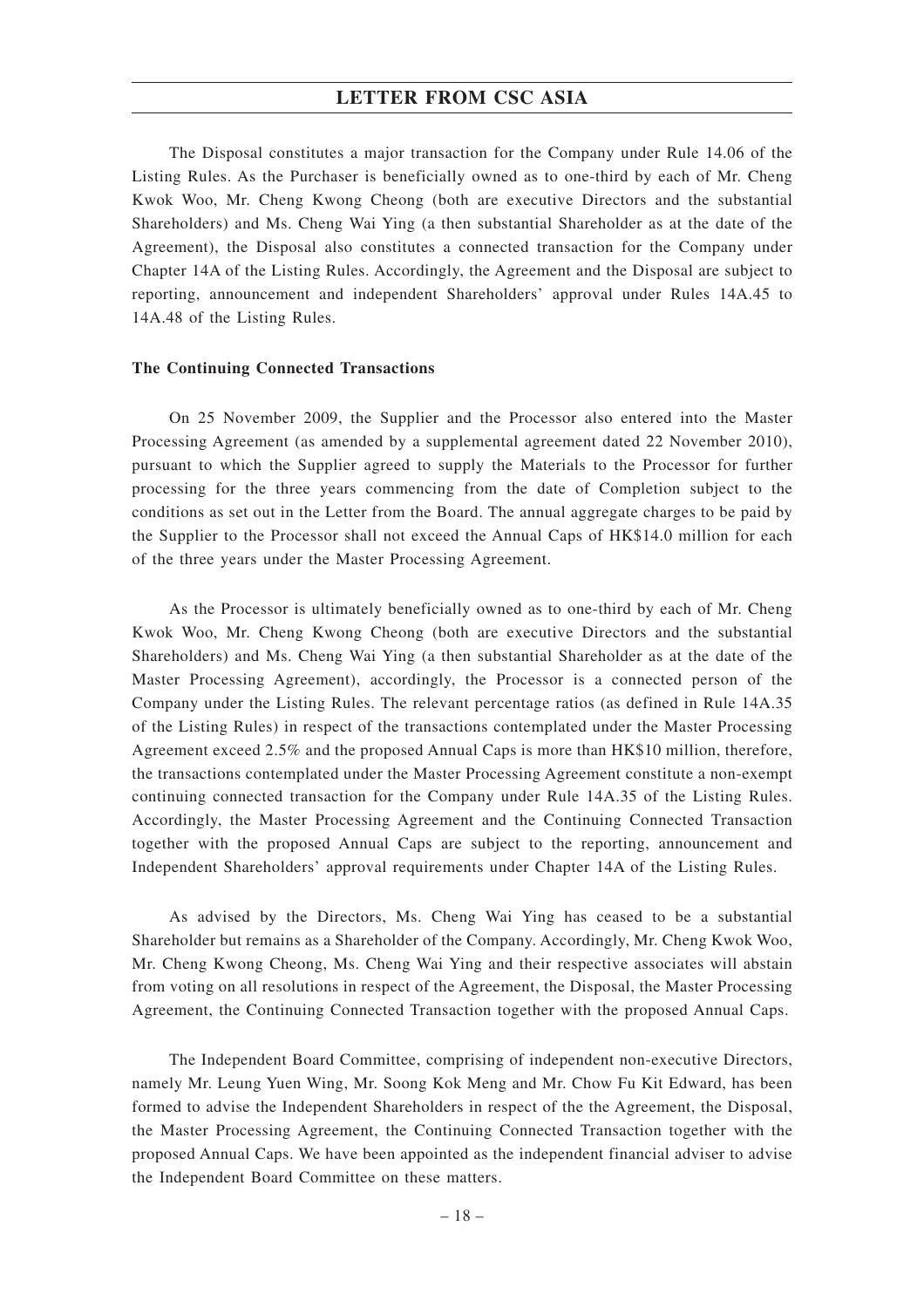The Disposal constitutes a major transaction for the Company under Rule 14.06 of the Listing Rules. As the Purchaser is beneficially owned as to one-third by each of Mr. Cheng Kwok Woo, Mr. Cheng Kwong Cheong (both are executive Directors and the substantial Shareholders) and Ms. Cheng Wai Ying (a then substantial Shareholder as at the date of the Agreement), the Disposal also constitutes a connected transaction for the Company under Chapter 14A of the Listing Rules. Accordingly, the Agreement and the Disposal are subject to reporting, announcement and independent Shareholders' approval under Rules 14A.45 to 14A.48 of the Listing Rules.

#### **The Continuing Connected Transactions**

On 25 November 2009, the Supplier and the Processor also entered into the Master Processing Agreement (as amended by a supplemental agreement dated 22 November 2010), pursuant to which the Supplier agreed to supply the Materials to the Processor for further processing for the three years commencing from the date of Completion subject to the conditions as set out in the Letter from the Board. The annual aggregate charges to be paid by the Supplier to the Processor shall not exceed the Annual Caps of HK\$14.0 million for each of the three years under the Master Processing Agreement.

As the Processor is ultimately beneficially owned as to one-third by each of Mr. Cheng Kwok Woo, Mr. Cheng Kwong Cheong (both are executive Directors and the substantial Shareholders) and Ms. Cheng Wai Ying (a then substantial Shareholder as at the date of the Master Processing Agreement), accordingly, the Processor is a connected person of the Company under the Listing Rules. The relevant percentage ratios (as defined in Rule 14A.35 of the Listing Rules) in respect of the transactions contemplated under the Master Processing Agreement exceed 2.5% and the proposed Annual Caps is more than HK\$10 million, therefore, the transactions contemplated under the Master Processing Agreement constitute a non-exempt continuing connected transaction for the Company under Rule 14A.35 of the Listing Rules. Accordingly, the Master Processing Agreement and the Continuing Connected Transaction together with the proposed Annual Caps are subject to the reporting, announcement and Independent Shareholders' approval requirements under Chapter 14A of the Listing Rules.

As advised by the Directors, Ms. Cheng Wai Ying has ceased to be a substantial Shareholder but remains as a Shareholder of the Company. Accordingly, Mr. Cheng Kwok Woo, Mr. Cheng Kwong Cheong, Ms. Cheng Wai Ying and their respective associates will abstain from voting on all resolutions in respect of the Agreement, the Disposal, the Master Processing Agreement, the Continuing Connected Transaction together with the proposed Annual Caps.

The Independent Board Committee, comprising of independent non-executive Directors, namely Mr. Leung Yuen Wing, Mr. Soong Kok Meng and Mr. Chow Fu Kit Edward, has been formed to advise the Independent Shareholders in respect of the the Agreement, the Disposal, the Master Processing Agreement, the Continuing Connected Transaction together with the proposed Annual Caps. We have been appointed as the independent financial adviser to advise the Independent Board Committee on these matters.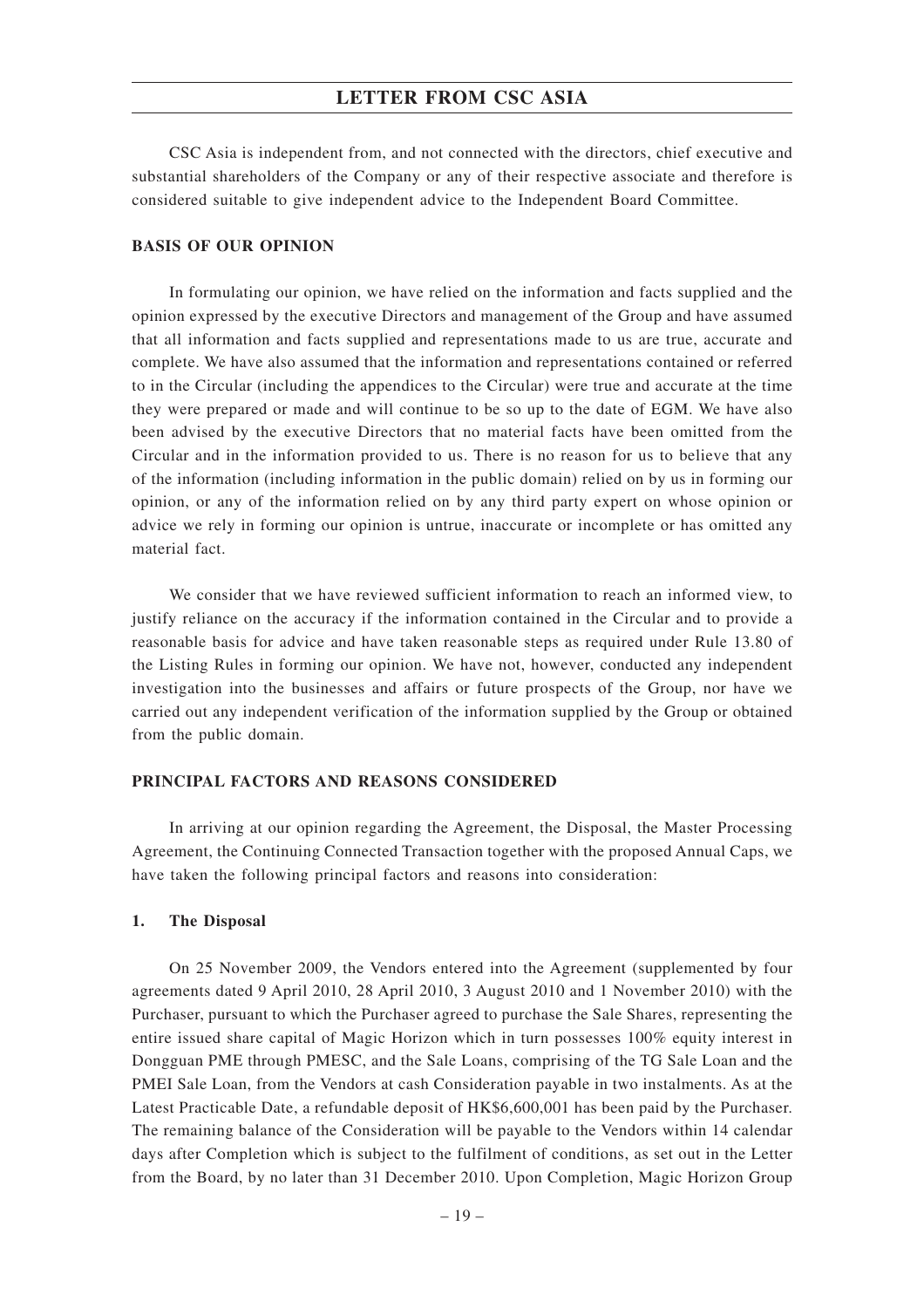CSC Asia is independent from, and not connected with the directors, chief executive and substantial shareholders of the Company or any of their respective associate and therefore is considered suitable to give independent advice to the Independent Board Committee.

#### **BASIS OF OUR OPINION**

In formulating our opinion, we have relied on the information and facts supplied and the opinion expressed by the executive Directors and management of the Group and have assumed that all information and facts supplied and representations made to us are true, accurate and complete. We have also assumed that the information and representations contained or referred to in the Circular (including the appendices to the Circular) were true and accurate at the time they were prepared or made and will continue to be so up to the date of EGM. We have also been advised by the executive Directors that no material facts have been omitted from the Circular and in the information provided to us. There is no reason for us to believe that any of the information (including information in the public domain) relied on by us in forming our opinion, or any of the information relied on by any third party expert on whose opinion or advice we rely in forming our opinion is untrue, inaccurate or incomplete or has omitted any material fact.

We consider that we have reviewed sufficient information to reach an informed view, to justify reliance on the accuracy if the information contained in the Circular and to provide a reasonable basis for advice and have taken reasonable steps as required under Rule 13.80 of the Listing Rules in forming our opinion. We have not, however, conducted any independent investigation into the businesses and affairs or future prospects of the Group, nor have we carried out any independent verification of the information supplied by the Group or obtained from the public domain.

### **PRINCIPAL FACTORS AND REASONS CONSIDERED**

In arriving at our opinion regarding the Agreement, the Disposal, the Master Processing Agreement, the Continuing Connected Transaction together with the proposed Annual Caps, we have taken the following principal factors and reasons into consideration:

#### **1. The Disposal**

On 25 November 2009, the Vendors entered into the Agreement (supplemented by four agreements dated 9 April 2010, 28 April 2010, 3 August 2010 and 1 November 2010) with the Purchaser, pursuant to which the Purchaser agreed to purchase the Sale Shares, representing the entire issued share capital of Magic Horizon which in turn possesses 100% equity interest in Dongguan PME through PMESC, and the Sale Loans, comprising of the TG Sale Loan and the PMEI Sale Loan, from the Vendors at cash Consideration payable in two instalments. As at the Latest Practicable Date, a refundable deposit of HK\$6,600,001 has been paid by the Purchaser. The remaining balance of the Consideration will be payable to the Vendors within 14 calendar days after Completion which is subject to the fulfilment of conditions, as set out in the Letter from the Board, by no later than 31 December 2010. Upon Completion, Magic Horizon Group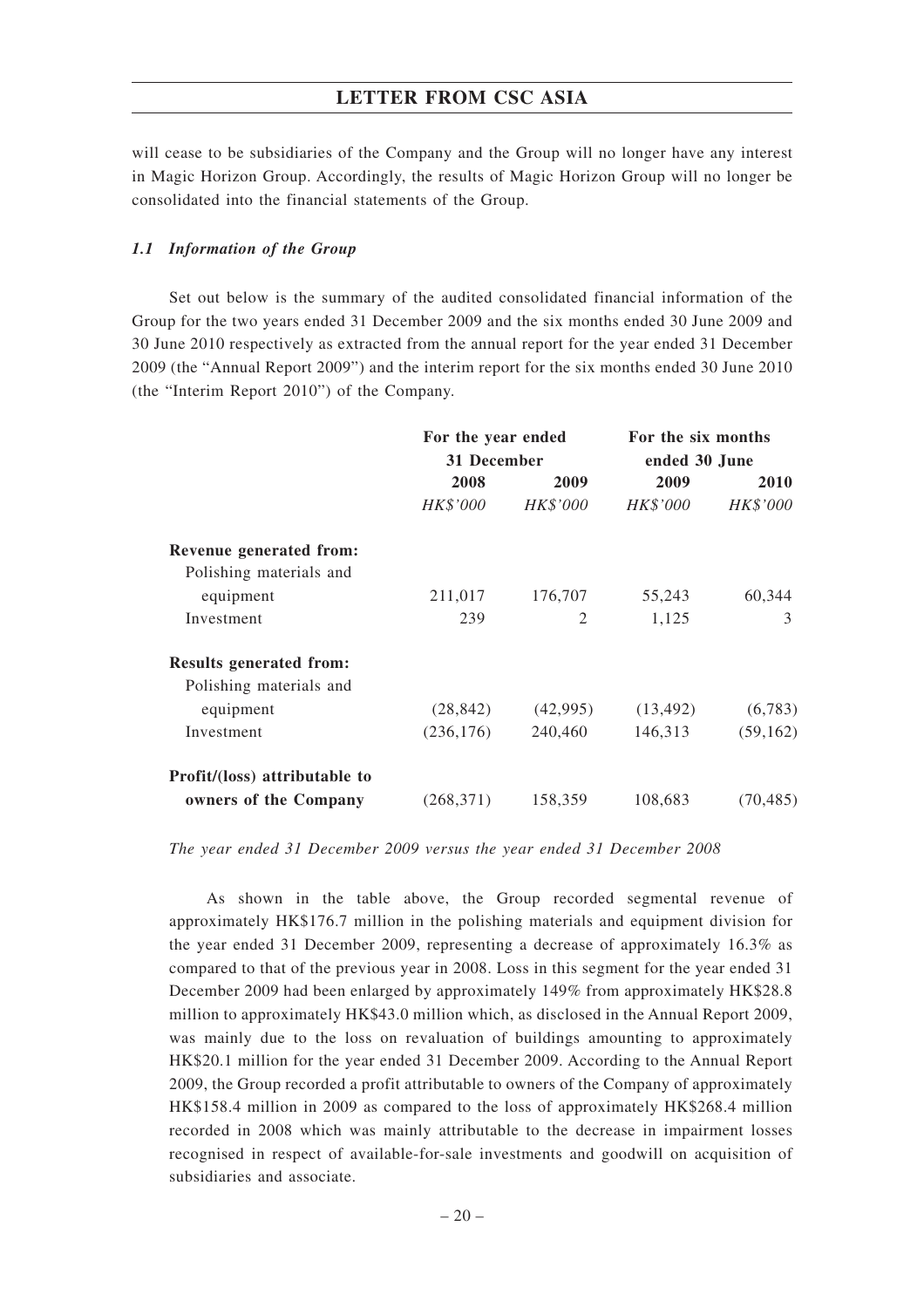will cease to be subsidiaries of the Company and the Group will no longer have any interest in Magic Horizon Group. Accordingly, the results of Magic Horizon Group will no longer be consolidated into the financial statements of the Group.

### *1.1 Information of the Group*

Set out below is the summary of the audited consolidated financial information of the Group for the two years ended 31 December 2009 and the six months ended 30 June 2009 and 30 June 2010 respectively as extracted from the annual report for the year ended 31 December 2009 (the "Annual Report 2009") and the interim report for the six months ended 30 June 2010 (the "Interim Report 2010") of the Company.

|                                | For the year ended<br>31 December |          | For the six months |           |  |
|--------------------------------|-----------------------------------|----------|--------------------|-----------|--|
|                                |                                   |          | ended 30 June      |           |  |
|                                | 2008                              | 2009     | 2009               | 2010      |  |
|                                | HK\$'000                          | HK\$'000 | HK\$'000           | HK\$'000  |  |
| Revenue generated from:        |                                   |          |                    |           |  |
| Polishing materials and        |                                   |          |                    |           |  |
| equipment                      | 211,017                           | 176,707  | 55,243             | 60,344    |  |
| Investment                     | 239                               | 2        | 1,125              | 3         |  |
| <b>Results generated from:</b> |                                   |          |                    |           |  |
| Polishing materials and        |                                   |          |                    |           |  |
| equipment                      | (28, 842)                         | (42,995) | (13, 492)          | (6,783)   |  |
| Investment                     | (236, 176)                        | 240,460  | 146,313            | (59, 162) |  |
| Profit/(loss) attributable to  |                                   |          |                    |           |  |
| owners of the Company          | (268, 371)                        | 158,359  | 108,683            | (70, 485) |  |

*The year ended 31 December 2009 versus the year ended 31 December 2008*

As shown in the table above, the Group recorded segmental revenue of approximately HK\$176.7 million in the polishing materials and equipment division for the year ended 31 December 2009, representing a decrease of approximately 16.3% as compared to that of the previous year in 2008. Loss in this segment for the year ended 31 December 2009 had been enlarged by approximately 149% from approximately HK\$28.8 million to approximately HK\$43.0 million which, as disclosed in the Annual Report 2009, was mainly due to the loss on revaluation of buildings amounting to approximately HK\$20.1 million for the year ended 31 December 2009. According to the Annual Report 2009, the Group recorded a profit attributable to owners of the Company of approximately HK\$158.4 million in 2009 as compared to the loss of approximately HK\$268.4 million recorded in 2008 which was mainly attributable to the decrease in impairment losses recognised in respect of available-for-sale investments and goodwill on acquisition of subsidiaries and associate.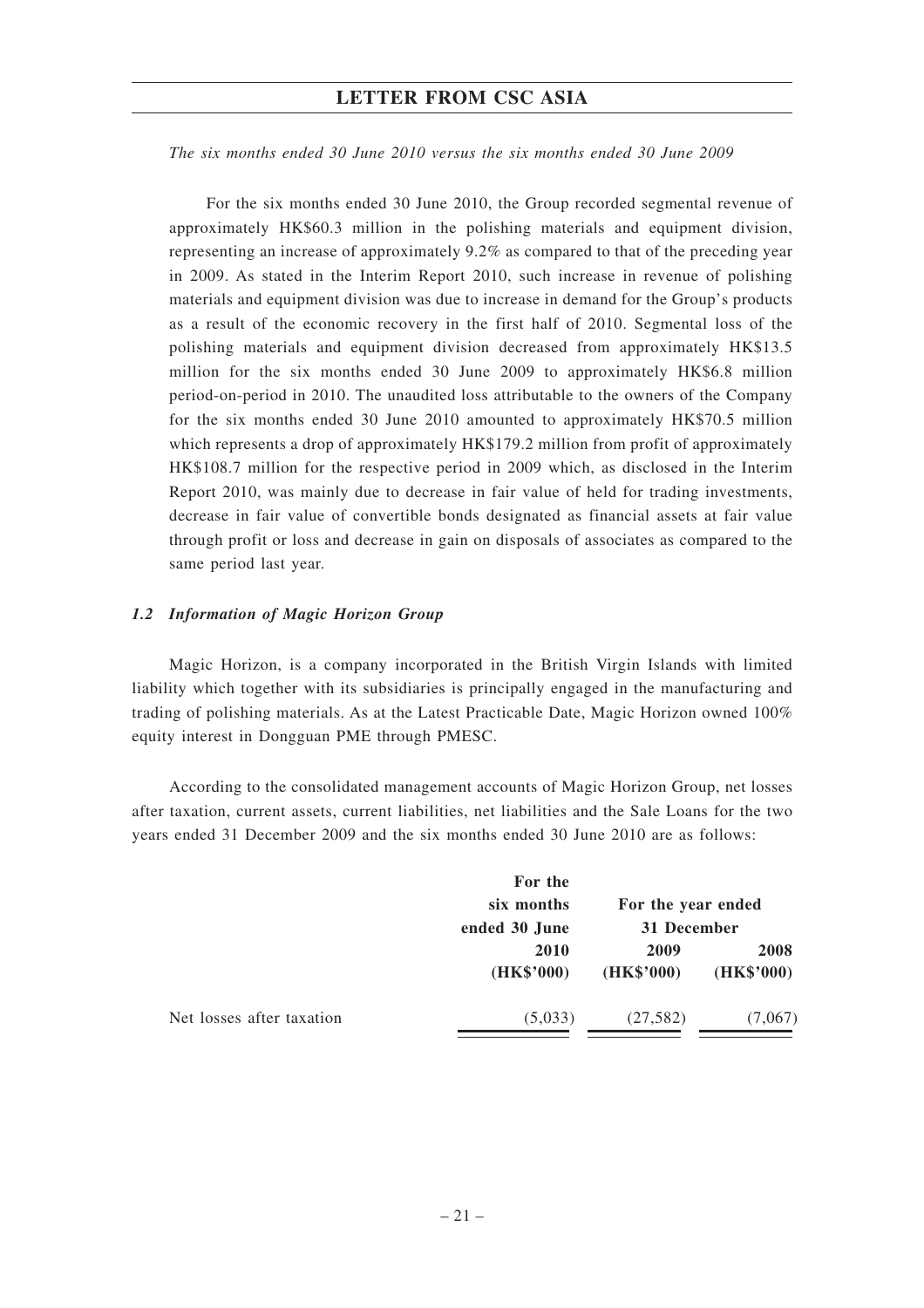*The six months ended 30 June 2010 versus the six months ended 30 June 2009*

For the six months ended 30 June 2010, the Group recorded segmental revenue of approximately HK\$60.3 million in the polishing materials and equipment division, representing an increase of approximately 9.2% as compared to that of the preceding year in 2009. As stated in the Interim Report 2010, such increase in revenue of polishing materials and equipment division was due to increase in demand for the Group's products as a result of the economic recovery in the first half of 2010. Segmental loss of the polishing materials and equipment division decreased from approximately HK\$13.5 million for the six months ended 30 June 2009 to approximately HK\$6.8 million period-on-period in 2010. The unaudited loss attributable to the owners of the Company for the six months ended 30 June 2010 amounted to approximately HK\$70.5 million which represents a drop of approximately HK\$179.2 million from profit of approximately HK\$108.7 million for the respective period in 2009 which, as disclosed in the Interim Report 2010, was mainly due to decrease in fair value of held for trading investments, decrease in fair value of convertible bonds designated as financial assets at fair value through profit or loss and decrease in gain on disposals of associates as compared to the same period last year.

#### *1.2 Information of Magic Horizon Group*

Magic Horizon, is a company incorporated in the British Virgin Islands with limited liability which together with its subsidiaries is principally engaged in the manufacturing and trading of polishing materials. As at the Latest Practicable Date, Magic Horizon owned 100% equity interest in Dongguan PME through PMESC.

According to the consolidated management accounts of Magic Horizon Group, net losses after taxation, current assets, current liabilities, net liabilities and the Sale Loans for the two years ended 31 December 2009 and the six months ended 30 June 2010 are as follows:

|                           | For the<br>six months<br>ended 30 June | For the year ended<br>31 December |                    |
|---------------------------|----------------------------------------|-----------------------------------|--------------------|
|                           | 2010<br>(HK\$'000)                     | 2009<br>(HK\$'000)                | 2008<br>(HK\$'000) |
| Net losses after taxation | (5,033)                                | (27, 582)                         | (7,067)            |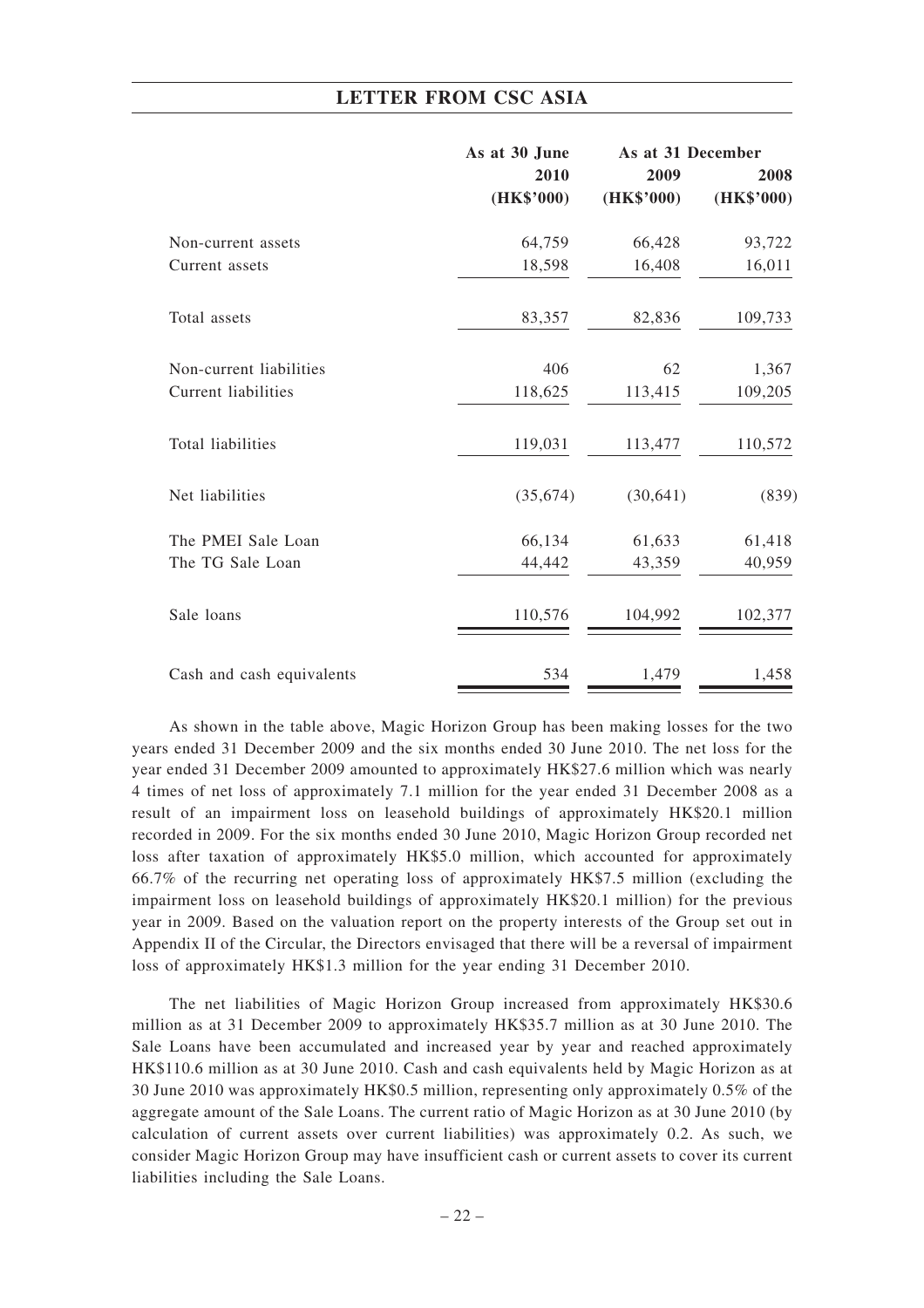|                            | As at 30 June | As at 31 December |            |  |
|----------------------------|---------------|-------------------|------------|--|
|                            | 2010          | 2009              | 2008       |  |
|                            | (HK\$'000)    | (HK\$'000)        | (HK\$'000) |  |
| Non-current assets         | 64,759        | 66,428            | 93,722     |  |
| Current assets             | 18,598        | 16,408            | 16,011     |  |
| Total assets               | 83,357        | 82,836            | 109,733    |  |
| Non-current liabilities    | 406           | 62                | 1,367      |  |
| <b>Current liabilities</b> | 118,625       | 113,415           | 109,205    |  |
| Total liabilities          | 119,031       | 113,477           | 110,572    |  |
| Net liabilities            | (35, 674)     | (30, 641)         | (839)      |  |
| The PMEI Sale Loan         | 66,134        | 61,633            | 61,418     |  |
| The TG Sale Loan           | 44,442        | 43,359            | 40,959     |  |
| Sale loans                 | 110,576       | 104,992           | 102,377    |  |
| Cash and cash equivalents  | 534           | 1,479             | 1,458      |  |

As shown in the table above, Magic Horizon Group has been making losses for the two years ended 31 December 2009 and the six months ended 30 June 2010. The net loss for the year ended 31 December 2009 amounted to approximately HK\$27.6 million which was nearly 4 times of net loss of approximately 7.1 million for the year ended 31 December 2008 as a result of an impairment loss on leasehold buildings of approximately HK\$20.1 million recorded in 2009. For the six months ended 30 June 2010, Magic Horizon Group recorded net loss after taxation of approximately HK\$5.0 million, which accounted for approximately 66.7% of the recurring net operating loss of approximately HK\$7.5 million (excluding the impairment loss on leasehold buildings of approximately HK\$20.1 million) for the previous year in 2009. Based on the valuation report on the property interests of the Group set out in Appendix II of the Circular, the Directors envisaged that there will be a reversal of impairment loss of approximately HK\$1.3 million for the year ending 31 December 2010.

The net liabilities of Magic Horizon Group increased from approximately HK\$30.6 million as at 31 December 2009 to approximately HK\$35.7 million as at 30 June 2010. The Sale Loans have been accumulated and increased year by year and reached approximately HK\$110.6 million as at 30 June 2010. Cash and cash equivalents held by Magic Horizon as at 30 June 2010 was approximately HK\$0.5 million, representing only approximately 0.5% of the aggregate amount of the Sale Loans. The current ratio of Magic Horizon as at 30 June 2010 (by calculation of current assets over current liabilities) was approximately 0.2. As such, we consider Magic Horizon Group may have insufficient cash or current assets to cover its current liabilities including the Sale Loans.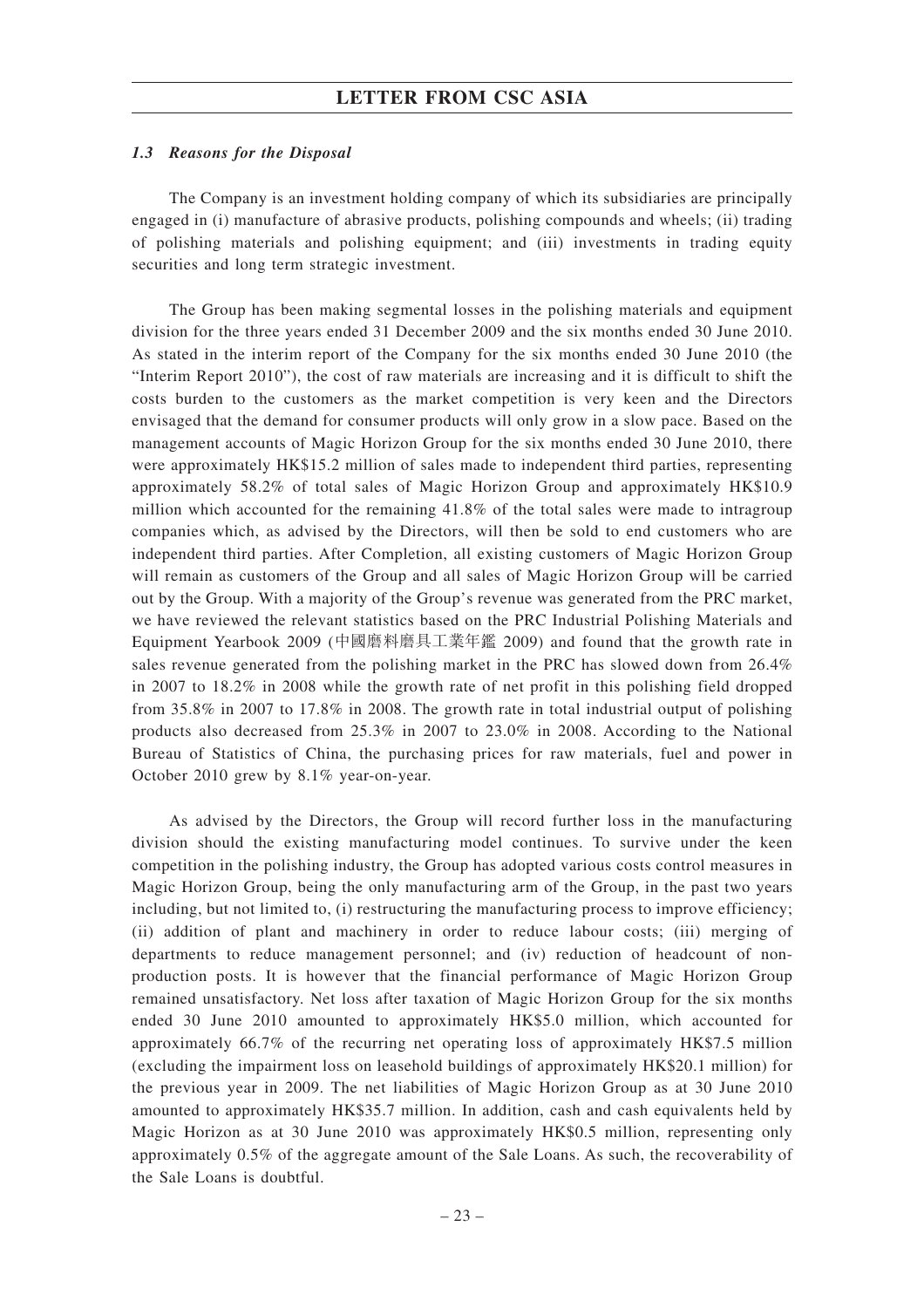#### *1.3 Reasons for the Disposal*

The Company is an investment holding company of which its subsidiaries are principally engaged in (i) manufacture of abrasive products, polishing compounds and wheels; (ii) trading of polishing materials and polishing equipment; and (iii) investments in trading equity securities and long term strategic investment.

The Group has been making segmental losses in the polishing materials and equipment division for the three years ended 31 December 2009 and the six months ended 30 June 2010. As stated in the interim report of the Company for the six months ended 30 June 2010 (the "Interim Report 2010"), the cost of raw materials are increasing and it is difficult to shift the costs burden to the customers as the market competition is very keen and the Directors envisaged that the demand for consumer products will only grow in a slow pace. Based on the management accounts of Magic Horizon Group for the six months ended 30 June 2010, there were approximately HK\$15.2 million of sales made to independent third parties, representing approximately 58.2% of total sales of Magic Horizon Group and approximately HK\$10.9 million which accounted for the remaining 41.8% of the total sales were made to intragroup companies which, as advised by the Directors, will then be sold to end customers who are independent third parties. After Completion, all existing customers of Magic Horizon Group will remain as customers of the Group and all sales of Magic Horizon Group will be carried out by the Group. With a majority of the Group's revenue was generated from the PRC market, we have reviewed the relevant statistics based on the PRC Industrial Polishing Materials and Equipment Yearbook 2009 (中國磨料磨具工業年鑑 2009) and found that the growth rate in sales revenue generated from the polishing market in the PRC has slowed down from 26.4% in 2007 to 18.2% in 2008 while the growth rate of net profit in this polishing field dropped from 35.8% in 2007 to 17.8% in 2008. The growth rate in total industrial output of polishing products also decreased from 25.3% in 2007 to 23.0% in 2008. According to the National Bureau of Statistics of China, the purchasing prices for raw materials, fuel and power in October 2010 grew by 8.1% year-on-year.

As advised by the Directors, the Group will record further loss in the manufacturing division should the existing manufacturing model continues. To survive under the keen competition in the polishing industry, the Group has adopted various costs control measures in Magic Horizon Group, being the only manufacturing arm of the Group, in the past two years including, but not limited to, (i) restructuring the manufacturing process to improve efficiency; (ii) addition of plant and machinery in order to reduce labour costs; (iii) merging of departments to reduce management personnel; and (iv) reduction of headcount of nonproduction posts. It is however that the financial performance of Magic Horizon Group remained unsatisfactory. Net loss after taxation of Magic Horizon Group for the six months ended 30 June 2010 amounted to approximately HK\$5.0 million, which accounted for approximately 66.7% of the recurring net operating loss of approximately HK\$7.5 million (excluding the impairment loss on leasehold buildings of approximately HK\$20.1 million) for the previous year in 2009. The net liabilities of Magic Horizon Group as at 30 June 2010 amounted to approximately HK\$35.7 million. In addition, cash and cash equivalents held by Magic Horizon as at 30 June 2010 was approximately HK\$0.5 million, representing only approximately 0.5% of the aggregate amount of the Sale Loans. As such, the recoverability of the Sale Loans is doubtful.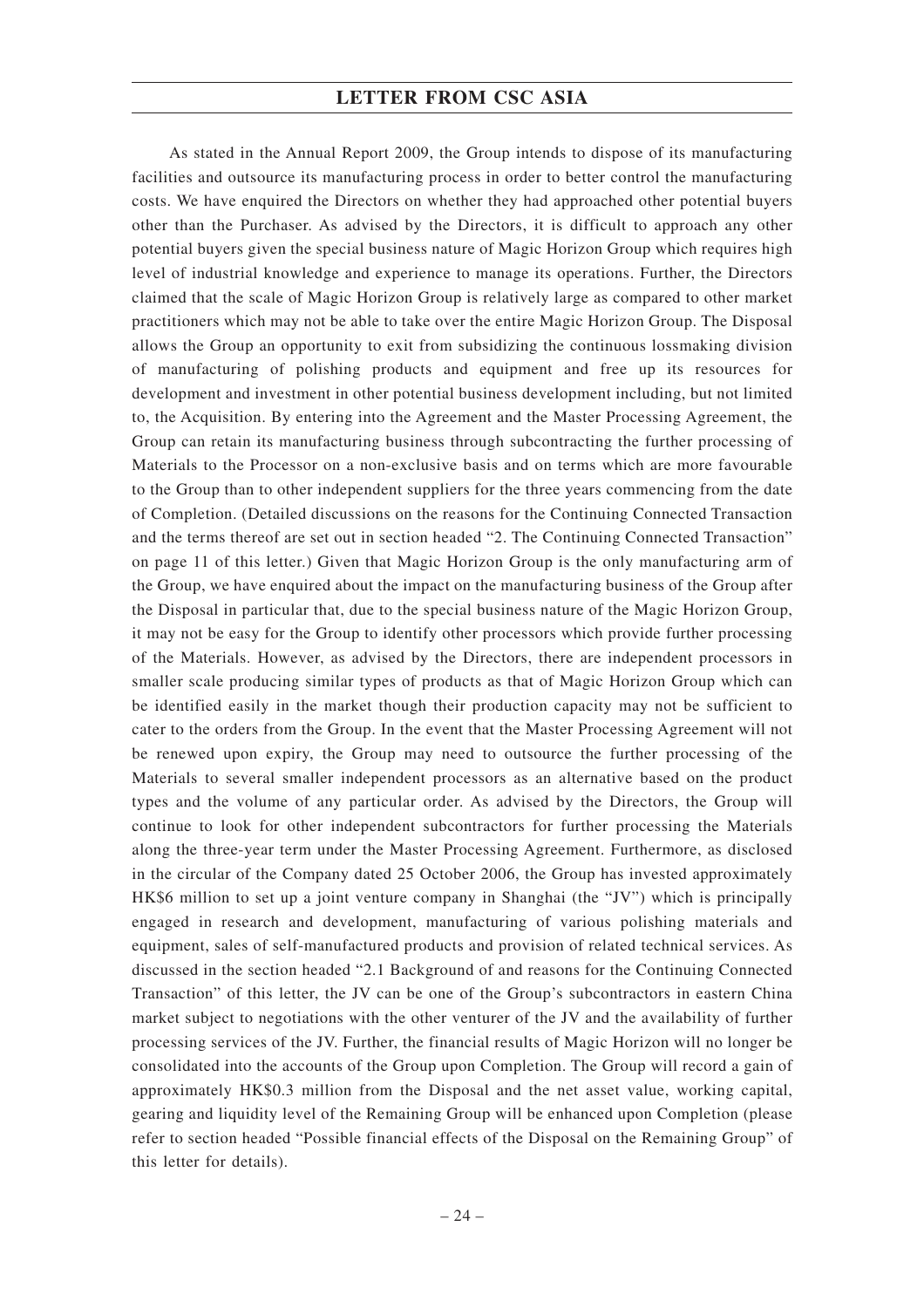As stated in the Annual Report 2009, the Group intends to dispose of its manufacturing facilities and outsource its manufacturing process in order to better control the manufacturing costs. We have enquired the Directors on whether they had approached other potential buyers other than the Purchaser. As advised by the Directors, it is difficult to approach any other potential buyers given the special business nature of Magic Horizon Group which requires high level of industrial knowledge and experience to manage its operations. Further, the Directors claimed that the scale of Magic Horizon Group is relatively large as compared to other market practitioners which may not be able to take over the entire Magic Horizon Group. The Disposal allows the Group an opportunity to exit from subsidizing the continuous lossmaking division of manufacturing of polishing products and equipment and free up its resources for development and investment in other potential business development including, but not limited to, the Acquisition. By entering into the Agreement and the Master Processing Agreement, the Group can retain its manufacturing business through subcontracting the further processing of Materials to the Processor on a non-exclusive basis and on terms which are more favourable to the Group than to other independent suppliers for the three years commencing from the date of Completion. (Detailed discussions on the reasons for the Continuing Connected Transaction and the terms thereof are set out in section headed "2. The Continuing Connected Transaction" on page 11 of this letter.) Given that Magic Horizon Group is the only manufacturing arm of the Group, we have enquired about the impact on the manufacturing business of the Group after the Disposal in particular that, due to the special business nature of the Magic Horizon Group, it may not be easy for the Group to identify other processors which provide further processing of the Materials. However, as advised by the Directors, there are independent processors in smaller scale producing similar types of products as that of Magic Horizon Group which can be identified easily in the market though their production capacity may not be sufficient to cater to the orders from the Group. In the event that the Master Processing Agreement will not be renewed upon expiry, the Group may need to outsource the further processing of the Materials to several smaller independent processors as an alternative based on the product types and the volume of any particular order. As advised by the Directors, the Group will continue to look for other independent subcontractors for further processing the Materials along the three-year term under the Master Processing Agreement. Furthermore, as disclosed in the circular of the Company dated 25 October 2006, the Group has invested approximately HK\$6 million to set up a joint venture company in Shanghai (the "JV") which is principally engaged in research and development, manufacturing of various polishing materials and equipment, sales of self-manufactured products and provision of related technical services. As discussed in the section headed "2.1 Background of and reasons for the Continuing Connected Transaction" of this letter, the JV can be one of the Group's subcontractors in eastern China market subject to negotiations with the other venturer of the JV and the availability of further processing services of the JV. Further, the financial results of Magic Horizon will no longer be consolidated into the accounts of the Group upon Completion. The Group will record a gain of approximately HK\$0.3 million from the Disposal and the net asset value, working capital, gearing and liquidity level of the Remaining Group will be enhanced upon Completion (please refer to section headed "Possible financial effects of the Disposal on the Remaining Group" of this letter for details).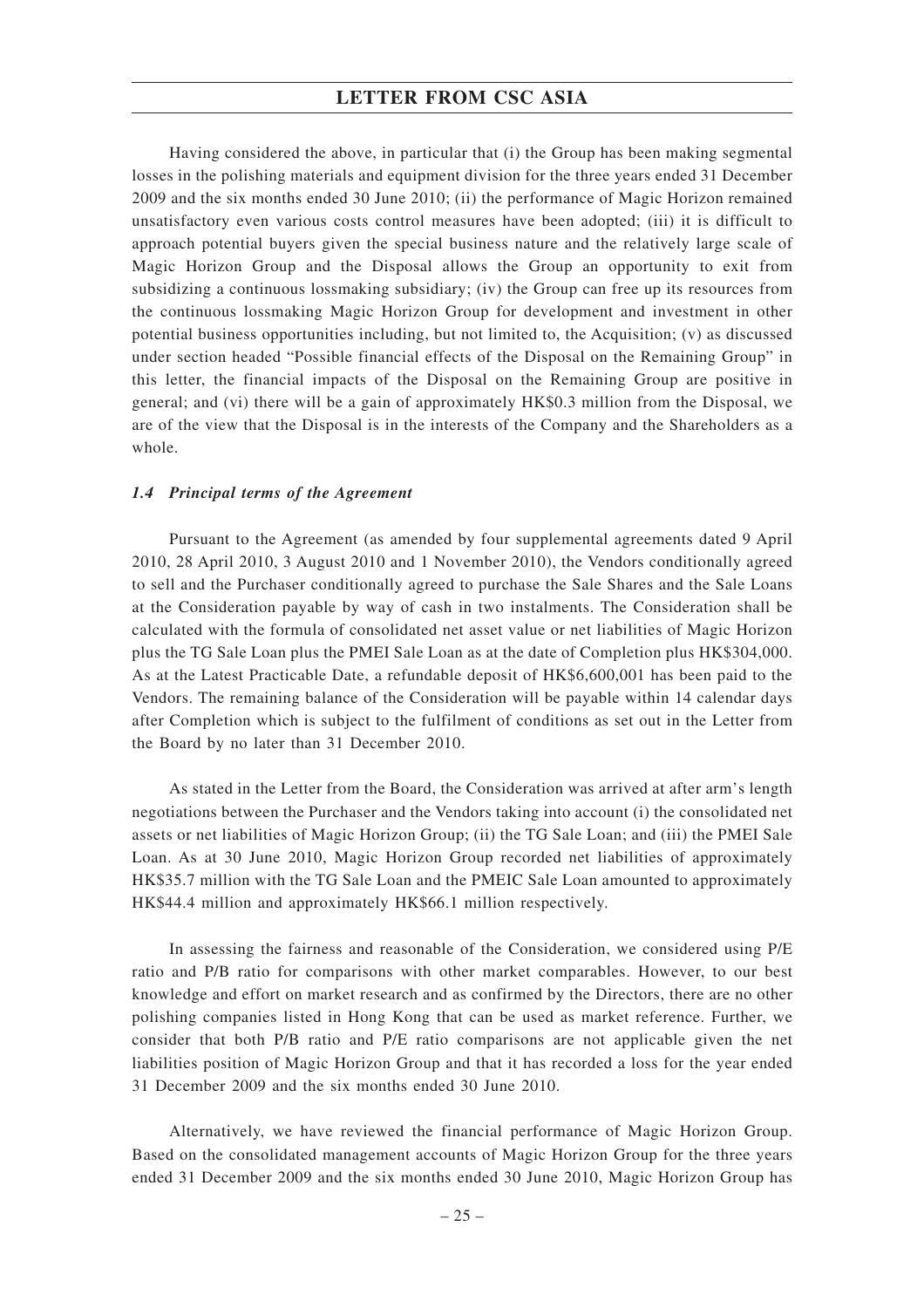Having considered the above, in particular that (i) the Group has been making segmental losses in the polishing materials and equipment division for the three years ended 31 December 2009 and the six months ended 30 June 2010; (ii) the performance of Magic Horizon remained unsatisfactory even various costs control measures have been adopted; (iii) it is difficult to approach potential buyers given the special business nature and the relatively large scale of Magic Horizon Group and the Disposal allows the Group an opportunity to exit from subsidizing a continuous lossmaking subsidiary; (iv) the Group can free up its resources from the continuous lossmaking Magic Horizon Group for development and investment in other potential business opportunities including, but not limited to, the Acquisition; (v) as discussed under section headed "Possible financial effects of the Disposal on the Remaining Group" in this letter, the financial impacts of the Disposal on the Remaining Group are positive in general; and (vi) there will be a gain of approximately HK\$0.3 million from the Disposal, we are of the view that the Disposal is in the interests of the Company and the Shareholders as a whole.

#### *1.4 Principal terms of the Agreement*

Pursuant to the Agreement (as amended by four supplemental agreements dated 9 April 2010, 28 April 2010, 3 August 2010 and 1 November 2010), the Vendors conditionally agreed to sell and the Purchaser conditionally agreed to purchase the Sale Shares and the Sale Loans at the Consideration payable by way of cash in two instalments. The Consideration shall be calculated with the formula of consolidated net asset value or net liabilities of Magic Horizon plus the TG Sale Loan plus the PMEI Sale Loan as at the date of Completion plus HK\$304,000. As at the Latest Practicable Date, a refundable deposit of HK\$6,600,001 has been paid to the Vendors. The remaining balance of the Consideration will be payable within 14 calendar days after Completion which is subject to the fulfilment of conditions as set out in the Letter from the Board by no later than 31 December 2010.

As stated in the Letter from the Board, the Consideration was arrived at after arm's length negotiations between the Purchaser and the Vendors taking into account (i) the consolidated net assets or net liabilities of Magic Horizon Group; (ii) the TG Sale Loan; and (iii) the PMEI Sale Loan. As at 30 June 2010, Magic Horizon Group recorded net liabilities of approximately HK\$35.7 million with the TG Sale Loan and the PMEIC Sale Loan amounted to approximately HK\$44.4 million and approximately HK\$66.1 million respectively.

In assessing the fairness and reasonable of the Consideration, we considered using P/E ratio and P/B ratio for comparisons with other market comparables. However, to our best knowledge and effort on market research and as confirmed by the Directors, there are no other polishing companies listed in Hong Kong that can be used as market reference. Further, we consider that both P/B ratio and P/E ratio comparisons are not applicable given the net liabilities position of Magic Horizon Group and that it has recorded a loss for the year ended 31 December 2009 and the six months ended 30 June 2010.

Alternatively, we have reviewed the financial performance of Magic Horizon Group. Based on the consolidated management accounts of Magic Horizon Group for the three years ended 31 December 2009 and the six months ended 30 June 2010, Magic Horizon Group has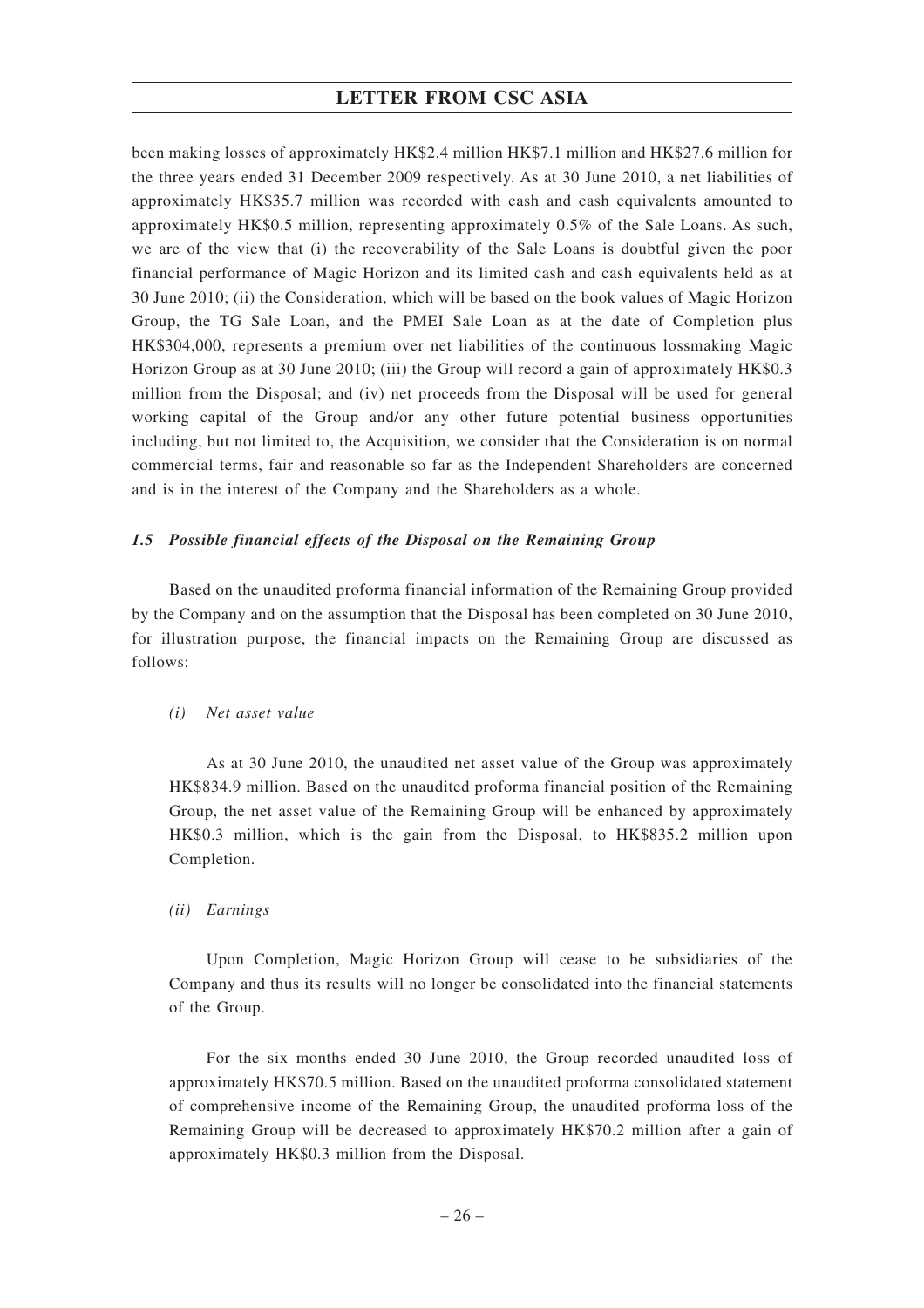been making losses of approximately HK\$2.4 million HK\$7.1 million and HK\$27.6 million for the three years ended 31 December 2009 respectively. As at 30 June 2010, a net liabilities of approximately HK\$35.7 million was recorded with cash and cash equivalents amounted to approximately HK\$0.5 million, representing approximately 0.5% of the Sale Loans. As such, we are of the view that (i) the recoverability of the Sale Loans is doubtful given the poor financial performance of Magic Horizon and its limited cash and cash equivalents held as at 30 June 2010; (ii) the Consideration, which will be based on the book values of Magic Horizon Group, the TG Sale Loan, and the PMEI Sale Loan as at the date of Completion plus HK\$304,000, represents a premium over net liabilities of the continuous lossmaking Magic Horizon Group as at 30 June 2010; (iii) the Group will record a gain of approximately HK\$0.3 million from the Disposal; and (iv) net proceeds from the Disposal will be used for general working capital of the Group and/or any other future potential business opportunities including, but not limited to, the Acquisition, we consider that the Consideration is on normal commercial terms, fair and reasonable so far as the Independent Shareholders are concerned and is in the interest of the Company and the Shareholders as a whole.

#### *1.5 Possible financial effects of the Disposal on the Remaining Group*

Based on the unaudited proforma financial information of the Remaining Group provided by the Company and on the assumption that the Disposal has been completed on 30 June 2010, for illustration purpose, the financial impacts on the Remaining Group are discussed as follows:

#### *(i) Net asset value*

As at 30 June 2010, the unaudited net asset value of the Group was approximately HK\$834.9 million. Based on the unaudited proforma financial position of the Remaining Group, the net asset value of the Remaining Group will be enhanced by approximately HK\$0.3 million, which is the gain from the Disposal, to HK\$835.2 million upon Completion.

#### *(ii) Earnings*

Upon Completion, Magic Horizon Group will cease to be subsidiaries of the Company and thus its results will no longer be consolidated into the financial statements of the Group.

For the six months ended 30 June 2010, the Group recorded unaudited loss of approximately HK\$70.5 million. Based on the unaudited proforma consolidated statement of comprehensive income of the Remaining Group, the unaudited proforma loss of the Remaining Group will be decreased to approximately HK\$70.2 million after a gain of approximately HK\$0.3 million from the Disposal.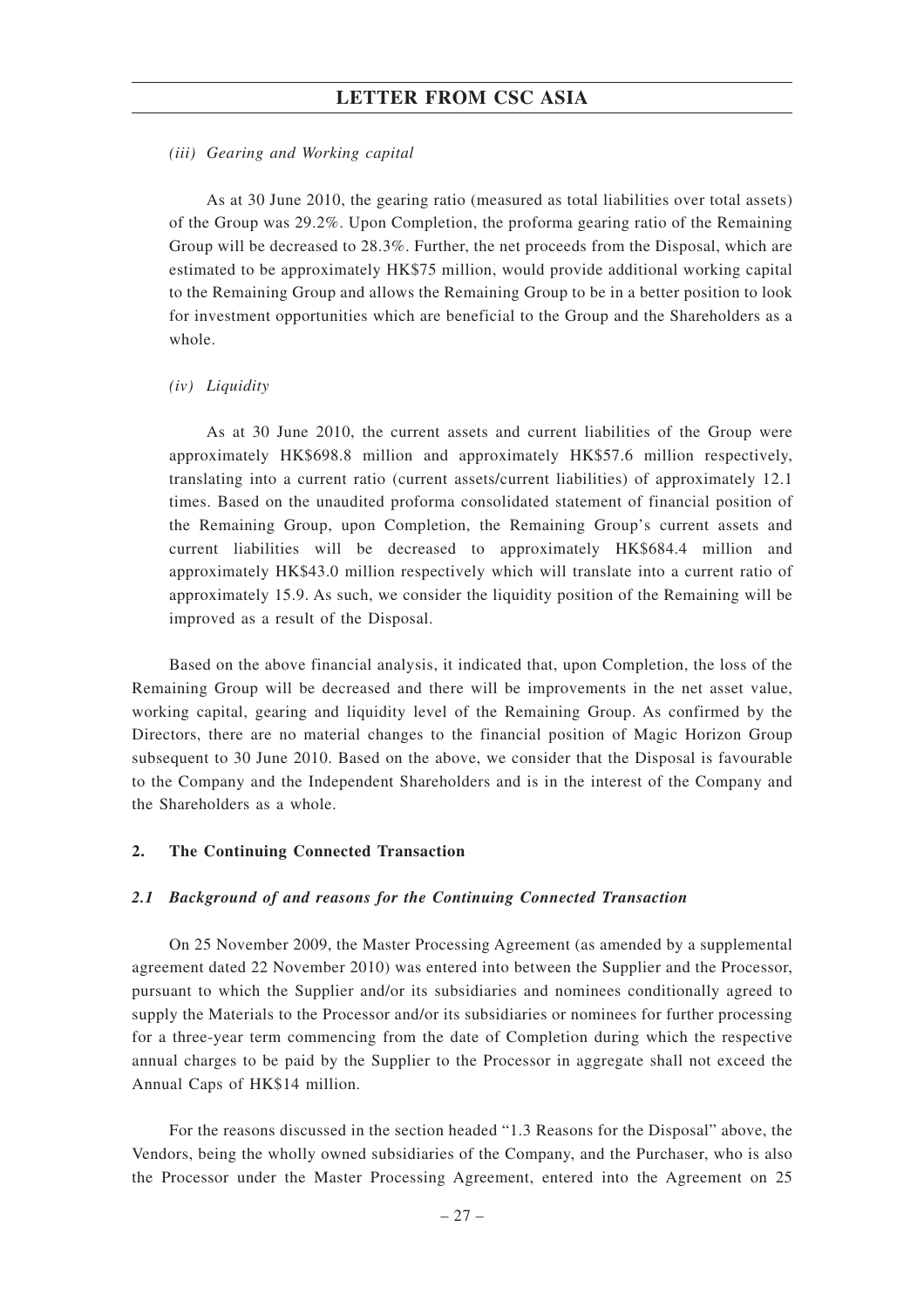#### *(iii) Gearing and Working capital*

As at 30 June 2010, the gearing ratio (measured as total liabilities over total assets) of the Group was 29.2%. Upon Completion, the proforma gearing ratio of the Remaining Group will be decreased to 28.3%. Further, the net proceeds from the Disposal, which are estimated to be approximately HK\$75 million, would provide additional working capital to the Remaining Group and allows the Remaining Group to be in a better position to look for investment opportunities which are beneficial to the Group and the Shareholders as a whole.

#### *(iv) Liquidity*

As at 30 June 2010, the current assets and current liabilities of the Group were approximately HK\$698.8 million and approximately HK\$57.6 million respectively, translating into a current ratio (current assets/current liabilities) of approximately 12.1 times. Based on the unaudited proforma consolidated statement of financial position of the Remaining Group, upon Completion, the Remaining Group's current assets and current liabilities will be decreased to approximately HK\$684.4 million and approximately HK\$43.0 million respectively which will translate into a current ratio of approximately 15.9. As such, we consider the liquidity position of the Remaining will be improved as a result of the Disposal.

Based on the above financial analysis, it indicated that, upon Completion, the loss of the Remaining Group will be decreased and there will be improvements in the net asset value, working capital, gearing and liquidity level of the Remaining Group. As confirmed by the Directors, there are no material changes to the financial position of Magic Horizon Group subsequent to 30 June 2010. Based on the above, we consider that the Disposal is favourable to the Company and the Independent Shareholders and is in the interest of the Company and the Shareholders as a whole.

#### **2. The Continuing Connected Transaction**

#### *2.1 Background of and reasons for the Continuing Connected Transaction*

On 25 November 2009, the Master Processing Agreement (as amended by a supplemental agreement dated 22 November 2010) was entered into between the Supplier and the Processor, pursuant to which the Supplier and/or its subsidiaries and nominees conditionally agreed to supply the Materials to the Processor and/or its subsidiaries or nominees for further processing for a three-year term commencing from the date of Completion during which the respective annual charges to be paid by the Supplier to the Processor in aggregate shall not exceed the Annual Caps of HK\$14 million.

For the reasons discussed in the section headed "1.3 Reasons for the Disposal" above, the Vendors, being the wholly owned subsidiaries of the Company, and the Purchaser, who is also the Processor under the Master Processing Agreement, entered into the Agreement on 25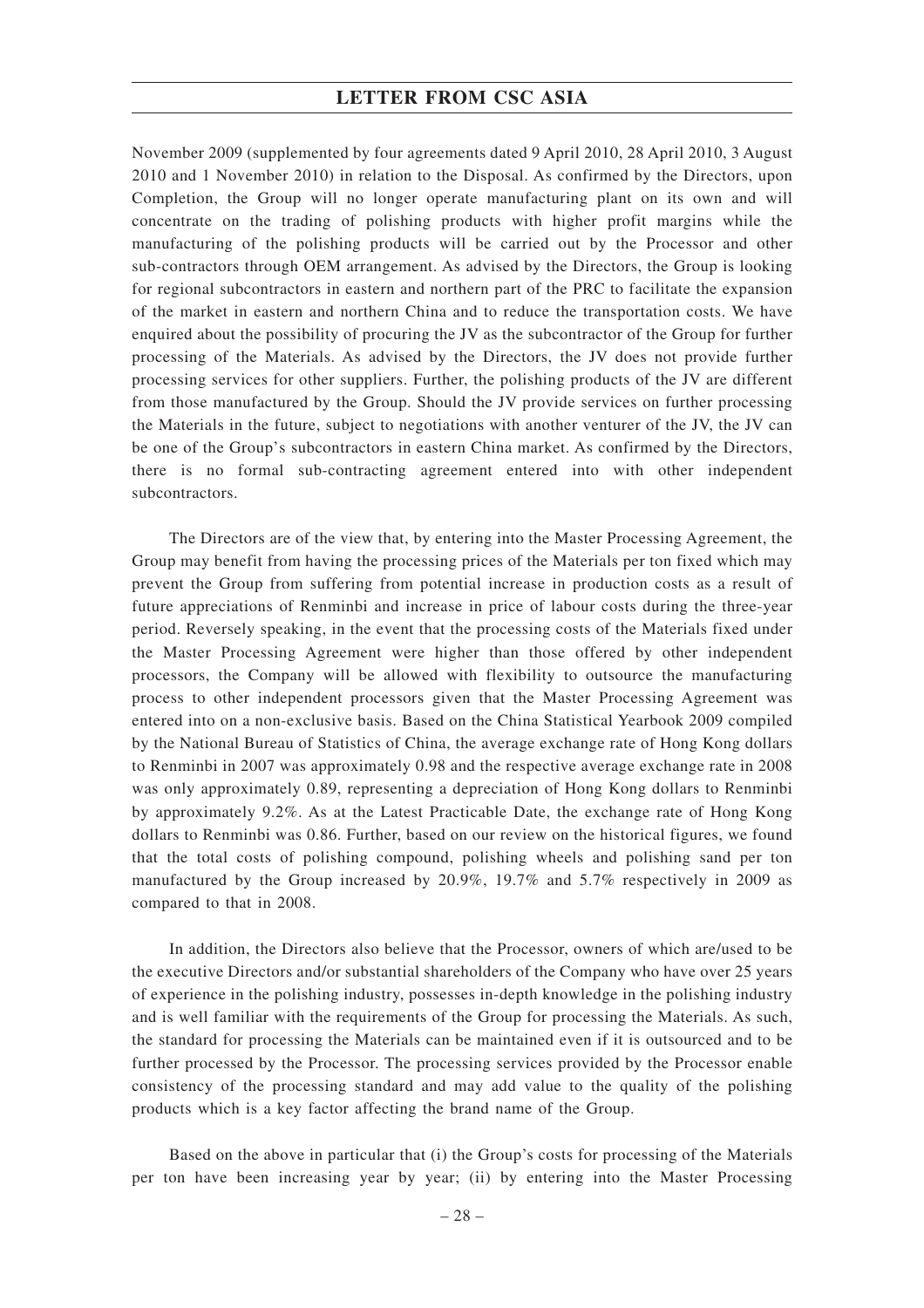November 2009 (supplemented by four agreements dated 9 April 2010, 28 April 2010, 3 August 2010 and 1 November 2010) in relation to the Disposal. As confirmed by the Directors, upon Completion, the Group will no longer operate manufacturing plant on its own and will concentrate on the trading of polishing products with higher profit margins while the manufacturing of the polishing products will be carried out by the Processor and other sub-contractors through OEM arrangement. As advised by the Directors, the Group is looking for regional subcontractors in eastern and northern part of the PRC to facilitate the expansion of the market in eastern and northern China and to reduce the transportation costs. We have enquired about the possibility of procuring the JV as the subcontractor of the Group for further processing of the Materials. As advised by the Directors, the JV does not provide further processing services for other suppliers. Further, the polishing products of the JV are different from those manufactured by the Group. Should the JV provide services on further processing the Materials in the future, subject to negotiations with another venturer of the JV, the JV can be one of the Group's subcontractors in eastern China market. As confirmed by the Directors, there is no formal sub-contracting agreement entered into with other independent subcontractors.

The Directors are of the view that, by entering into the Master Processing Agreement, the Group may benefit from having the processing prices of the Materials per ton fixed which may prevent the Group from suffering from potential increase in production costs as a result of future appreciations of Renminbi and increase in price of labour costs during the three-year period. Reversely speaking, in the event that the processing costs of the Materials fixed under the Master Processing Agreement were higher than those offered by other independent processors, the Company will be allowed with flexibility to outsource the manufacturing process to other independent processors given that the Master Processing Agreement was entered into on a non-exclusive basis. Based on the China Statistical Yearbook 2009 compiled by the National Bureau of Statistics of China, the average exchange rate of Hong Kong dollars to Renminbi in 2007 was approximately 0.98 and the respective average exchange rate in 2008 was only approximately 0.89, representing a depreciation of Hong Kong dollars to Renminbi by approximately 9.2%. As at the Latest Practicable Date, the exchange rate of Hong Kong dollars to Renminbi was 0.86. Further, based on our review on the historical figures, we found that the total costs of polishing compound, polishing wheels and polishing sand per ton manufactured by the Group increased by 20.9%, 19.7% and 5.7% respectively in 2009 as compared to that in 2008.

In addition, the Directors also believe that the Processor, owners of which are/used to be the executive Directors and/or substantial shareholders of the Company who have over 25 years of experience in the polishing industry, possesses in-depth knowledge in the polishing industry and is well familiar with the requirements of the Group for processing the Materials. As such, the standard for processing the Materials can be maintained even if it is outsourced and to be further processed by the Processor. The processing services provided by the Processor enable consistency of the processing standard and may add value to the quality of the polishing products which is a key factor affecting the brand name of the Group.

Based on the above in particular that (i) the Group's costs for processing of the Materials per ton have been increasing year by year; (ii) by entering into the Master Processing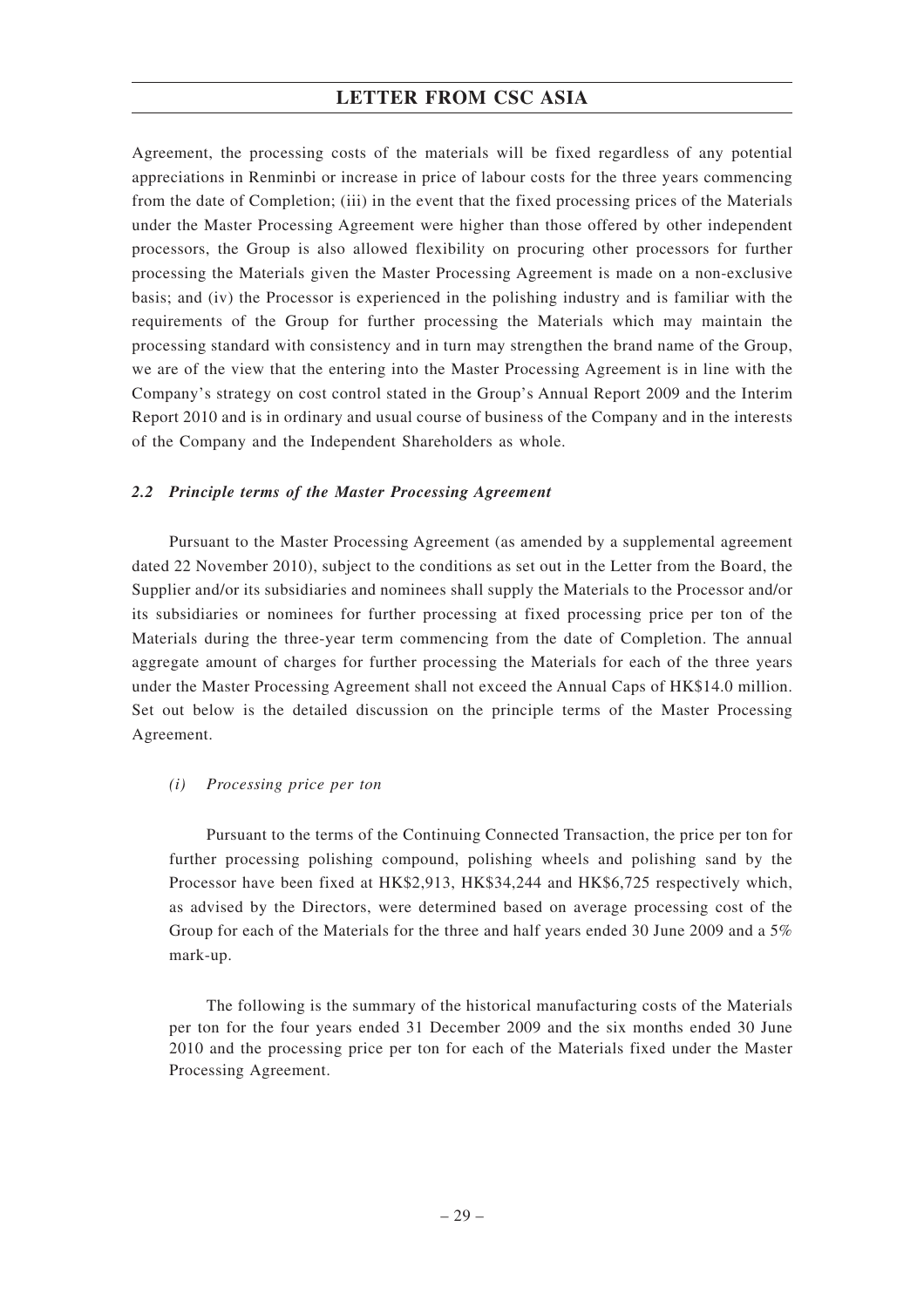Agreement, the processing costs of the materials will be fixed regardless of any potential appreciations in Renminbi or increase in price of labour costs for the three years commencing from the date of Completion; (iii) in the event that the fixed processing prices of the Materials under the Master Processing Agreement were higher than those offered by other independent processors, the Group is also allowed flexibility on procuring other processors for further processing the Materials given the Master Processing Agreement is made on a non-exclusive basis; and (iv) the Processor is experienced in the polishing industry and is familiar with the requirements of the Group for further processing the Materials which may maintain the processing standard with consistency and in turn may strengthen the brand name of the Group, we are of the view that the entering into the Master Processing Agreement is in line with the Company's strategy on cost control stated in the Group's Annual Report 2009 and the Interim Report 2010 and is in ordinary and usual course of business of the Company and in the interests of the Company and the Independent Shareholders as whole.

## *2.2 Principle terms of the Master Processing Agreement*

Pursuant to the Master Processing Agreement (as amended by a supplemental agreement dated 22 November 2010), subject to the conditions as set out in the Letter from the Board, the Supplier and/or its subsidiaries and nominees shall supply the Materials to the Processor and/or its subsidiaries or nominees for further processing at fixed processing price per ton of the Materials during the three-year term commencing from the date of Completion. The annual aggregate amount of charges for further processing the Materials for each of the three years under the Master Processing Agreement shall not exceed the Annual Caps of HK\$14.0 million. Set out below is the detailed discussion on the principle terms of the Master Processing Agreement.

# *(i) Processing price per ton*

Pursuant to the terms of the Continuing Connected Transaction, the price per ton for further processing polishing compound, polishing wheels and polishing sand by the Processor have been fixed at HK\$2,913, HK\$34,244 and HK\$6,725 respectively which, as advised by the Directors, were determined based on average processing cost of the Group for each of the Materials for the three and half years ended 30 June 2009 and a 5% mark-up.

The following is the summary of the historical manufacturing costs of the Materials per ton for the four years ended 31 December 2009 and the six months ended 30 June 2010 and the processing price per ton for each of the Materials fixed under the Master Processing Agreement.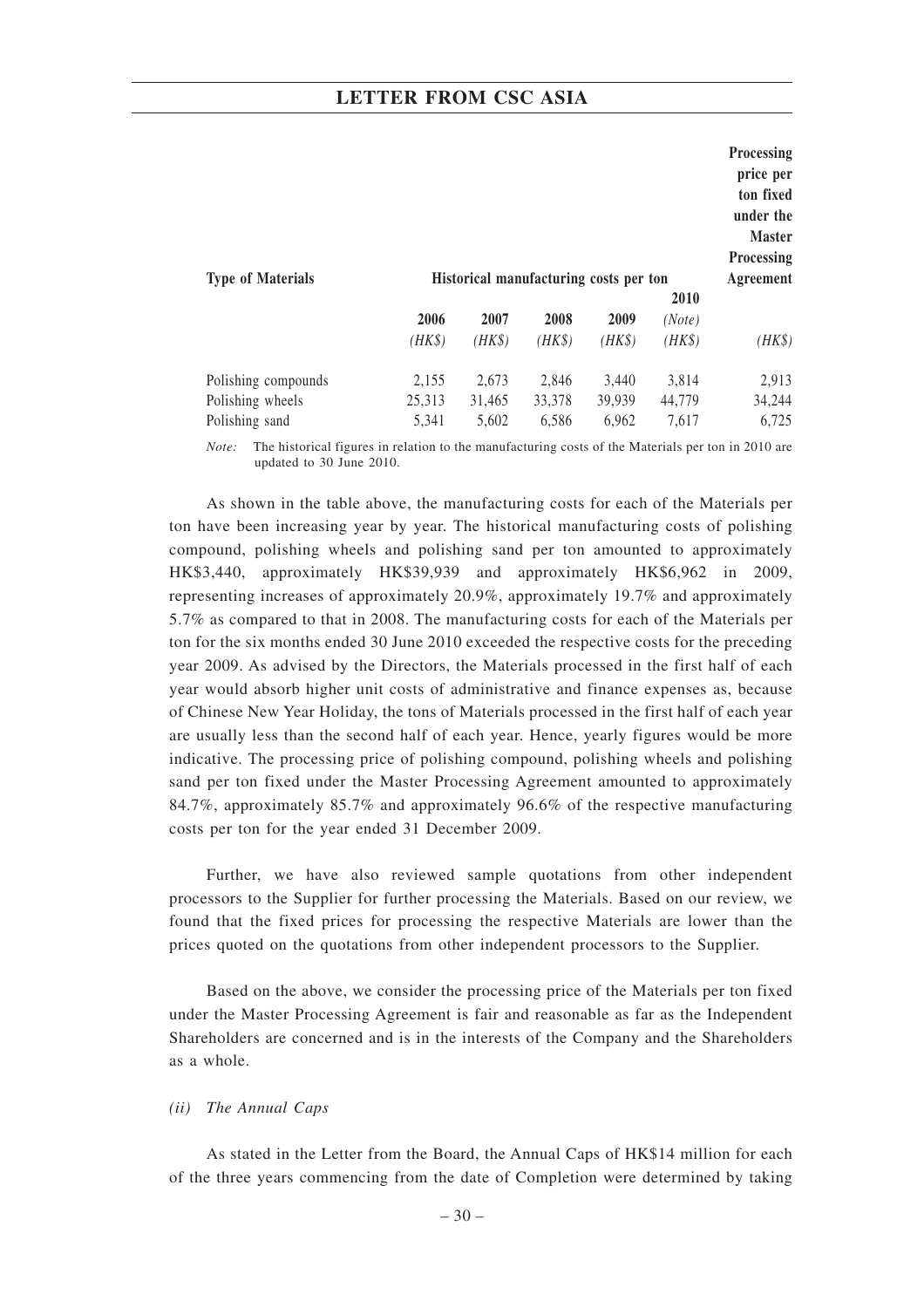| <b>Type of Materials</b> |        | Historical manufacturing costs per ton |        |        |             | Processing<br>price per<br>ton fixed<br>under the<br><b>Master</b><br><b>Processing</b><br>Agreement |
|--------------------------|--------|----------------------------------------|--------|--------|-------------|------------------------------------------------------------------------------------------------------|
|                          |        |                                        |        |        | <b>2010</b> |                                                                                                      |
|                          | 2006   | 2007                                   | 2008   | 2009   | (Note)      |                                                                                                      |
|                          | $(HK\$ | (HK\$)                                 | $(HK\$ | $(HK\$ | $(HK\$      | $(HK\$                                                                                               |
| Polishing compounds      | 2,155  | 2,673                                  | 2,846  | 3,440  | 3,814       | 2,913                                                                                                |
| Polishing wheels         | 25,313 | 31,465                                 | 33,378 | 39,939 | 44,779      | 34,244                                                                                               |
| Polishing sand           | 5,341  | 5,602                                  | 6,586  | 6,962  | 7,617       | 6,725                                                                                                |

*Note:* The historical figures in relation to the manufacturing costs of the Materials per ton in 2010 are updated to 30 June 2010.

As shown in the table above, the manufacturing costs for each of the Materials per ton have been increasing year by year. The historical manufacturing costs of polishing compound, polishing wheels and polishing sand per ton amounted to approximately HK\$3,440, approximately HK\$39,939 and approximately HK\$6,962 in 2009, representing increases of approximately 20.9%, approximately 19.7% and approximately 5.7% as compared to that in 2008. The manufacturing costs for each of the Materials per ton for the six months ended 30 June 2010 exceeded the respective costs for the preceding year 2009. As advised by the Directors, the Materials processed in the first half of each year would absorb higher unit costs of administrative and finance expenses as, because of Chinese New Year Holiday, the tons of Materials processed in the first half of each year are usually less than the second half of each year. Hence, yearly figures would be more indicative. The processing price of polishing compound, polishing wheels and polishing sand per ton fixed under the Master Processing Agreement amounted to approximately 84.7%, approximately 85.7% and approximately 96.6% of the respective manufacturing costs per ton for the year ended 31 December 2009.

Further, we have also reviewed sample quotations from other independent processors to the Supplier for further processing the Materials. Based on our review, we found that the fixed prices for processing the respective Materials are lower than the prices quoted on the quotations from other independent processors to the Supplier.

Based on the above, we consider the processing price of the Materials per ton fixed under the Master Processing Agreement is fair and reasonable as far as the Independent Shareholders are concerned and is in the interests of the Company and the Shareholders as a whole.

#### *(ii) The Annual Caps*

As stated in the Letter from the Board, the Annual Caps of HK\$14 million for each of the three years commencing from the date of Completion were determined by taking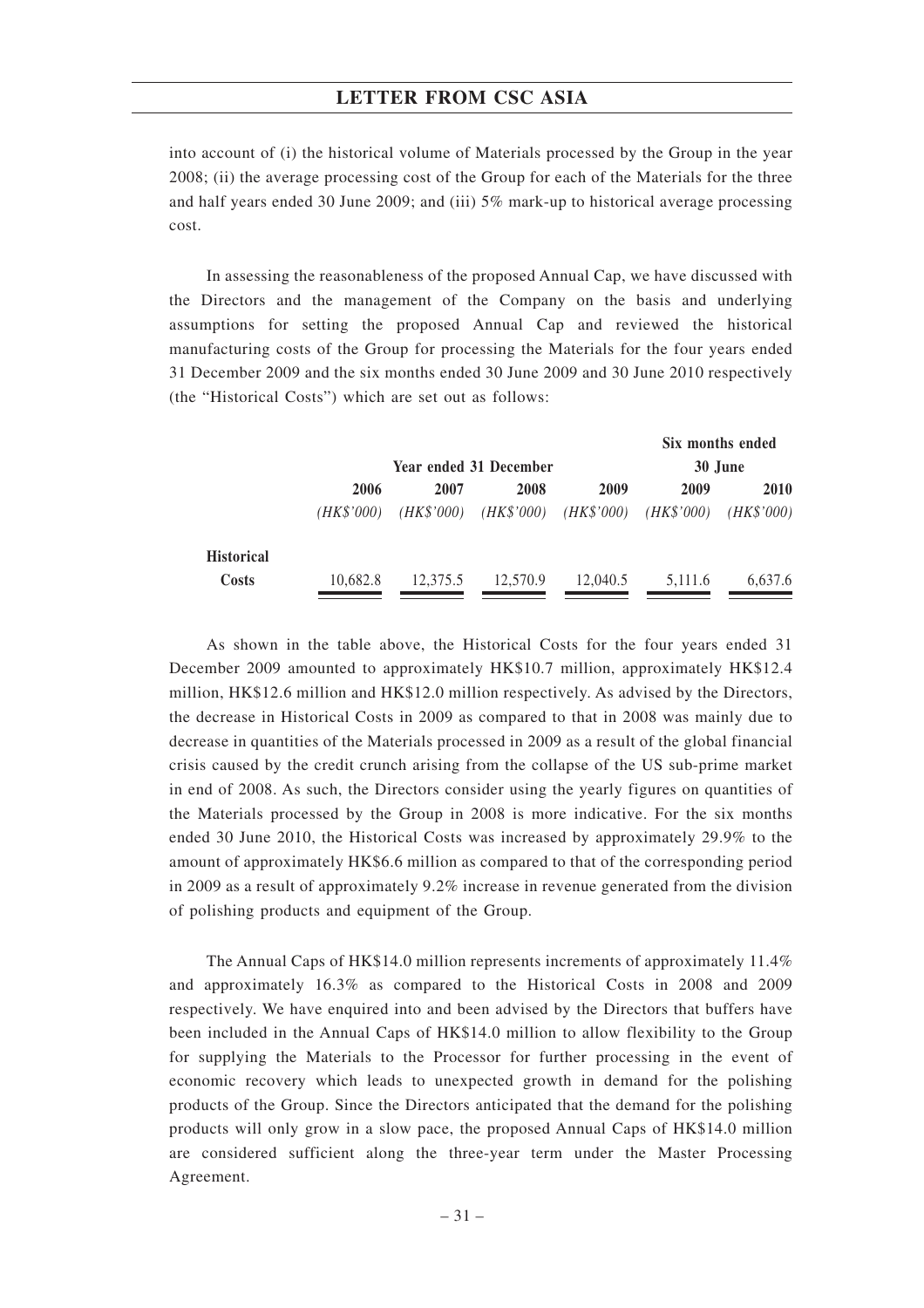into account of (i) the historical volume of Materials processed by the Group in the year 2008; (ii) the average processing cost of the Group for each of the Materials for the three and half years ended 30 June 2009; and (iii) 5% mark-up to historical average processing cost.

In assessing the reasonableness of the proposed Annual Cap, we have discussed with the Directors and the management of the Company on the basis and underlying assumptions for setting the proposed Annual Cap and reviewed the historical manufacturing costs of the Group for processing the Materials for the four years ended 31 December 2009 and the six months ended 30 June 2009 and 30 June 2010 respectively (the "Historical Costs") which are set out as follows:

|                   |            |          |                                     |          |            | Six months ended |
|-------------------|------------|----------|-------------------------------------|----------|------------|------------------|
|                   |            |          | Year ended 31 December              |          |            | 30 June          |
|                   | 2006       | 2007     | 2008                                | 2009     | 2009       | 2010             |
|                   | (HK\$'000) |          | $(HK$'000)$ $(HK$'000)$ $(HK$'000)$ |          | (HK\$'000) | (HK\$'000)       |
| <b>Historical</b> |            |          |                                     |          |            |                  |
| Costs             | 10,682.8   | 12.375.5 | 12.570.9                            | 12,040.5 | 5,111.6    | 6,637.6          |
|                   |            |          |                                     |          |            |                  |

As shown in the table above, the Historical Costs for the four years ended 31 December 2009 amounted to approximately HK\$10.7 million, approximately HK\$12.4 million, HK\$12.6 million and HK\$12.0 million respectively. As advised by the Directors, the decrease in Historical Costs in 2009 as compared to that in 2008 was mainly due to decrease in quantities of the Materials processed in 2009 as a result of the global financial crisis caused by the credit crunch arising from the collapse of the US sub-prime market in end of 2008. As such, the Directors consider using the yearly figures on quantities of the Materials processed by the Group in 2008 is more indicative. For the six months ended 30 June 2010, the Historical Costs was increased by approximately 29.9% to the amount of approximately HK\$6.6 million as compared to that of the corresponding period in 2009 as a result of approximately 9.2% increase in revenue generated from the division of polishing products and equipment of the Group.

The Annual Caps of HK\$14.0 million represents increments of approximately 11.4% and approximately 16.3% as compared to the Historical Costs in 2008 and 2009 respectively. We have enquired into and been advised by the Directors that buffers have been included in the Annual Caps of HK\$14.0 million to allow flexibility to the Group for supplying the Materials to the Processor for further processing in the event of economic recovery which leads to unexpected growth in demand for the polishing products of the Group. Since the Directors anticipated that the demand for the polishing products will only grow in a slow pace, the proposed Annual Caps of HK\$14.0 million are considered sufficient along the three-year term under the Master Processing Agreement.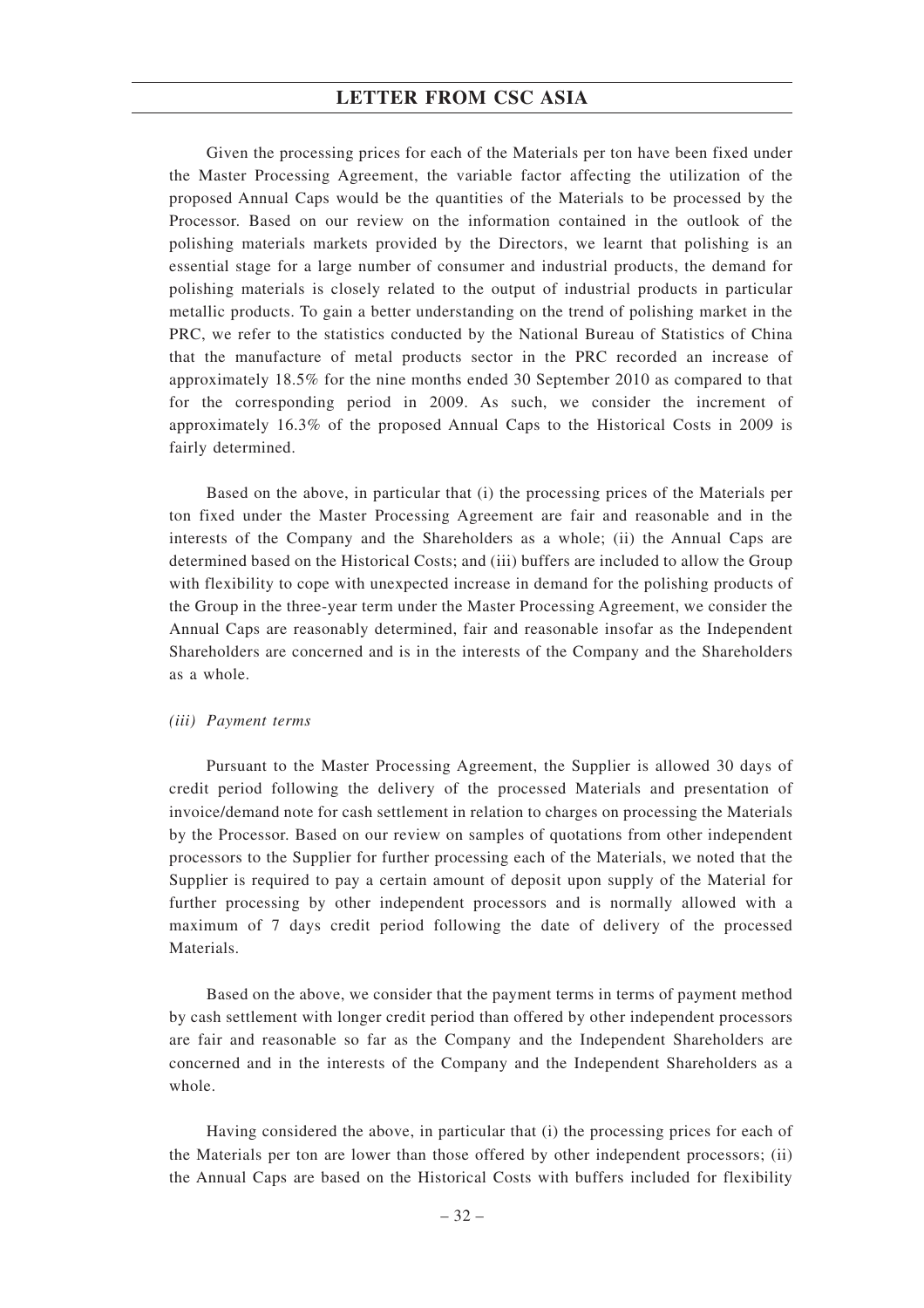Given the processing prices for each of the Materials per ton have been fixed under the Master Processing Agreement, the variable factor affecting the utilization of the proposed Annual Caps would be the quantities of the Materials to be processed by the Processor. Based on our review on the information contained in the outlook of the polishing materials markets provided by the Directors, we learnt that polishing is an essential stage for a large number of consumer and industrial products, the demand for polishing materials is closely related to the output of industrial products in particular metallic products. To gain a better understanding on the trend of polishing market in the PRC, we refer to the statistics conducted by the National Bureau of Statistics of China that the manufacture of metal products sector in the PRC recorded an increase of approximately 18.5% for the nine months ended 30 September 2010 as compared to that for the corresponding period in 2009. As such, we consider the increment of approximately 16.3% of the proposed Annual Caps to the Historical Costs in 2009 is fairly determined.

Based on the above, in particular that (i) the processing prices of the Materials per ton fixed under the Master Processing Agreement are fair and reasonable and in the interests of the Company and the Shareholders as a whole; (ii) the Annual Caps are determined based on the Historical Costs; and (iii) buffers are included to allow the Group with flexibility to cope with unexpected increase in demand for the polishing products of the Group in the three-year term under the Master Processing Agreement, we consider the Annual Caps are reasonably determined, fair and reasonable insofar as the Independent Shareholders are concerned and is in the interests of the Company and the Shareholders as a whole.

#### *(iii) Payment terms*

Pursuant to the Master Processing Agreement, the Supplier is allowed 30 days of credit period following the delivery of the processed Materials and presentation of invoice/demand note for cash settlement in relation to charges on processing the Materials by the Processor. Based on our review on samples of quotations from other independent processors to the Supplier for further processing each of the Materials, we noted that the Supplier is required to pay a certain amount of deposit upon supply of the Material for further processing by other independent processors and is normally allowed with a maximum of 7 days credit period following the date of delivery of the processed Materials.

Based on the above, we consider that the payment terms in terms of payment method by cash settlement with longer credit period than offered by other independent processors are fair and reasonable so far as the Company and the Independent Shareholders are concerned and in the interests of the Company and the Independent Shareholders as a whole.

Having considered the above, in particular that (i) the processing prices for each of the Materials per ton are lower than those offered by other independent processors; (ii) the Annual Caps are based on the Historical Costs with buffers included for flexibility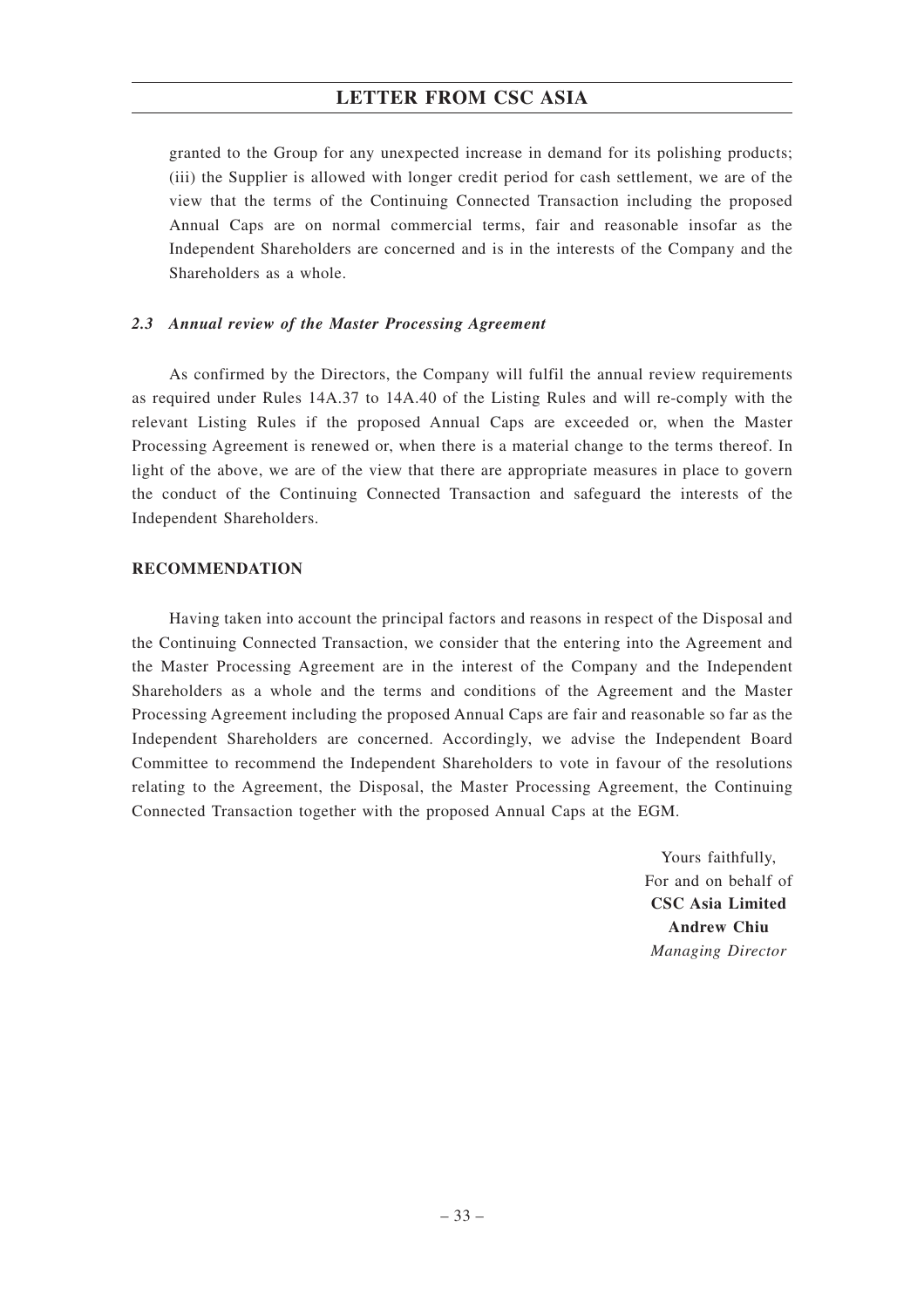granted to the Group for any unexpected increase in demand for its polishing products; (iii) the Supplier is allowed with longer credit period for cash settlement, we are of the view that the terms of the Continuing Connected Transaction including the proposed Annual Caps are on normal commercial terms, fair and reasonable insofar as the Independent Shareholders are concerned and is in the interests of the Company and the Shareholders as a whole.

#### *2.3 Annual review of the Master Processing Agreement*

As confirmed by the Directors, the Company will fulfil the annual review requirements as required under Rules 14A.37 to 14A.40 of the Listing Rules and will re-comply with the relevant Listing Rules if the proposed Annual Caps are exceeded or, when the Master Processing Agreement is renewed or, when there is a material change to the terms thereof. In light of the above, we are of the view that there are appropriate measures in place to govern the conduct of the Continuing Connected Transaction and safeguard the interests of the Independent Shareholders.

#### **RECOMMENDATION**

Having taken into account the principal factors and reasons in respect of the Disposal and the Continuing Connected Transaction, we consider that the entering into the Agreement and the Master Processing Agreement are in the interest of the Company and the Independent Shareholders as a whole and the terms and conditions of the Agreement and the Master Processing Agreement including the proposed Annual Caps are fair and reasonable so far as the Independent Shareholders are concerned. Accordingly, we advise the Independent Board Committee to recommend the Independent Shareholders to vote in favour of the resolutions relating to the Agreement, the Disposal, the Master Processing Agreement, the Continuing Connected Transaction together with the proposed Annual Caps at the EGM.

> Yours faithfully, For and on behalf of **CSC Asia Limited Andrew Chiu** *Managing Director*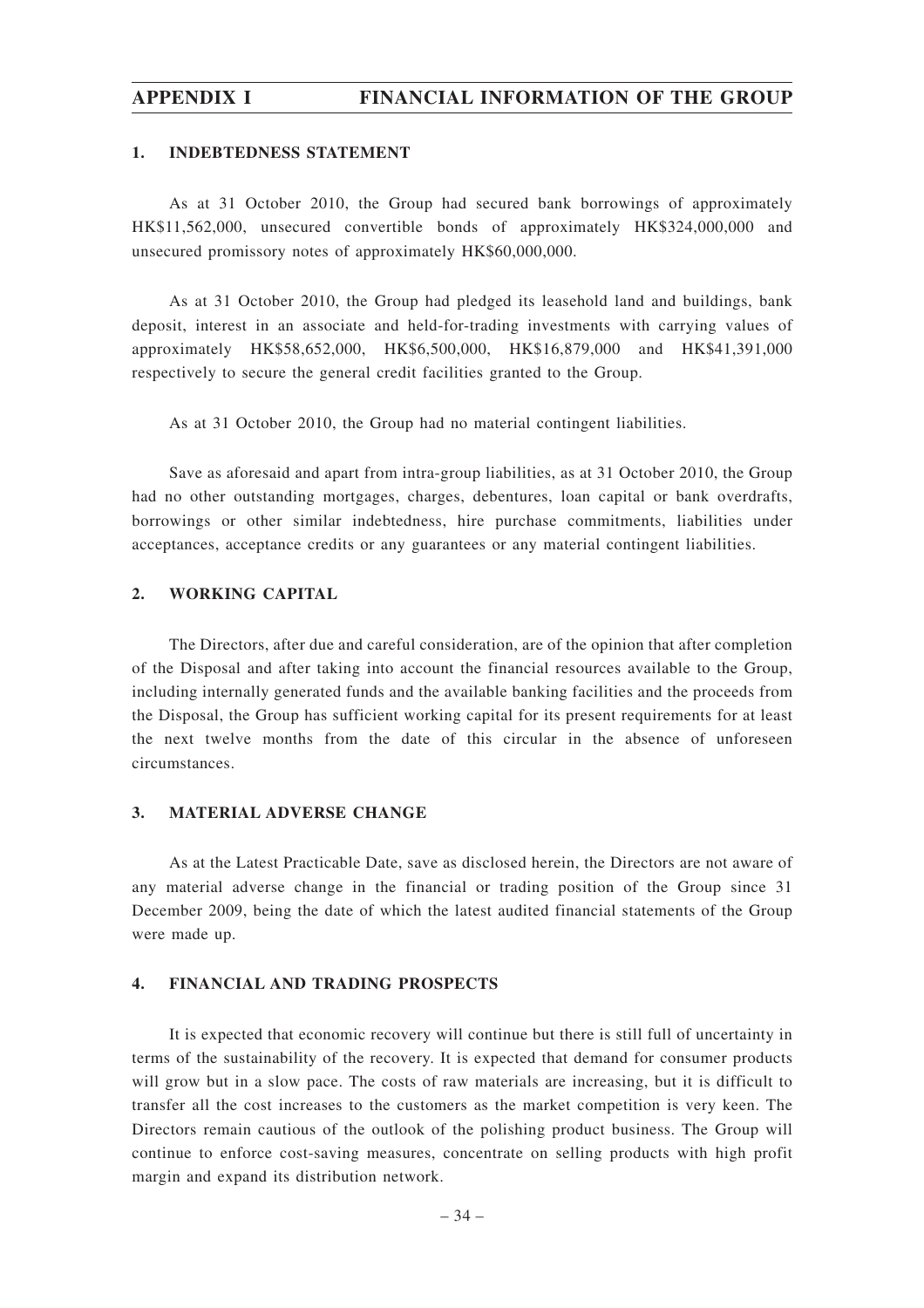# **APPENDIX I FINANCIAL INFORMATION OF THE GROUP**

#### **1. INDEBTEDNESS STATEMENT**

As at 31 October 2010, the Group had secured bank borrowings of approximately HK\$11,562,000, unsecured convertible bonds of approximately HK\$324,000,000 and unsecured promissory notes of approximately HK\$60,000,000.

As at 31 October 2010, the Group had pledged its leasehold land and buildings, bank deposit, interest in an associate and held-for-trading investments with carrying values of approximately HK\$58,652,000, HK\$6,500,000, HK\$16,879,000 and HK\$41,391,000 respectively to secure the general credit facilities granted to the Group.

As at 31 October 2010, the Group had no material contingent liabilities.

Save as aforesaid and apart from intra-group liabilities, as at 31 October 2010, the Group had no other outstanding mortgages, charges, debentures, loan capital or bank overdrafts, borrowings or other similar indebtedness, hire purchase commitments, liabilities under acceptances, acceptance credits or any guarantees or any material contingent liabilities.

#### **2. WORKING CAPITAL**

The Directors, after due and careful consideration, are of the opinion that after completion of the Disposal and after taking into account the financial resources available to the Group, including internally generated funds and the available banking facilities and the proceeds from the Disposal, the Group has sufficient working capital for its present requirements for at least the next twelve months from the date of this circular in the absence of unforeseen circumstances.

#### **3. MATERIAL ADVERSE CHANGE**

As at the Latest Practicable Date, save as disclosed herein, the Directors are not aware of any material adverse change in the financial or trading position of the Group since 31 December 2009, being the date of which the latest audited financial statements of the Group were made up.

## **4. FINANCIAL AND TRADING PROSPECTS**

It is expected that economic recovery will continue but there is still full of uncertainty in terms of the sustainability of the recovery. It is expected that demand for consumer products will grow but in a slow pace. The costs of raw materials are increasing, but it is difficult to transfer all the cost increases to the customers as the market competition is very keen. The Directors remain cautious of the outlook of the polishing product business. The Group will continue to enforce cost-saving measures, concentrate on selling products with high profit margin and expand its distribution network.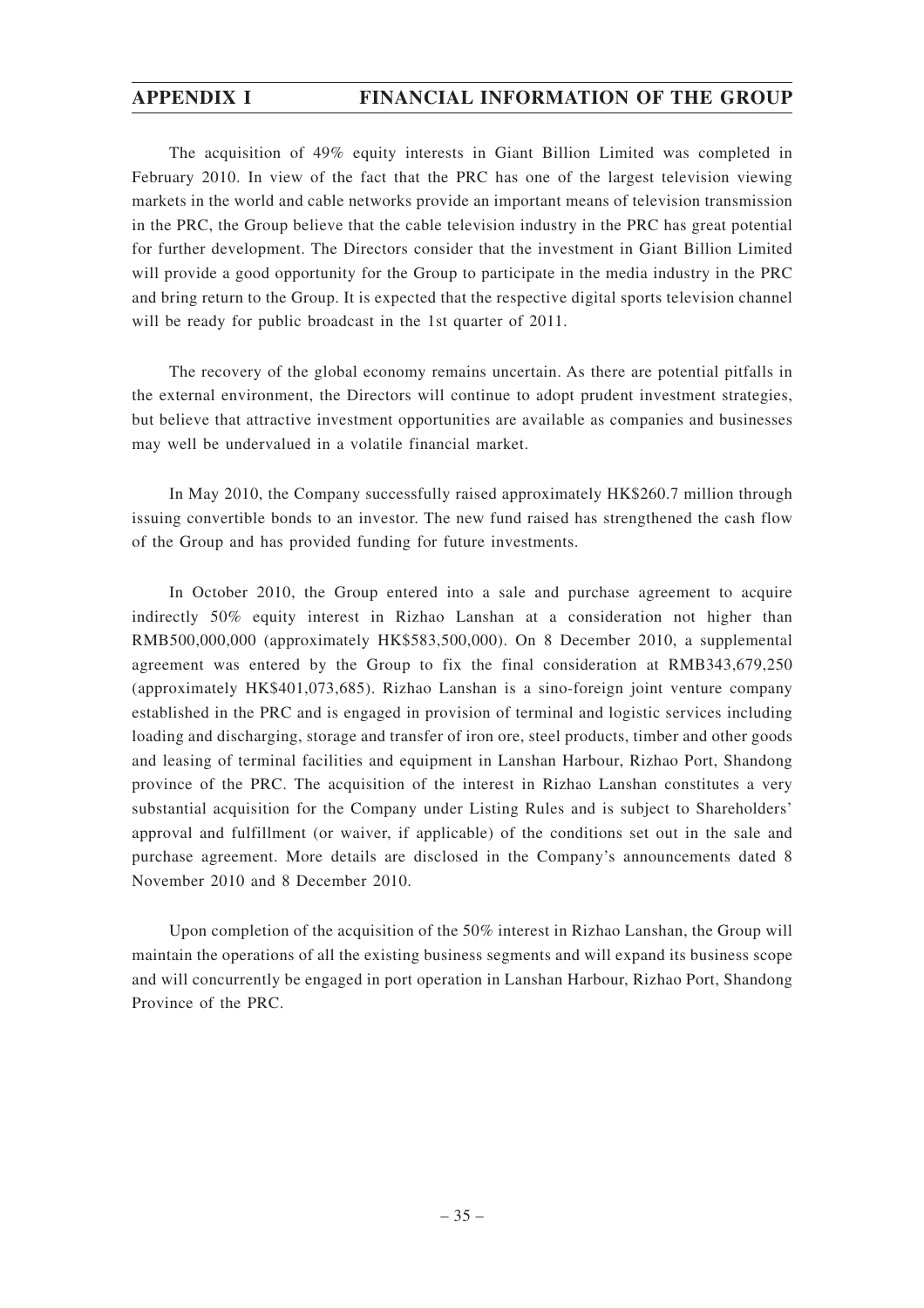# **APPENDIX I FINANCIAL INFORMATION OF THE GROUP**

The acquisition of 49% equity interests in Giant Billion Limited was completed in February 2010. In view of the fact that the PRC has one of the largest television viewing markets in the world and cable networks provide an important means of television transmission in the PRC, the Group believe that the cable television industry in the PRC has great potential for further development. The Directors consider that the investment in Giant Billion Limited will provide a good opportunity for the Group to participate in the media industry in the PRC and bring return to the Group. It is expected that the respective digital sports television channel will be ready for public broadcast in the 1st quarter of 2011.

The recovery of the global economy remains uncertain. As there are potential pitfalls in the external environment, the Directors will continue to adopt prudent investment strategies, but believe that attractive investment opportunities are available as companies and businesses may well be undervalued in a volatile financial market.

In May 2010, the Company successfully raised approximately HK\$260.7 million through issuing convertible bonds to an investor. The new fund raised has strengthened the cash flow of the Group and has provided funding for future investments.

In October 2010, the Group entered into a sale and purchase agreement to acquire indirectly 50% equity interest in Rizhao Lanshan at a consideration not higher than RMB500,000,000 (approximately HK\$583,500,000). On 8 December 2010, a supplemental agreement was entered by the Group to fix the final consideration at RMB343,679,250 (approximately HK\$401,073,685). Rizhao Lanshan is a sino-foreign joint venture company established in the PRC and is engaged in provision of terminal and logistic services including loading and discharging, storage and transfer of iron ore, steel products, timber and other goods and leasing of terminal facilities and equipment in Lanshan Harbour, Rizhao Port, Shandong province of the PRC. The acquisition of the interest in Rizhao Lanshan constitutes a very substantial acquisition for the Company under Listing Rules and is subject to Shareholders' approval and fulfillment (or waiver, if applicable) of the conditions set out in the sale and purchase agreement. More details are disclosed in the Company's announcements dated 8 November 2010 and 8 December 2010.

Upon completion of the acquisition of the 50% interest in Rizhao Lanshan, the Group will maintain the operations of all the existing business segments and will expand its business scope and will concurrently be engaged in port operation in Lanshan Harbour, Rizhao Port, Shandong Province of the PRC.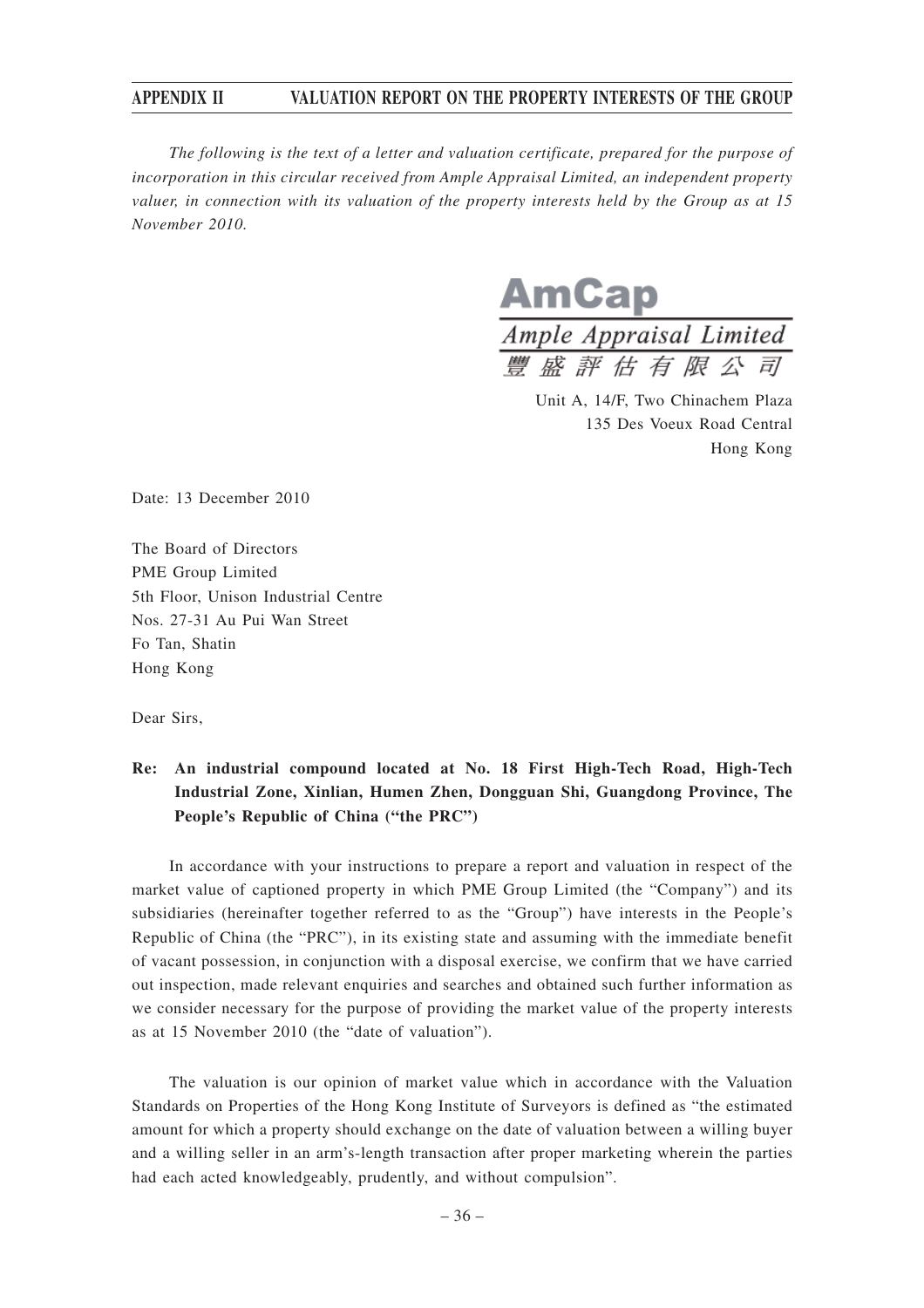*The following is the text of a letter and valuation certificate, prepared for the purpose of incorporation in this circular received from Ample Appraisal Limited, an independent property valuer, in connection with its valuation of the property interests held by the Group as at 15 November 2010.*

AmCap  $\frac{1}{\text{Ample \, Appraisal \, Limited}}$ <br>  $\frac{m}{\text{BH} \, \text{B} \, \text{B}}$   $\frac{m}{\text{BH} \, \text{B}}$   $\frac{m}{\text{BH}}$   $\frac{m}{\text{BH}}$   $\frac{m}{\text{BH}}$   $\frac{m}{\text{BH}}$ 

Unit A, 14/F, Two Chinachem Plaza 135 Des Voeux Road Central Hong Kong

Date: 13 December 2010

The Board of Directors PME Group Limited 5th Floor, Unison Industrial Centre Nos. 27-31 Au Pui Wan Street Fo Tan, Shatin Hong Kong

Dear Sirs,

# **Re: An industrial compound located at No. 18 First High-Tech Road, High-Tech Industrial Zone, Xinlian, Humen Zhen, Dongguan Shi, Guangdong Province, The People's Republic of China ("the PRC")**

In accordance with your instructions to prepare a report and valuation in respect of the market value of captioned property in which PME Group Limited (the "Company") and its subsidiaries (hereinafter together referred to as the "Group") have interests in the People's Republic of China (the "PRC"), in its existing state and assuming with the immediate benefit of vacant possession, in conjunction with a disposal exercise, we confirm that we have carried out inspection, made relevant enquiries and searches and obtained such further information as we consider necessary for the purpose of providing the market value of the property interests as at 15 November 2010 (the "date of valuation").

The valuation is our opinion of market value which in accordance with the Valuation Standards on Properties of the Hong Kong Institute of Surveyors is defined as "the estimated amount for which a property should exchange on the date of valuation between a willing buyer and a willing seller in an arm's-length transaction after proper marketing wherein the parties had each acted knowledgeably, prudently, and without compulsion".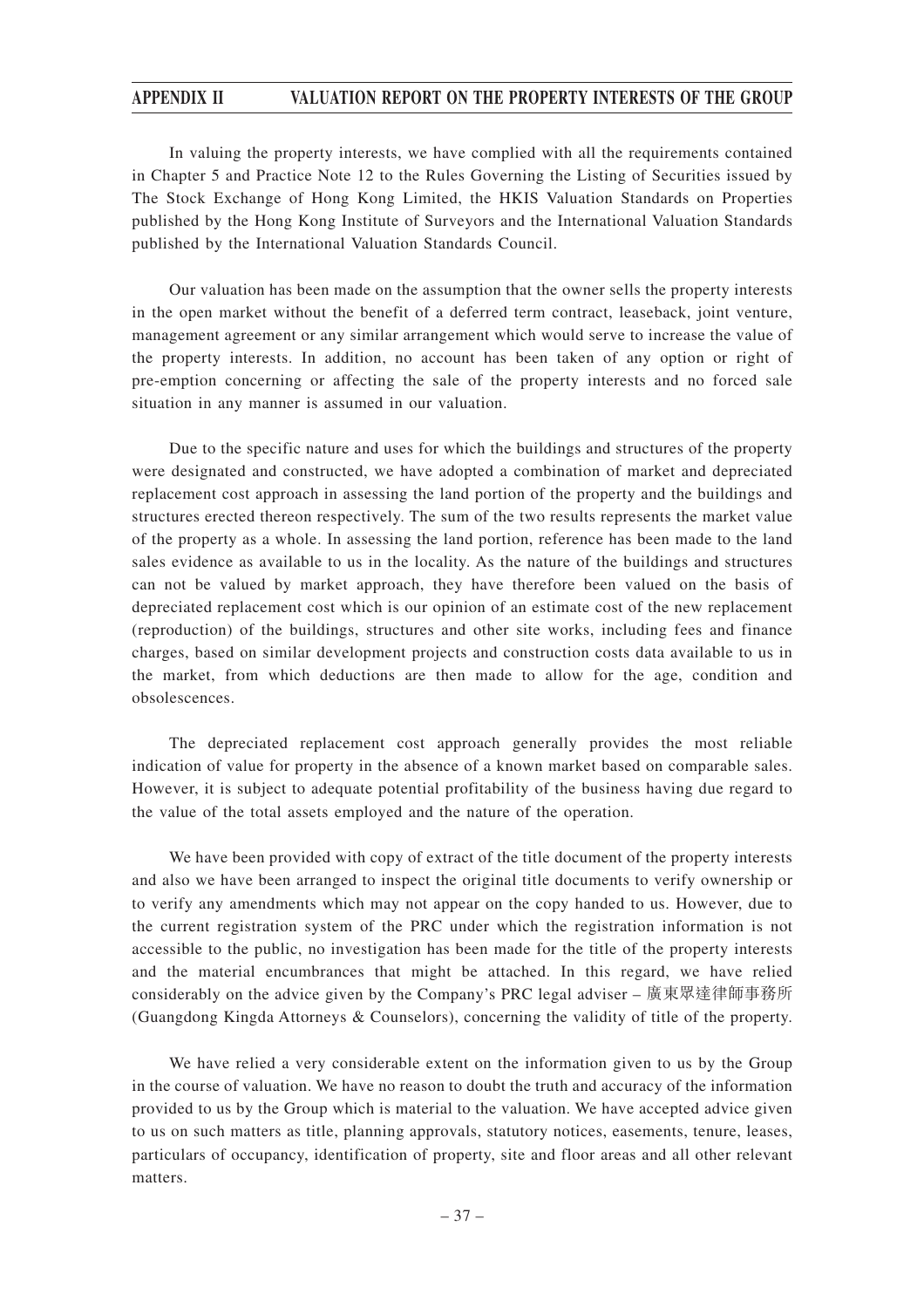In valuing the property interests, we have complied with all the requirements contained in Chapter 5 and Practice Note 12 to the Rules Governing the Listing of Securities issued by The Stock Exchange of Hong Kong Limited, the HKIS Valuation Standards on Properties published by the Hong Kong Institute of Surveyors and the International Valuation Standards published by the International Valuation Standards Council.

Our valuation has been made on the assumption that the owner sells the property interests in the open market without the benefit of a deferred term contract, leaseback, joint venture, management agreement or any similar arrangement which would serve to increase the value of the property interests. In addition, no account has been taken of any option or right of pre-emption concerning or affecting the sale of the property interests and no forced sale situation in any manner is assumed in our valuation.

Due to the specific nature and uses for which the buildings and structures of the property were designated and constructed, we have adopted a combination of market and depreciated replacement cost approach in assessing the land portion of the property and the buildings and structures erected thereon respectively. The sum of the two results represents the market value of the property as a whole. In assessing the land portion, reference has been made to the land sales evidence as available to us in the locality. As the nature of the buildings and structures can not be valued by market approach, they have therefore been valued on the basis of depreciated replacement cost which is our opinion of an estimate cost of the new replacement (reproduction) of the buildings, structures and other site works, including fees and finance charges, based on similar development projects and construction costs data available to us in the market, from which deductions are then made to allow for the age, condition and obsolescences.

The depreciated replacement cost approach generally provides the most reliable indication of value for property in the absence of a known market based on comparable sales. However, it is subject to adequate potential profitability of the business having due regard to the value of the total assets employed and the nature of the operation.

We have been provided with copy of extract of the title document of the property interests and also we have been arranged to inspect the original title documents to verify ownership or to verify any amendments which may not appear on the copy handed to us. However, due to the current registration system of the PRC under which the registration information is not accessible to the public, no investigation has been made for the title of the property interests and the material encumbrances that might be attached. In this regard, we have relied considerably on the advice given by the Company's PRC legal adviser – 廣東眾達律師事務所 (Guangdong Kingda Attorneys & Counselors), concerning the validity of title of the property.

We have relied a very considerable extent on the information given to us by the Group in the course of valuation. We have no reason to doubt the truth and accuracy of the information provided to us by the Group which is material to the valuation. We have accepted advice given to us on such matters as title, planning approvals, statutory notices, easements, tenure, leases, particulars of occupancy, identification of property, site and floor areas and all other relevant matters.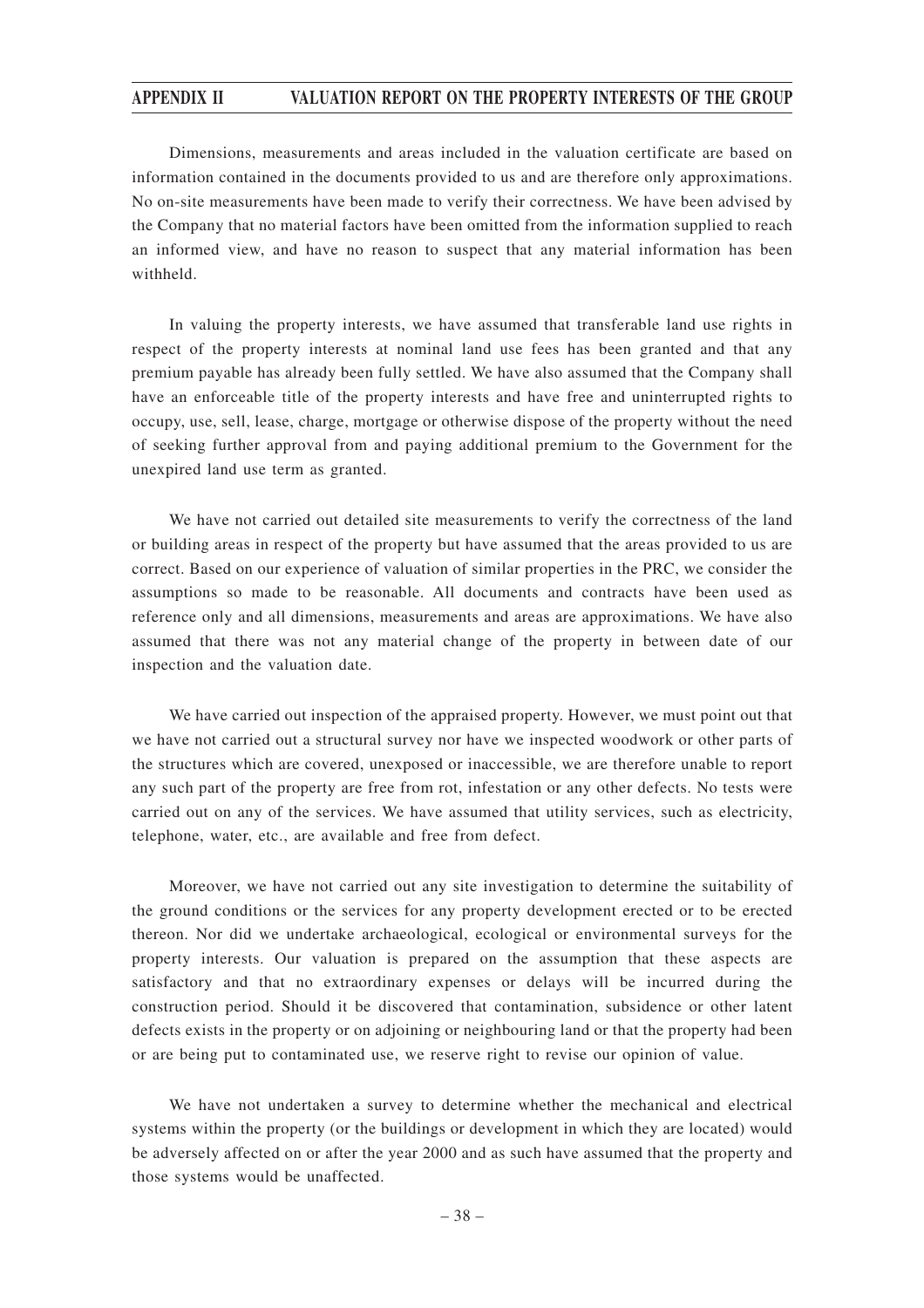Dimensions, measurements and areas included in the valuation certificate are based on information contained in the documents provided to us and are therefore only approximations. No on-site measurements have been made to verify their correctness. We have been advised by the Company that no material factors have been omitted from the information supplied to reach an informed view, and have no reason to suspect that any material information has been withheld.

In valuing the property interests, we have assumed that transferable land use rights in respect of the property interests at nominal land use fees has been granted and that any premium payable has already been fully settled. We have also assumed that the Company shall have an enforceable title of the property interests and have free and uninterrupted rights to occupy, use, sell, lease, charge, mortgage or otherwise dispose of the property without the need of seeking further approval from and paying additional premium to the Government for the unexpired land use term as granted.

We have not carried out detailed site measurements to verify the correctness of the land or building areas in respect of the property but have assumed that the areas provided to us are correct. Based on our experience of valuation of similar properties in the PRC, we consider the assumptions so made to be reasonable. All documents and contracts have been used as reference only and all dimensions, measurements and areas are approximations. We have also assumed that there was not any material change of the property in between date of our inspection and the valuation date.

We have carried out inspection of the appraised property. However, we must point out that we have not carried out a structural survey nor have we inspected woodwork or other parts of the structures which are covered, unexposed or inaccessible, we are therefore unable to report any such part of the property are free from rot, infestation or any other defects. No tests were carried out on any of the services. We have assumed that utility services, such as electricity, telephone, water, etc., are available and free from defect.

Moreover, we have not carried out any site investigation to determine the suitability of the ground conditions or the services for any property development erected or to be erected thereon. Nor did we undertake archaeological, ecological or environmental surveys for the property interests. Our valuation is prepared on the assumption that these aspects are satisfactory and that no extraordinary expenses or delays will be incurred during the construction period. Should it be discovered that contamination, subsidence or other latent defects exists in the property or on adjoining or neighbouring land or that the property had been or are being put to contaminated use, we reserve right to revise our opinion of value.

We have not undertaken a survey to determine whether the mechanical and electrical systems within the property (or the buildings or development in which they are located) would be adversely affected on or after the year 2000 and as such have assumed that the property and those systems would be unaffected.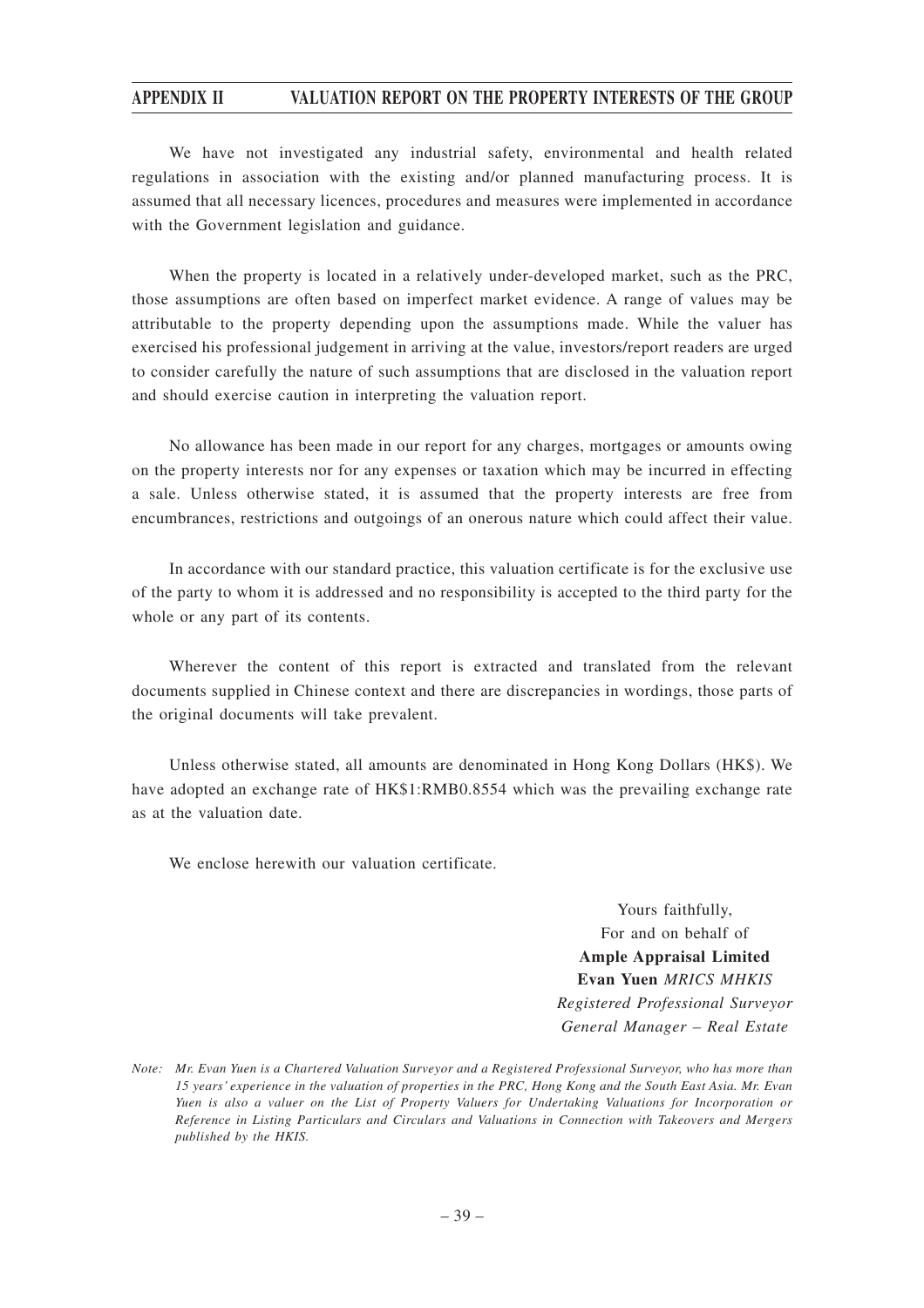We have not investigated any industrial safety, environmental and health related regulations in association with the existing and/or planned manufacturing process. It is assumed that all necessary licences, procedures and measures were implemented in accordance with the Government legislation and guidance.

When the property is located in a relatively under-developed market, such as the PRC, those assumptions are often based on imperfect market evidence. A range of values may be attributable to the property depending upon the assumptions made. While the valuer has exercised his professional judgement in arriving at the value, investors/report readers are urged to consider carefully the nature of such assumptions that are disclosed in the valuation report and should exercise caution in interpreting the valuation report.

No allowance has been made in our report for any charges, mortgages or amounts owing on the property interests nor for any expenses or taxation which may be incurred in effecting a sale. Unless otherwise stated, it is assumed that the property interests are free from encumbrances, restrictions and outgoings of an onerous nature which could affect their value.

In accordance with our standard practice, this valuation certificate is for the exclusive use of the party to whom it is addressed and no responsibility is accepted to the third party for the whole or any part of its contents.

Wherever the content of this report is extracted and translated from the relevant documents supplied in Chinese context and there are discrepancies in wordings, those parts of the original documents will take prevalent.

Unless otherwise stated, all amounts are denominated in Hong Kong Dollars (HK\$). We have adopted an exchange rate of HK\$1:RMB0.8554 which was the prevailing exchange rate as at the valuation date.

We enclose herewith our valuation certificate.

Yours faithfully, For and on behalf of **Ample Appraisal Limited Evan Yuen** *MRICS MHKIS Registered Professional Surveyor General Manager – Real Estate*

*Note: Mr. Evan Yuen is a Chartered Valuation Surveyor and a Registered Professional Surveyor, who has more than 15 years' experience in the valuation of properties in the PRC, Hong Kong and the South East Asia. Mr. Evan Yuen is also a valuer on the List of Property Valuers for Undertaking Valuations for Incorporation or Reference in Listing Particulars and Circulars and Valuations in Connection with Takeovers and Mergers published by the HKIS.*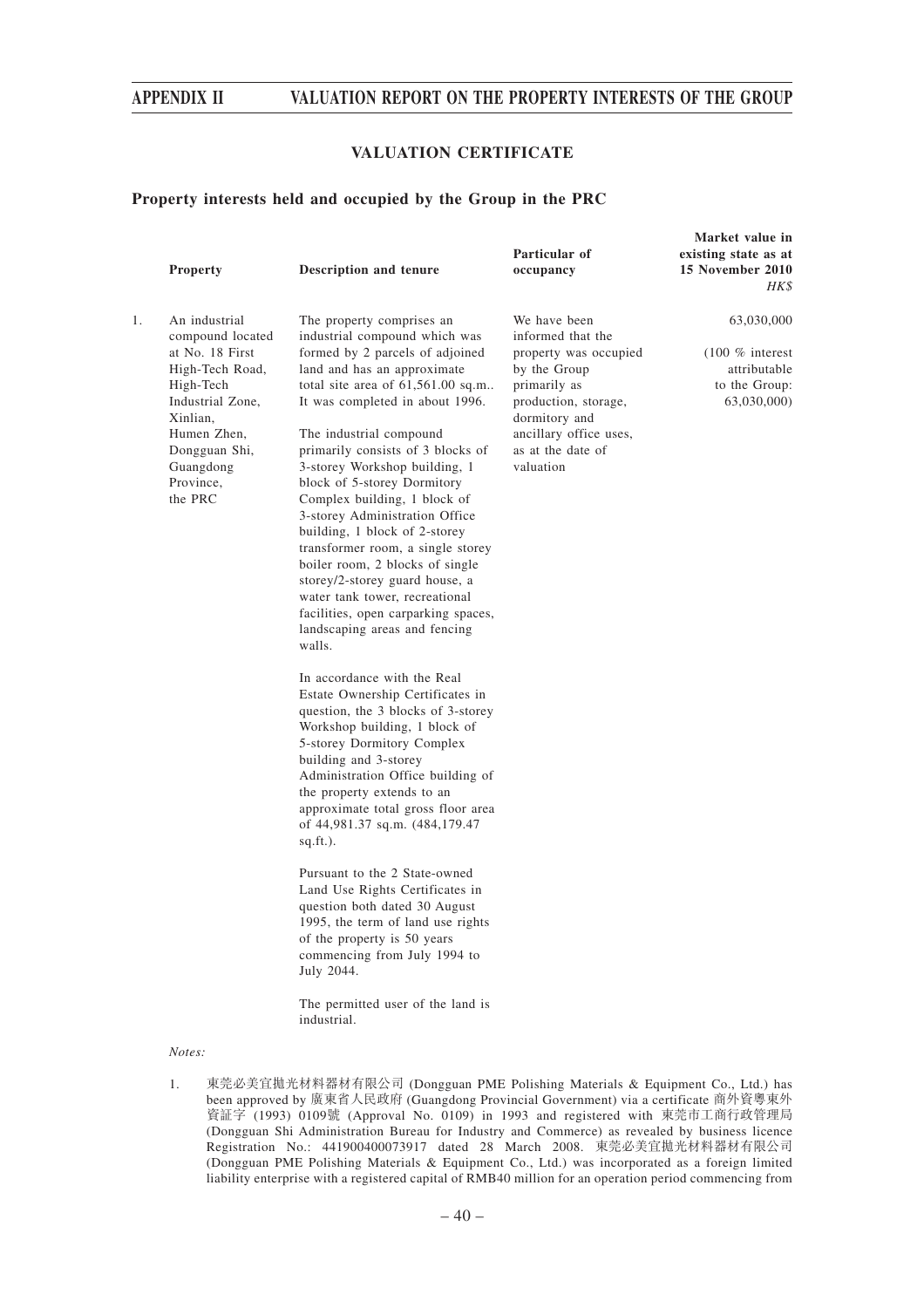### **VALUATION CERTIFICATE**

**Market value in**

#### **Property interests held and occupied by the Group in the PRC**

|    | <b>Property</b>                                                                                                                                                                           | <b>Description and tenure</b>                                                                                                                                                                                                                                                                                                                                                                                                                                                                                                                                                                                                                                                                                                                                                                                                                                                                                                                                                                                                                                                                                                                                                                                                                                                                                  | Particular of<br>occupancy                                                                                                                                                                      | existing state as at<br>15 November 2010<br>HK\$                                |
|----|-------------------------------------------------------------------------------------------------------------------------------------------------------------------------------------------|----------------------------------------------------------------------------------------------------------------------------------------------------------------------------------------------------------------------------------------------------------------------------------------------------------------------------------------------------------------------------------------------------------------------------------------------------------------------------------------------------------------------------------------------------------------------------------------------------------------------------------------------------------------------------------------------------------------------------------------------------------------------------------------------------------------------------------------------------------------------------------------------------------------------------------------------------------------------------------------------------------------------------------------------------------------------------------------------------------------------------------------------------------------------------------------------------------------------------------------------------------------------------------------------------------------|-------------------------------------------------------------------------------------------------------------------------------------------------------------------------------------------------|---------------------------------------------------------------------------------|
| 1. | An industrial<br>compound located<br>at No. 18 First<br>High-Tech Road,<br>High-Tech<br>Industrial Zone,<br>Xinlian,<br>Humen Zhen,<br>Dongguan Shi,<br>Guangdong<br>Province,<br>the PRC | The property comprises an<br>industrial compound which was<br>formed by 2 parcels of adjoined<br>land and has an approximate<br>total site area of $61,561.00$ sq.m<br>It was completed in about 1996.<br>The industrial compound<br>primarily consists of 3 blocks of<br>3-storey Workshop building, 1<br>block of 5-storey Dormitory<br>Complex building, 1 block of<br>3-storey Administration Office<br>building, 1 block of 2-storey<br>transformer room, a single storey<br>boiler room, 2 blocks of single<br>storey/2-storey guard house, a<br>water tank tower, recreational<br>facilities, open carparking spaces,<br>landscaping areas and fencing<br>walls.<br>In accordance with the Real<br>Estate Ownership Certificates in<br>question, the 3 blocks of 3-storey<br>Workshop building, 1 block of<br>5-storey Dormitory Complex<br>building and 3-storey<br>Administration Office building of<br>the property extends to an<br>approximate total gross floor area<br>of 44,981.37 sq.m. (484,179.47<br>$sq.fit.$ ).<br>Pursuant to the 2 State-owned<br>Land Use Rights Certificates in<br>question both dated 30 August<br>1995, the term of land use rights<br>of the property is 50 years<br>commencing from July 1994 to<br>July 2044.<br>The permitted user of the land is<br>industrial. | We have been<br>informed that the<br>property was occupied<br>by the Group<br>primarily as<br>production, storage,<br>dormitory and<br>ancillary office uses,<br>as at the date of<br>valuation | 63,030,000<br>$(100\%$ interest<br>attributable<br>to the Group:<br>63,030,000) |
|    | Notes:                                                                                                                                                                                    |                                                                                                                                                                                                                                                                                                                                                                                                                                                                                                                                                                                                                                                                                                                                                                                                                                                                                                                                                                                                                                                                                                                                                                                                                                                                                                                |                                                                                                                                                                                                 |                                                                                 |

1. 東莞必美宜拋光材料器材有限公司 (Dongguan PME Polishing Materials & Equipment Co., Ltd.) has been approved by 廣東省人民政府 (Guangdong Provincial Government) via a certificate 商外資粵東外 資証字 (1993) 0109號 (Approval No. 0109) in 1993 and registered with 東莞市工商行政管理局 (Dongguan Shi Administration Bureau for Industry and Commerce) as revealed by business licence Registration No.: 441900400073917 dated 28 March 2008. 東莞必美宜拋光材料器材有限公司 (Dongguan PME Polishing Materials & Equipment Co., Ltd.) was incorporated as a foreign limited liability enterprise with a registered capital of RMB40 million for an operation period commencing from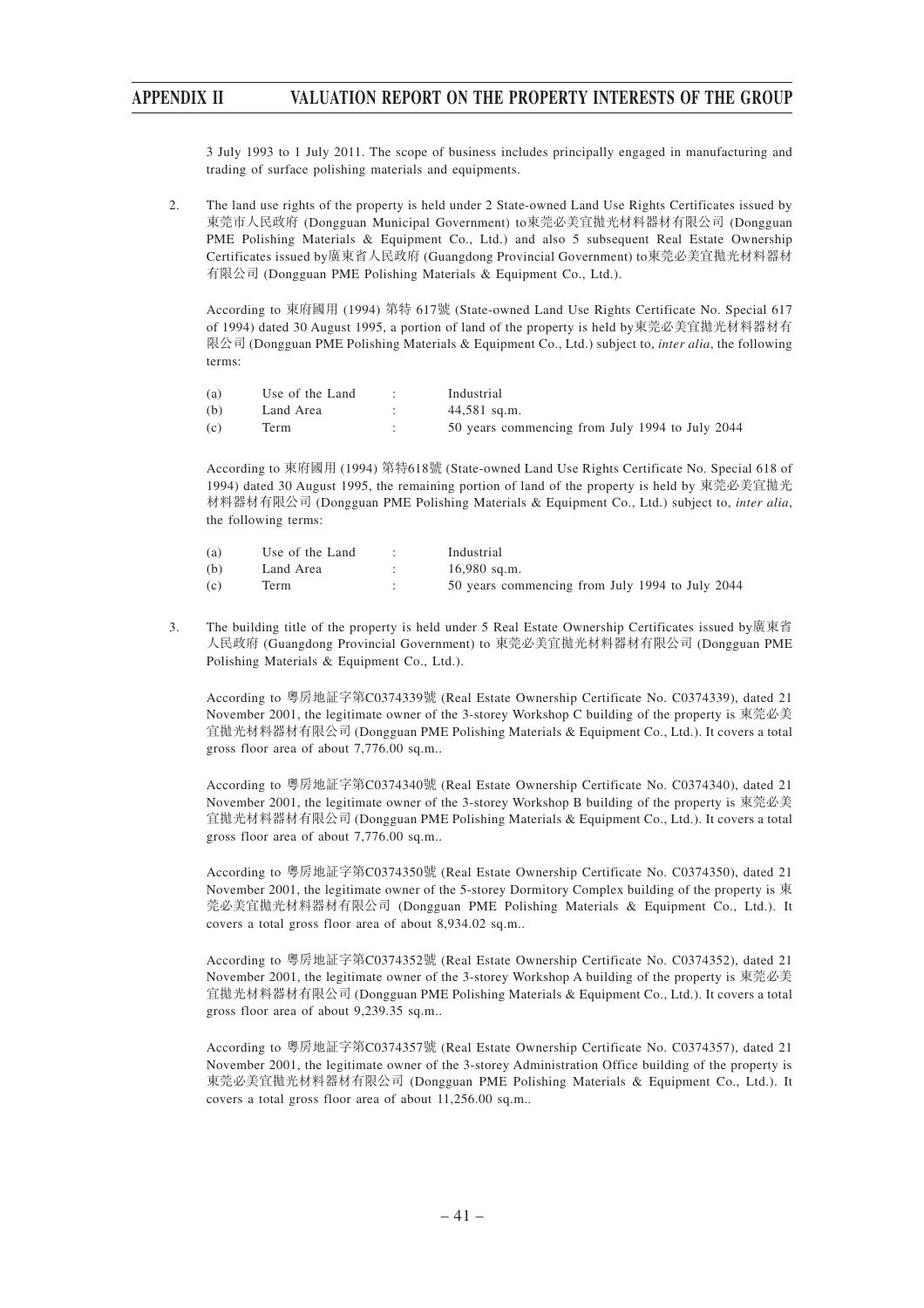3 July 1993 to 1 July 2011. The scope of business includes principally engaged in manufacturing and trading of surface polishing materials and equipments.

2. The land use rights of the property is held under 2 State-owned Land Use Rights Certificates issued by 東莞市人民政府 (Dongguan Municipal Government) to東莞必美宜拋光材料器材有限公司 (Dongguan PME Polishing Materials & Equipment Co., Ltd.) and also 5 subsequent Real Estate Ownership Certificates issued by廣東省人民政府 (Guangdong Provincial Government) to東莞必美宜拋光材料器材 有限公司 (Dongguan PME Polishing Materials & Equipment Co., Ltd.).

According to 東府國用 (1994) 第特 617號 (State-owned Land Use Rights Certificate No. Special 617 of 1994) dated 30 August 1995, a portion of land of the property is held by東莞必美宜拋光材料器材有 限公司 (Dongguan PME Polishing Materials & Equipment Co., Ltd.) subject to, *inter alia*, the following terms:

| (a) | Use of the Land | Industrial                                      |
|-----|-----------------|-------------------------------------------------|
| (b) | Land Area       | $44,581$ sq.m.                                  |
| (c) | Term            | 50 years commencing from July 1994 to July 2044 |

According to 東府國用 (1994) 第特618號 (State-owned Land Use Rights Certificate No. Special 618 of 1994) dated 30 August 1995, the remaining portion of land of the property is held by 東莞必美宜拋光 材料器材有限公司 (Dongguan PME Polishing Materials & Equipment Co., Ltd.) subject to, *inter alia*, the following terms:

| (a) | Use of the Land | Industrial                                      |
|-----|-----------------|-------------------------------------------------|
| (b) | Land Area       | $16,980$ sq.m.                                  |
| (c) | Term            | 50 years commencing from July 1994 to July 2044 |

3. The building title of the property is held under 5 Real Estate Ownership Certificates issued by廣東省 人民政府 (Guangdong Provincial Government) to 東莞必美宜拋光材料器材有限公司 (Dongguan PME Polishing Materials & Equipment Co., Ltd.).

According to 粵房地証字第C0374339號 (Real Estate Ownership Certificate No. C0374339), dated 21 November 2001, the legitimate owner of the 3-storey Workshop C building of the property is 東莞必美 宜拋光材料器材有限公司 (Dongguan PME Polishing Materials & Equipment Co., Ltd.). It covers a total gross floor area of about 7,776.00 sq.m..

According to 粵房地証字第C0374340號 (Real Estate Ownership Certificate No. C0374340), dated 21 November 2001, the legitimate owner of the 3-storey Workshop B building of the property is 東莞必美 宜拋光材料器材有限公司 (Dongguan PME Polishing Materials & Equipment Co., Ltd.). It covers a total gross floor area of about 7,776.00 sq.m..

According to 粵房地証字第C0374350號 (Real Estate Ownership Certificate No. C0374350), dated 21 November 2001, the legitimate owner of the 5-storey Dormitory Complex building of the property is 東 莞必美宜拋光材料器材有限公司 (Dongguan PME Polishing Materials & Equipment Co., Ltd.). It covers a total gross floor area of about 8,934.02 sq.m..

According to 粵房地証字第C0374352號 (Real Estate Ownership Certificate No. C0374352), dated 21 November 2001, the legitimate owner of the 3-storey Workshop A building of the property is 東莞必美 宜拋光材料器材有限公司 (Dongguan PME Polishing Materials & Equipment Co., Ltd.). It covers a total gross floor area of about 9,239.35 sq.m..

According to 粵房地証字第C0374357號 (Real Estate Ownership Certificate No. C0374357), dated 21 November 2001, the legitimate owner of the 3-storey Administration Office building of the property is 東莞必美宜拋光材料器材有限公司 (Dongguan PME Polishing Materials & Equipment Co., Ltd.). It covers a total gross floor area of about 11,256.00 sq.m..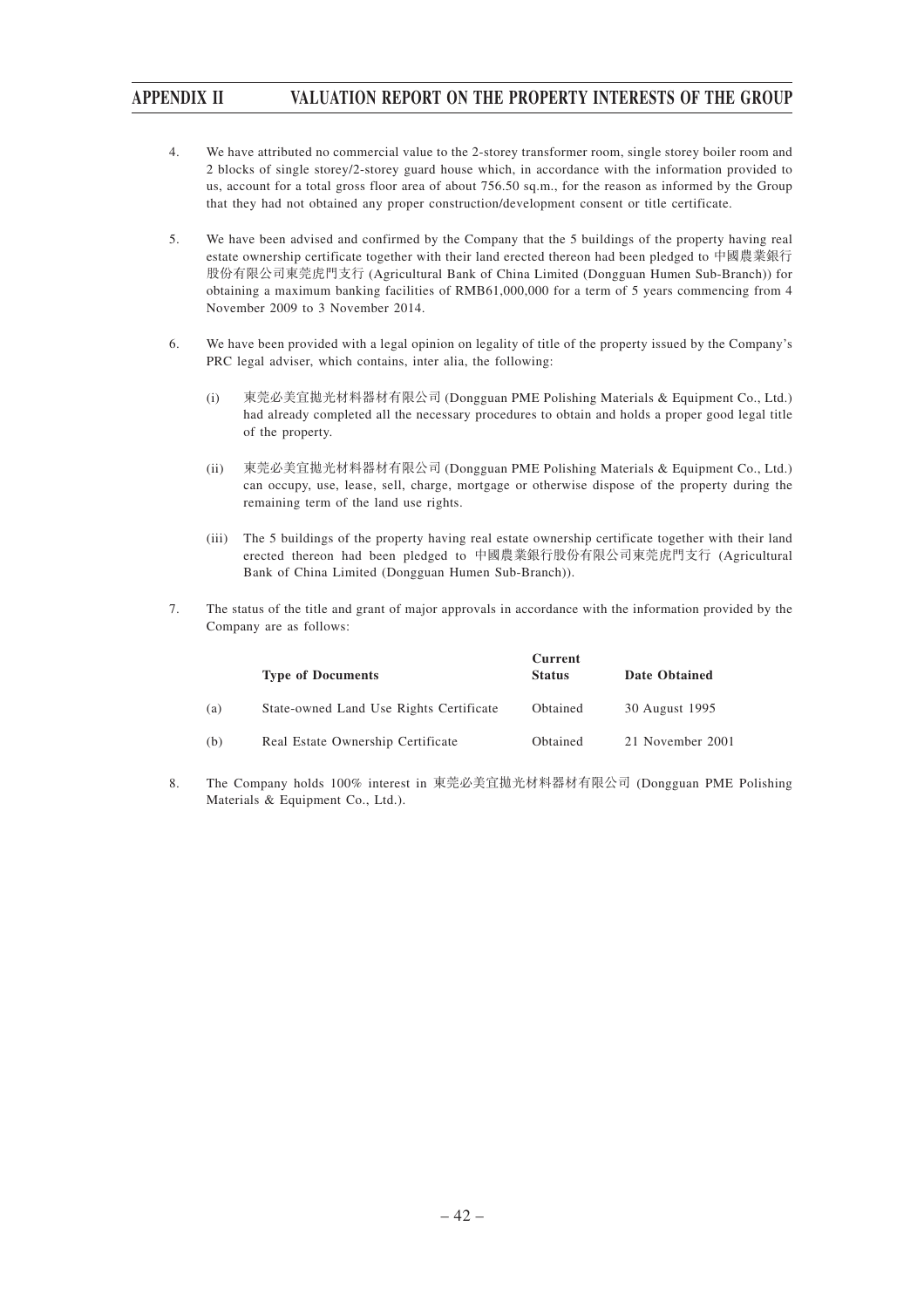- 4. We have attributed no commercial value to the 2-storey transformer room, single storey boiler room and 2 blocks of single storey/2-storey guard house which, in accordance with the information provided to us, account for a total gross floor area of about 756.50 sq.m., for the reason as informed by the Group that they had not obtained any proper construction/development consent or title certificate.
- 5. We have been advised and confirmed by the Company that the 5 buildings of the property having real estate ownership certificate together with their land erected thereon had been pledged to 中國農業銀行 股份有限公司東莞虎門支行 (Agricultural Bank of China Limited (Dongguan Humen Sub-Branch)) for obtaining a maximum banking facilities of RMB61,000,000 for a term of 5 years commencing from 4 November 2009 to 3 November 2014.
- 6. We have been provided with a legal opinion on legality of title of the property issued by the Company's PRC legal adviser, which contains, inter alia, the following:
	- (i) 東莞必美宜拋光材料器材有限公司 (Dongguan PME Polishing Materials & Equipment Co., Ltd.) had already completed all the necessary procedures to obtain and holds a proper good legal title of the property.
	- (ii) 東莞必美宜拋光材料器材有限公司 (Dongguan PME Polishing Materials & Equipment Co., Ltd.) can occupy, use, lease, sell, charge, mortgage or otherwise dispose of the property during the remaining term of the land use rights.
	- (iii) The 5 buildings of the property having real estate ownership certificate together with their land erected thereon had been pledged to 中國農業銀行股份有限公司東莞虎門支行 (Agricultural Bank of China Limited (Dongguan Humen Sub-Branch)).
- 7. The status of the title and grant of major approvals in accordance with the information provided by the Company are as follows:

|     | <b>Type of Documents</b>                | Current<br><b>Status</b> | Date Obtained    |
|-----|-----------------------------------------|--------------------------|------------------|
| (a) | State-owned Land Use Rights Certificate | Obtained                 | 30 August 1995   |
| (b) | Real Estate Ownership Certificate       | Obtained                 | 21 November 2001 |

8. The Company holds 100% interest in 東莞必美宜拋光材料器材有限公司 (Dongguan PME Polishing Materials & Equipment Co., Ltd.).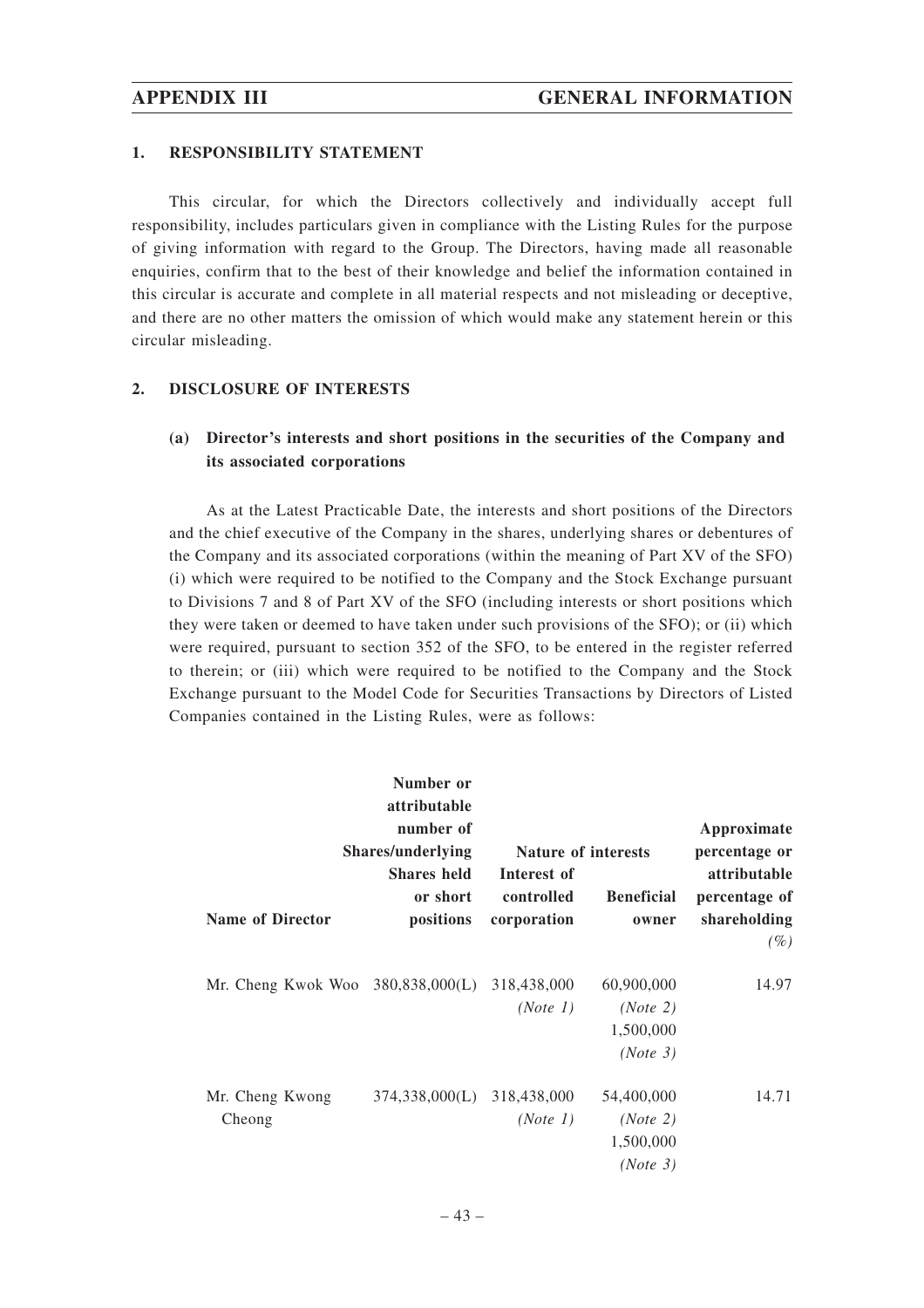#### **1. RESPONSIBILITY STATEMENT**

This circular, for which the Directors collectively and individually accept full responsibility, includes particulars given in compliance with the Listing Rules for the purpose of giving information with regard to the Group. The Directors, having made all reasonable enquiries, confirm that to the best of their knowledge and belief the information contained in this circular is accurate and complete in all material respects and not misleading or deceptive, and there are no other matters the omission of which would make any statement herein or this circular misleading.

# **2. DISCLOSURE OF INTERESTS**

# **(a) Director's interests and short positions in the securities of the Company and its associated corporations**

As at the Latest Practicable Date, the interests and short positions of the Directors and the chief executive of the Company in the shares, underlying shares or debentures of the Company and its associated corporations (within the meaning of Part XV of the SFO) (i) which were required to be notified to the Company and the Stock Exchange pursuant to Divisions 7 and 8 of Part XV of the SFO (including interests or short positions which they were taken or deemed to have taken under such provisions of the SFO); or (ii) which were required, pursuant to section 352 of the SFO, to be entered in the register referred to therein; or (iii) which were required to be notified to the Company and the Stock Exchange pursuant to the Model Code for Securities Transactions by Directors of Listed Companies contained in the Listing Rules, were as follows:

|                                               | Number or<br>attributable<br>number of<br>Shares/underlying<br><b>Shares</b> held | Nature of interests<br>Interest of |                                                 | Approximate<br>percentage or<br>attributable |
|-----------------------------------------------|-----------------------------------------------------------------------------------|------------------------------------|-------------------------------------------------|----------------------------------------------|
| <b>Name of Director</b>                       | or short<br>positions                                                             | controlled<br>corporation          | <b>Beneficial</b><br>owner                      | percentage of<br>shareholding<br>$(\%)$      |
| Mr. Cheng Kwok Woo 380,838,000(L) 318,438,000 |                                                                                   | (Note 1)                           | 60,900,000<br>(Note 2)<br>1,500,000<br>(Note 3) | 14.97                                        |
| Mr. Cheng Kwong<br>Cheong                     | 374,338,000(L) 318,438,000                                                        | (Note 1)                           | 54,400,000<br>(Note 2)<br>1,500,000<br>(Note 3) | 14.71                                        |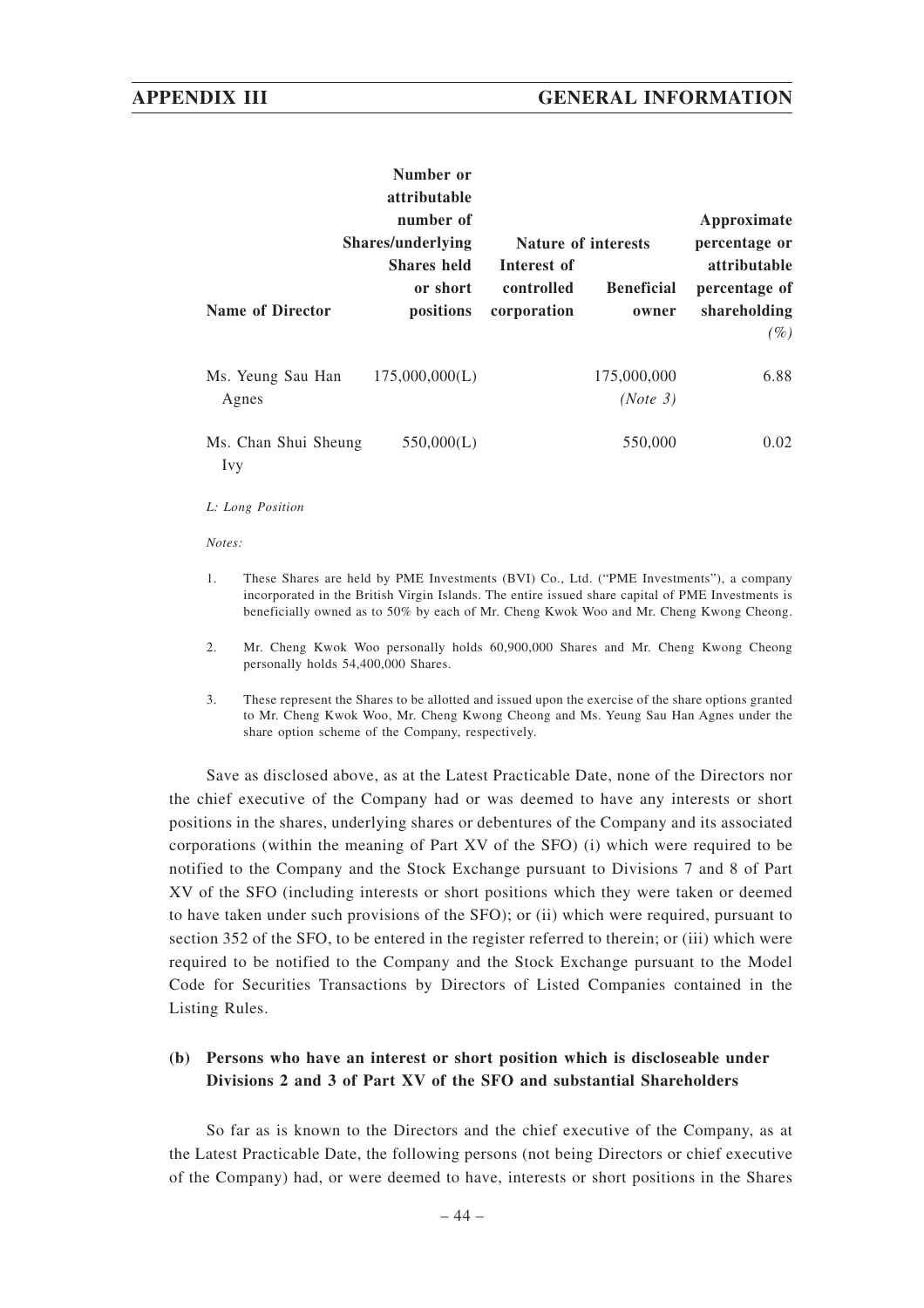|                                    | Number or<br>attributable<br>number of<br><b>Shares/underlying</b> | <b>Nature of interests</b>               |                            | Approximate<br>percentage or                                   |
|------------------------------------|--------------------------------------------------------------------|------------------------------------------|----------------------------|----------------------------------------------------------------|
| <b>Name of Director</b>            | <b>Shares held</b><br>or short<br>positions                        | Interest of<br>controlled<br>corporation | <b>Beneficial</b><br>owner | <i>attributable</i><br>percentage of<br>shareholding<br>$(\%)$ |
| Ms. Yeung Sau Han<br>Agnes         | 175,000,000(L)                                                     |                                          | 175,000,000<br>(Note 3)    | 6.88                                                           |
| Ms. Chan Shui Sheung<br><b>Ivy</b> | 550,000(L)                                                         |                                          | 550,000                    | 0.02                                                           |

*L: Long Position*

*Notes:*

- 1. These Shares are held by PME Investments (BVI) Co., Ltd. ("PME Investments"), a company incorporated in the British Virgin Islands. The entire issued share capital of PME Investments is beneficially owned as to 50% by each of Mr. Cheng Kwok Woo and Mr. Cheng Kwong Cheong.
- 2. Mr. Cheng Kwok Woo personally holds 60,900,000 Shares and Mr. Cheng Kwong Cheong personally holds 54,400,000 Shares.
- 3. These represent the Shares to be allotted and issued upon the exercise of the share options granted to Mr. Cheng Kwok Woo, Mr. Cheng Kwong Cheong and Ms. Yeung Sau Han Agnes under the share option scheme of the Company, respectively.

Save as disclosed above, as at the Latest Practicable Date, none of the Directors nor the chief executive of the Company had or was deemed to have any interests or short positions in the shares, underlying shares or debentures of the Company and its associated corporations (within the meaning of Part XV of the SFO) (i) which were required to be notified to the Company and the Stock Exchange pursuant to Divisions 7 and 8 of Part XV of the SFO (including interests or short positions which they were taken or deemed to have taken under such provisions of the SFO); or (ii) which were required, pursuant to section 352 of the SFO, to be entered in the register referred to therein; or (iii) which were required to be notified to the Company and the Stock Exchange pursuant to the Model Code for Securities Transactions by Directors of Listed Companies contained in the Listing Rules.

# **(b) Persons who have an interest or short position which is discloseable under Divisions 2 and 3 of Part XV of the SFO and substantial Shareholders**

So far as is known to the Directors and the chief executive of the Company, as at the Latest Practicable Date, the following persons (not being Directors or chief executive of the Company) had, or were deemed to have, interests or short positions in the Shares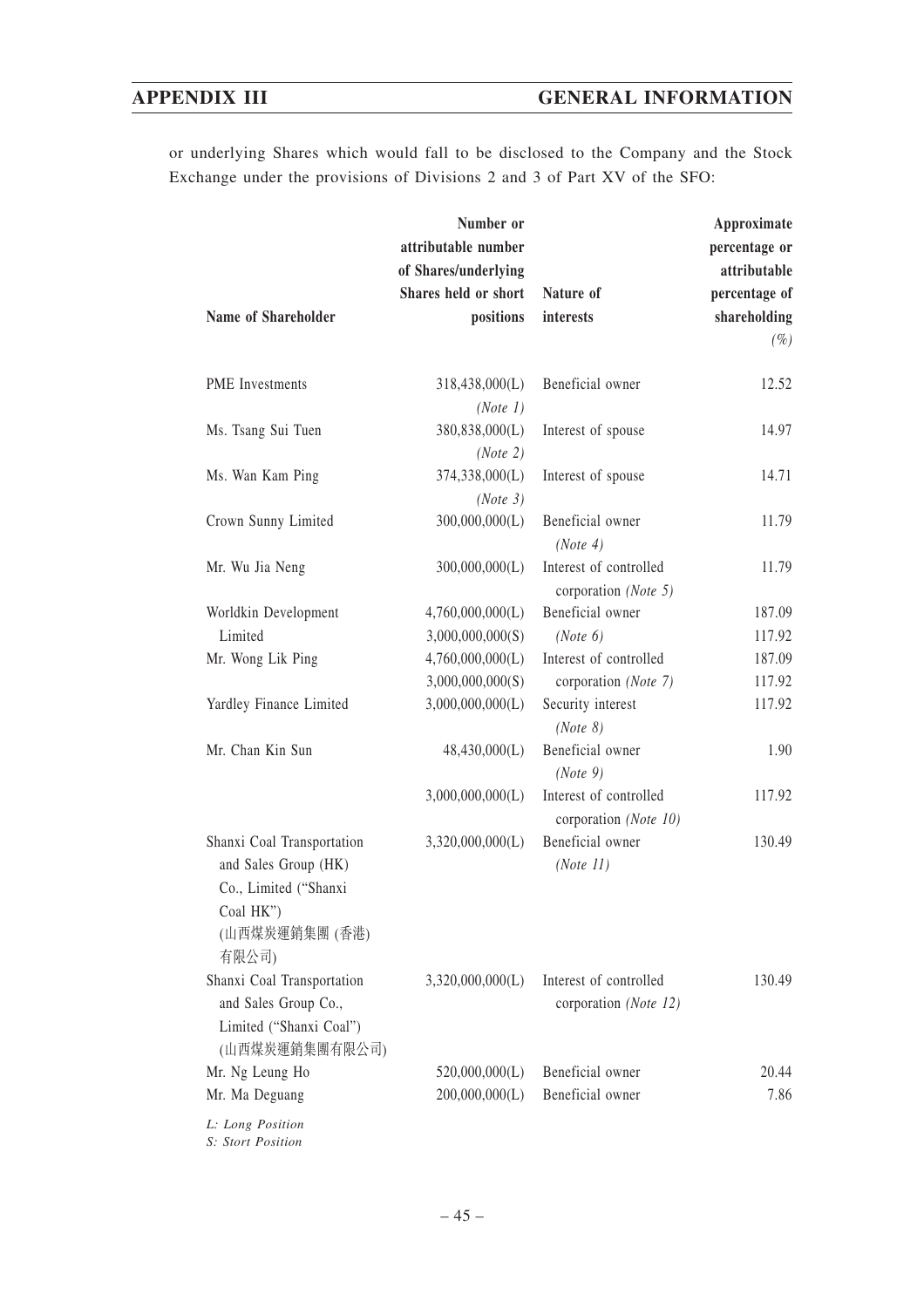or underlying Shares which would fall to be disclosed to the Company and the Stock Exchange under the provisions of Divisions 2 and 3 of Part XV of the SFO:

| Name of Shareholder                                                                                                 | Number or<br>attributable number<br>of Shares/underlying<br>Shares held or short<br>positions | Nature of<br>interests                          | Approximate<br>percentage or<br>attributable<br>percentage of<br>shareholding |
|---------------------------------------------------------------------------------------------------------------------|-----------------------------------------------------------------------------------------------|-------------------------------------------------|-------------------------------------------------------------------------------|
|                                                                                                                     |                                                                                               |                                                 | $(\%)$                                                                        |
| <b>PME</b> Investments                                                                                              | 318,438,000(L)<br>(Note 1)                                                                    | Beneficial owner                                | 12.52                                                                         |
| Ms. Tsang Sui Tuen                                                                                                  | 380,838,000(L)<br>(Note 2)                                                                    | Interest of spouse                              | 14.97                                                                         |
| Ms. Wan Kam Ping                                                                                                    | 374,338,000(L)<br>(Note 3)                                                                    | Interest of spouse                              | 14.71                                                                         |
| Crown Sunny Limited                                                                                                 | 300,000,000(L)                                                                                | Beneficial owner<br>(Note 4)                    | 11.79                                                                         |
| Mr. Wu Jia Neng                                                                                                     | 300,000,000(L)                                                                                | Interest of controlled<br>corporation (Note 5)  | 11.79                                                                         |
| Worldkin Development                                                                                                | 4,760,000,000(L)                                                                              | Beneficial owner                                | 187.09                                                                        |
| Limited                                                                                                             | 3,000,000,000(S)                                                                              | (Note 6)                                        | 117.92                                                                        |
| Mr. Wong Lik Ping                                                                                                   | 4,760,000,000(L)                                                                              | Interest of controlled                          | 187.09                                                                        |
|                                                                                                                     | 3,000,000,000(S)                                                                              | corporation (Note 7)                            | 117.92                                                                        |
| Yardley Finance Limited                                                                                             | 3,000,000,000(L)                                                                              | Security interest<br>(Note 8)                   | 117.92                                                                        |
| Mr. Chan Kin Sun                                                                                                    | 48,430,000(L)                                                                                 | Beneficial owner<br>(Note 9)                    | 1.90                                                                          |
|                                                                                                                     | 3,000,000,000(L)                                                                              | Interest of controlled<br>corporation (Note 10) | 117.92                                                                        |
| Shanxi Coal Transportation<br>and Sales Group (HK)<br>Co., Limited ("Shanxi<br>Coal HK")<br>(山西煤炭運銷集團 (香港)<br>有限公司) | 3,320,000,000(L)                                                                              | Beneficial owner<br>(Note 11)                   | 130.49                                                                        |
| Shanxi Coal Transportation<br>and Sales Group Co.,<br>Limited ("Shanxi Coal")<br>(山西煤炭運銷集團有限公司)                     | 3,320,000,000(L)                                                                              | Interest of controlled<br>corporation (Note 12) | 130.49                                                                        |
| Mr. Ng Leung Ho                                                                                                     | 520,000,000(L)                                                                                | Beneficial owner                                | 20.44                                                                         |
| Mr. Ma Deguang                                                                                                      | 200,000,000(L)                                                                                | Beneficial owner                                | 7.86                                                                          |
| L: Long Position                                                                                                    |                                                                                               |                                                 |                                                                               |

*S: Stort Position*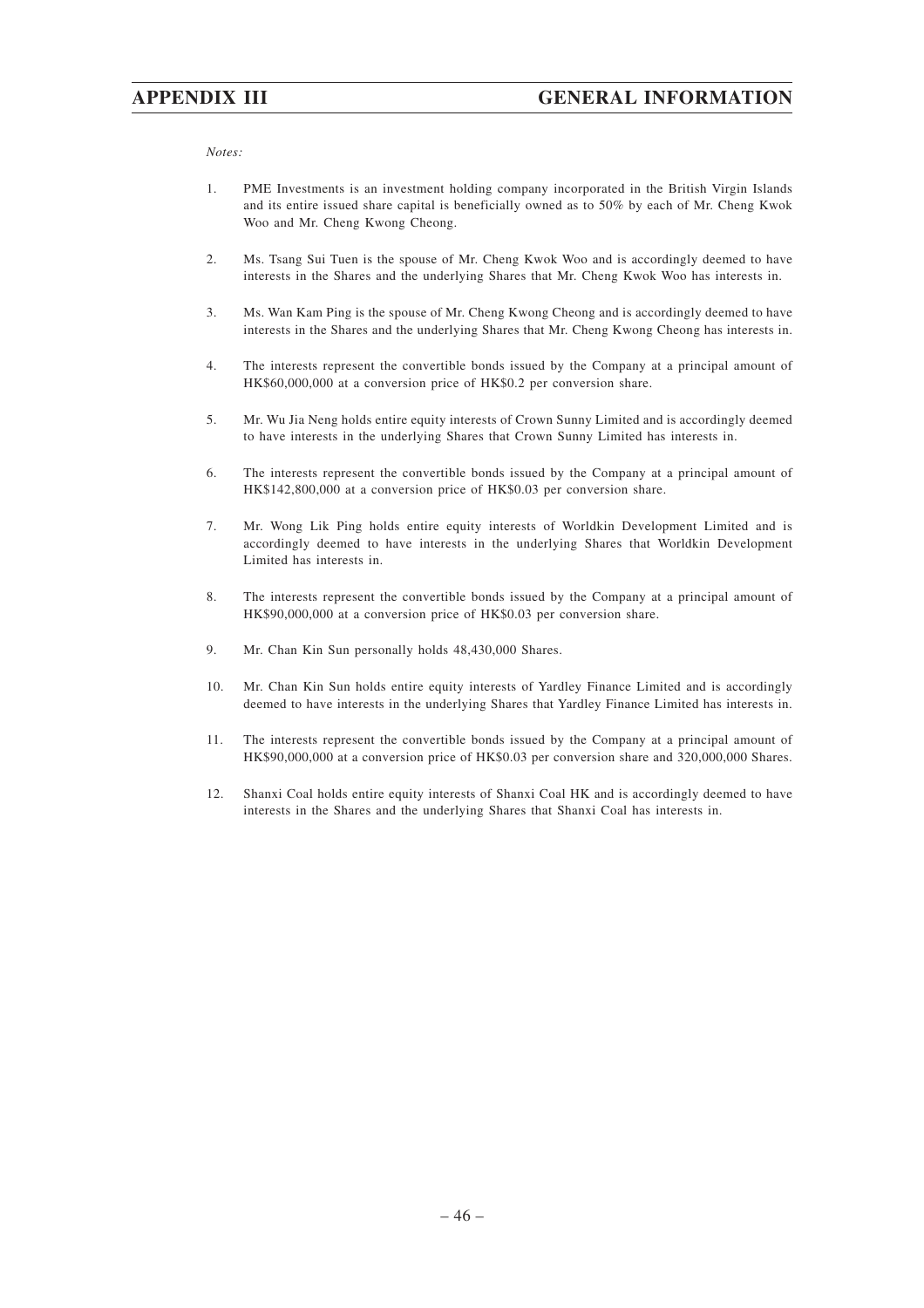#### *Notes:*

- 1. PME Investments is an investment holding company incorporated in the British Virgin Islands and its entire issued share capital is beneficially owned as to 50% by each of Mr. Cheng Kwok Woo and Mr. Cheng Kwong Cheong.
- 2. Ms. Tsang Sui Tuen is the spouse of Mr. Cheng Kwok Woo and is accordingly deemed to have interests in the Shares and the underlying Shares that Mr. Cheng Kwok Woo has interests in.
- 3. Ms. Wan Kam Ping is the spouse of Mr. Cheng Kwong Cheong and is accordingly deemed to have interests in the Shares and the underlying Shares that Mr. Cheng Kwong Cheong has interests in.
- 4. The interests represent the convertible bonds issued by the Company at a principal amount of HK\$60,000,000 at a conversion price of HK\$0.2 per conversion share.
- 5. Mr. Wu Jia Neng holds entire equity interests of Crown Sunny Limited and is accordingly deemed to have interests in the underlying Shares that Crown Sunny Limited has interests in.
- 6. The interests represent the convertible bonds issued by the Company at a principal amount of HK\$142,800,000 at a conversion price of HK\$0.03 per conversion share.
- 7. Mr. Wong Lik Ping holds entire equity interests of Worldkin Development Limited and is accordingly deemed to have interests in the underlying Shares that Worldkin Development Limited has interests in.
- 8. The interests represent the convertible bonds issued by the Company at a principal amount of HK\$90,000,000 at a conversion price of HK\$0.03 per conversion share.
- 9. Mr. Chan Kin Sun personally holds 48,430,000 Shares.
- 10. Mr. Chan Kin Sun holds entire equity interests of Yardley Finance Limited and is accordingly deemed to have interests in the underlying Shares that Yardley Finance Limited has interests in.
- 11. The interests represent the convertible bonds issued by the Company at a principal amount of HK\$90,000,000 at a conversion price of HK\$0.03 per conversion share and 320,000,000 Shares.
- 12. Shanxi Coal holds entire equity interests of Shanxi Coal HK and is accordingly deemed to have interests in the Shares and the underlying Shares that Shanxi Coal has interests in.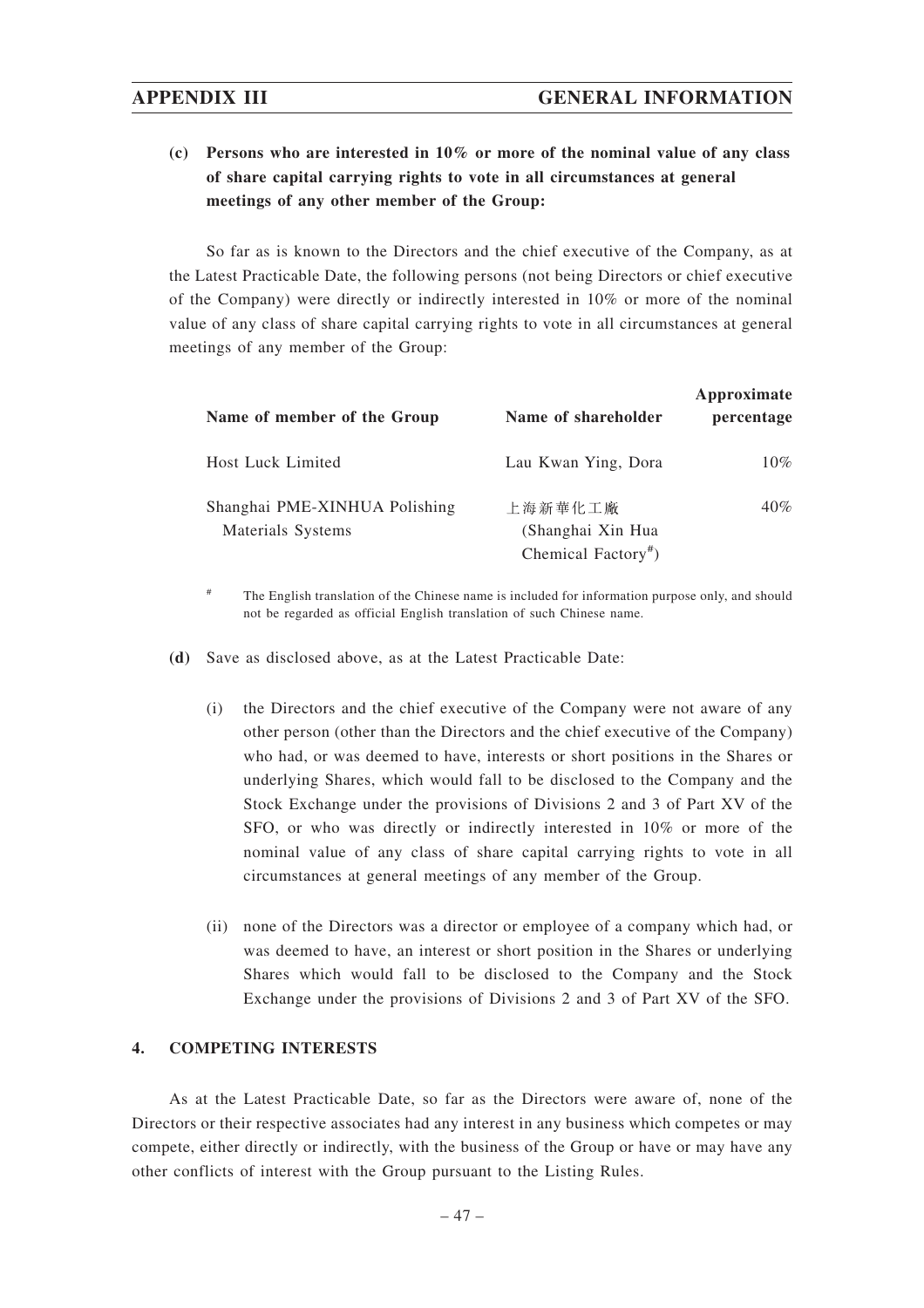**(c) Persons who are interested in 10% or more of the nominal value of any class of share capital carrying rights to vote in all circumstances at general meetings of any other member of the Group:**

So far as is known to the Directors and the chief executive of the Company, as at the Latest Practicable Date, the following persons (not being Directors or chief executive of the Company) were directly or indirectly interested in 10% or more of the nominal value of any class of share capital carrying rights to vote in all circumstances at general meetings of any member of the Group:

| Name of member of the Group                        | Name of shareholder                                             | Approximate<br>percentage |
|----------------------------------------------------|-----------------------------------------------------------------|---------------------------|
| <b>Host Luck Limited</b>                           | Lau Kwan Ying, Dora                                             | $10\%$                    |
| Shanghai PME-XINHUA Polishing<br>Materials Systems | 上海新華化工廠<br>(Shanghai Xin Hua<br>Chemical Factory <sup>#</sup> ) | 40%                       |

# The English translation of the Chinese name is included for information purpose only, and should not be regarded as official English translation of such Chinese name.

- **(d)** Save as disclosed above, as at the Latest Practicable Date:
	- (i) the Directors and the chief executive of the Company were not aware of any other person (other than the Directors and the chief executive of the Company) who had, or was deemed to have, interests or short positions in the Shares or underlying Shares, which would fall to be disclosed to the Company and the Stock Exchange under the provisions of Divisions 2 and 3 of Part XV of the SFO, or who was directly or indirectly interested in 10% or more of the nominal value of any class of share capital carrying rights to vote in all circumstances at general meetings of any member of the Group.
	- (ii) none of the Directors was a director or employee of a company which had, or was deemed to have, an interest or short position in the Shares or underlying Shares which would fall to be disclosed to the Company and the Stock Exchange under the provisions of Divisions 2 and 3 of Part XV of the SFO.

## **4. COMPETING INTERESTS**

As at the Latest Practicable Date, so far as the Directors were aware of, none of the Directors or their respective associates had any interest in any business which competes or may compete, either directly or indirectly, with the business of the Group or have or may have any other conflicts of interest with the Group pursuant to the Listing Rules.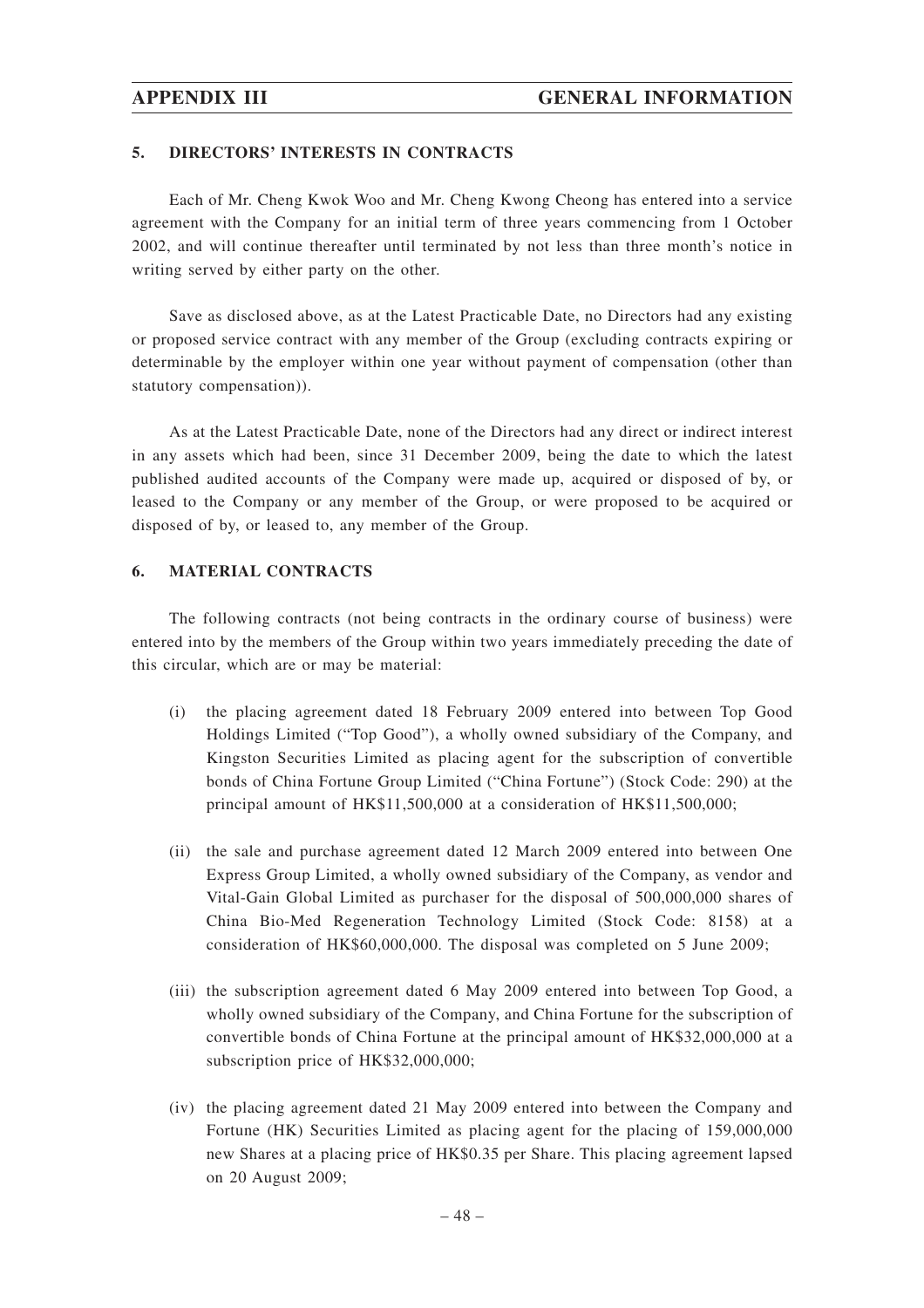#### **5. DIRECTORS' INTERESTS IN CONTRACTS**

Each of Mr. Cheng Kwok Woo and Mr. Cheng Kwong Cheong has entered into a service agreement with the Company for an initial term of three years commencing from 1 October 2002, and will continue thereafter until terminated by not less than three month's notice in writing served by either party on the other.

Save as disclosed above, as at the Latest Practicable Date, no Directors had any existing or proposed service contract with any member of the Group (excluding contracts expiring or determinable by the employer within one year without payment of compensation (other than statutory compensation)).

As at the Latest Practicable Date, none of the Directors had any direct or indirect interest in any assets which had been, since 31 December 2009, being the date to which the latest published audited accounts of the Company were made up, acquired or disposed of by, or leased to the Company or any member of the Group, or were proposed to be acquired or disposed of by, or leased to, any member of the Group.

#### **6. MATERIAL CONTRACTS**

The following contracts (not being contracts in the ordinary course of business) were entered into by the members of the Group within two years immediately preceding the date of this circular, which are or may be material:

- (i) the placing agreement dated 18 February 2009 entered into between Top Good Holdings Limited ("Top Good"), a wholly owned subsidiary of the Company, and Kingston Securities Limited as placing agent for the subscription of convertible bonds of China Fortune Group Limited ("China Fortune") (Stock Code: 290) at the principal amount of HK\$11,500,000 at a consideration of HK\$11,500,000;
- (ii) the sale and purchase agreement dated 12 March 2009 entered into between One Express Group Limited, a wholly owned subsidiary of the Company, as vendor and Vital-Gain Global Limited as purchaser for the disposal of 500,000,000 shares of China Bio-Med Regeneration Technology Limited (Stock Code: 8158) at a consideration of HK\$60,000,000. The disposal was completed on 5 June 2009;
- (iii) the subscription agreement dated 6 May 2009 entered into between Top Good, a wholly owned subsidiary of the Company, and China Fortune for the subscription of convertible bonds of China Fortune at the principal amount of HK\$32,000,000 at a subscription price of HK\$32,000,000;
- (iv) the placing agreement dated 21 May 2009 entered into between the Company and Fortune (HK) Securities Limited as placing agent for the placing of 159,000,000 new Shares at a placing price of HK\$0.35 per Share. This placing agreement lapsed on 20 August 2009;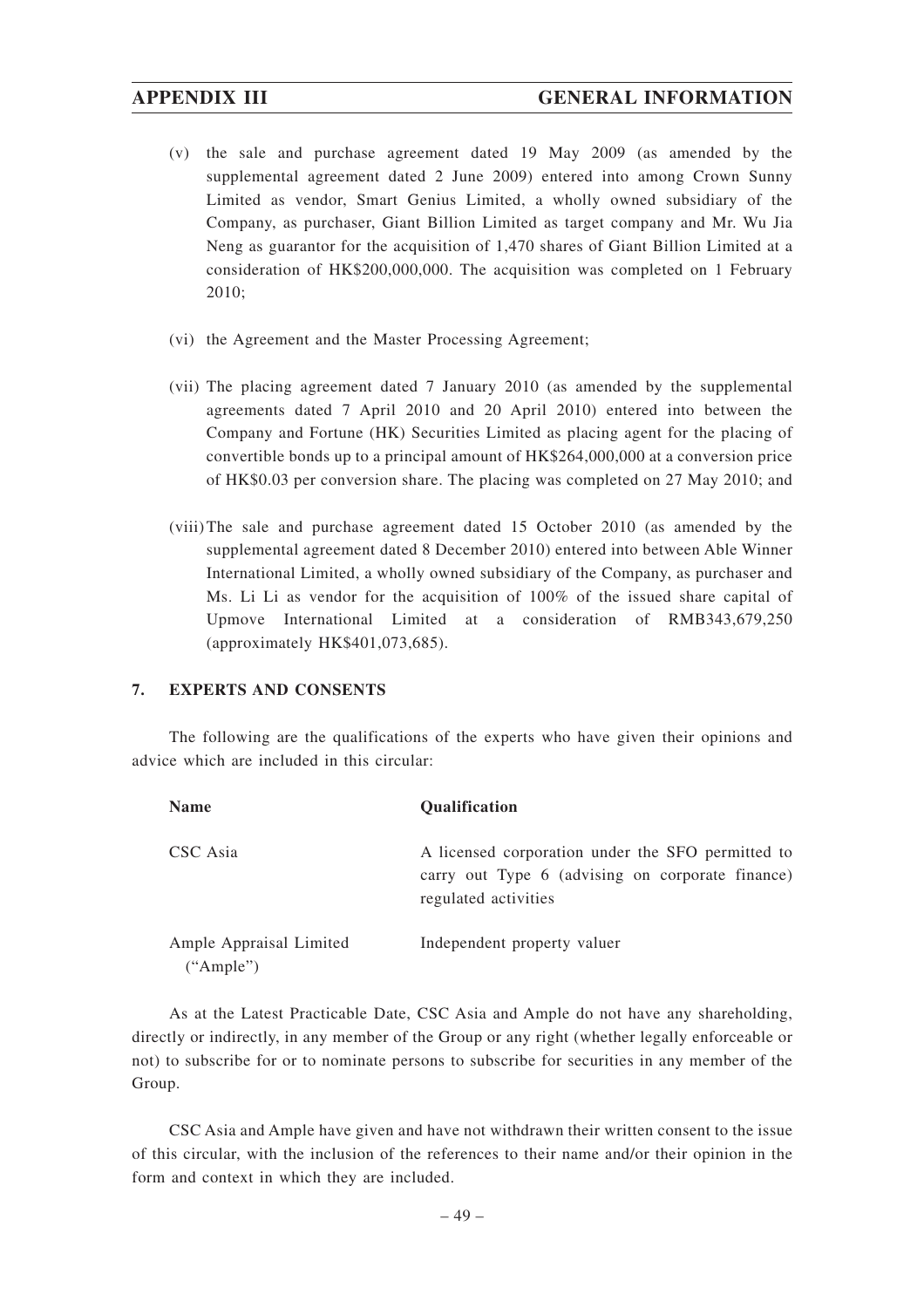- (v) the sale and purchase agreement dated 19 May 2009 (as amended by the supplemental agreement dated 2 June 2009) entered into among Crown Sunny Limited as vendor, Smart Genius Limited, a wholly owned subsidiary of the Company, as purchaser, Giant Billion Limited as target company and Mr. Wu Jia Neng as guarantor for the acquisition of 1,470 shares of Giant Billion Limited at a consideration of HK\$200,000,000. The acquisition was completed on 1 February 2010;
- (vi) the Agreement and the Master Processing Agreement;
- (vii) The placing agreement dated 7 January 2010 (as amended by the supplemental agreements dated 7 April 2010 and 20 April 2010) entered into between the Company and Fortune (HK) Securities Limited as placing agent for the placing of convertible bonds up to a principal amount of HK\$264,000,000 at a conversion price of HK\$0.03 per conversion share. The placing was completed on 27 May 2010; and
- (viii) The sale and purchase agreement dated 15 October 2010 (as amended by the supplemental agreement dated 8 December 2010) entered into between Able Winner International Limited, a wholly owned subsidiary of the Company, as purchaser and Ms. Li Li as vendor for the acquisition of 100% of the issued share capital of Upmove International Limited at a consideration of RMB343,679,250 (approximately HK\$401,073,685).

#### **7. EXPERTS AND CONSENTS**

The following are the qualifications of the experts who have given their opinions and advice which are included in this circular:

| <b>Name</b>                          | <b>Qualification</b>                                                                                                          |
|--------------------------------------|-------------------------------------------------------------------------------------------------------------------------------|
| CSC Asia                             | A licensed corporation under the SFO permitted to<br>carry out Type 6 (advising on corporate finance)<br>regulated activities |
| Ample Appraisal Limited<br>("Ample") | Independent property valuer                                                                                                   |

As at the Latest Practicable Date, CSC Asia and Ample do not have any shareholding, directly or indirectly, in any member of the Group or any right (whether legally enforceable or not) to subscribe for or to nominate persons to subscribe for securities in any member of the Group.

CSC Asia and Ample have given and have not withdrawn their written consent to the issue of this circular, with the inclusion of the references to their name and/or their opinion in the form and context in which they are included.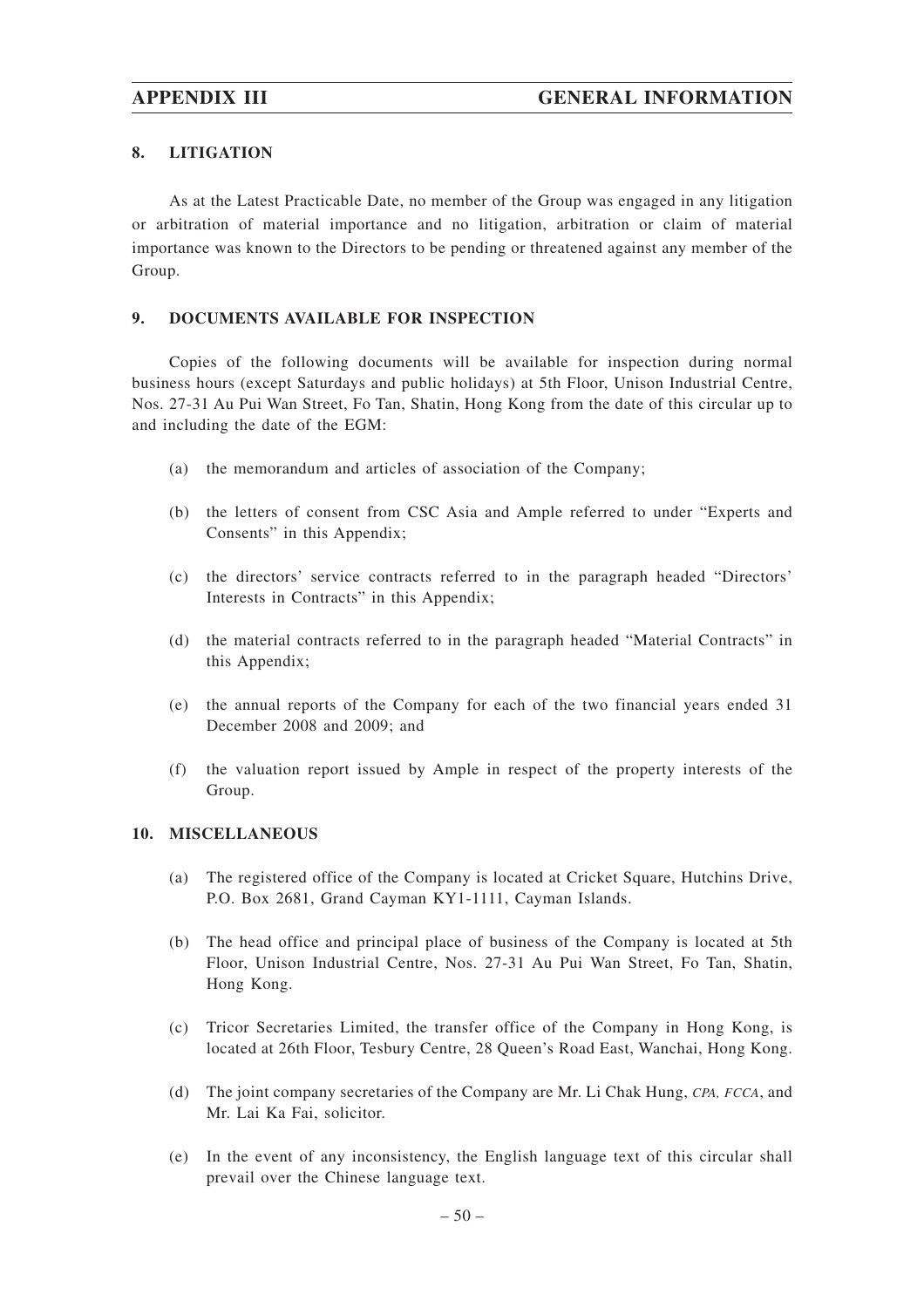# **8. LITIGATION**

As at the Latest Practicable Date, no member of the Group was engaged in any litigation or arbitration of material importance and no litigation, arbitration or claim of material importance was known to the Directors to be pending or threatened against any member of the Group.

## **9. DOCUMENTS AVAILABLE FOR INSPECTION**

Copies of the following documents will be available for inspection during normal business hours (except Saturdays and public holidays) at 5th Floor, Unison Industrial Centre, Nos. 27-31 Au Pui Wan Street, Fo Tan, Shatin, Hong Kong from the date of this circular up to and including the date of the EGM:

- (a) the memorandum and articles of association of the Company;
- (b) the letters of consent from CSC Asia and Ample referred to under "Experts and Consents" in this Appendix;
- (c) the directors' service contracts referred to in the paragraph headed "Directors' Interests in Contracts" in this Appendix;
- (d) the material contracts referred to in the paragraph headed "Material Contracts" in this Appendix;
- (e) the annual reports of the Company for each of the two financial years ended 31 December 2008 and 2009; and
- (f) the valuation report issued by Ample in respect of the property interests of the Group.

#### **10. MISCELLANEOUS**

- (a) The registered office of the Company is located at Cricket Square, Hutchins Drive, P.O. Box 2681, Grand Cayman KY1-1111, Cayman Islands.
- (b) The head office and principal place of business of the Company is located at 5th Floor, Unison Industrial Centre, Nos. 27-31 Au Pui Wan Street, Fo Tan, Shatin, Hong Kong.
- (c) Tricor Secretaries Limited, the transfer office of the Company in Hong Kong, is located at 26th Floor, Tesbury Centre, 28 Queen's Road East, Wanchai, Hong Kong.
- (d) The joint company secretaries of the Company are Mr. Li Chak Hung, *CPA, FCCA*, and Mr. Lai Ka Fai, solicitor.
- (e) In the event of any inconsistency, the English language text of this circular shall prevail over the Chinese language text.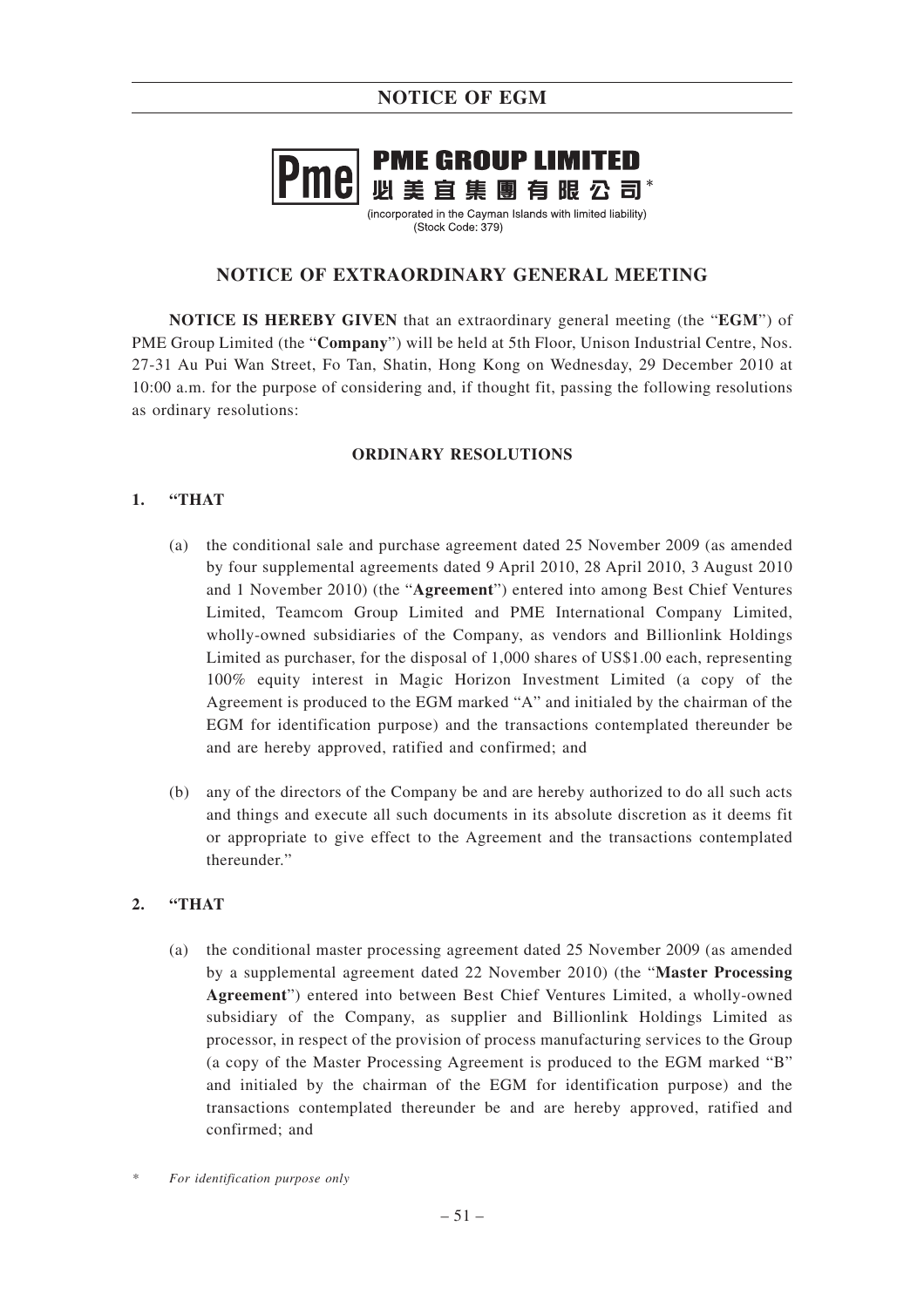# **NOTICE OF EGM**

# **PME GROUP LIMITED** 必美宜集團有眼公司\*

(incorporated in the Cayman Islands with limited liability)  $(Stock Code: 379)$ 

# **NOTICE OF EXTRAORDINARY GENERAL MEETING**

**NOTICE IS HEREBY GIVEN** that an extraordinary general meeting (the "**EGM**") of PME Group Limited (the "**Company**") will be held at 5th Floor, Unison Industrial Centre, Nos. 27-31 Au Pui Wan Street, Fo Tan, Shatin, Hong Kong on Wednesday, 29 December 2010 at 10:00 a.m. for the purpose of considering and, if thought fit, passing the following resolutions as ordinary resolutions:

## **ORDINARY RESOLUTIONS**

# **1. "THAT**

- (a) the conditional sale and purchase agreement dated 25 November 2009 (as amended by four supplemental agreements dated 9 April 2010, 28 April 2010, 3 August 2010 and 1 November 2010) (the "**Agreement**") entered into among Best Chief Ventures Limited, Teamcom Group Limited and PME International Company Limited, wholly-owned subsidiaries of the Company, as vendors and Billionlink Holdings Limited as purchaser, for the disposal of 1,000 shares of US\$1.00 each, representing 100% equity interest in Magic Horizon Investment Limited (a copy of the Agreement is produced to the EGM marked "A" and initialed by the chairman of the EGM for identification purpose) and the transactions contemplated thereunder be and are hereby approved, ratified and confirmed; and
- (b) any of the directors of the Company be and are hereby authorized to do all such acts and things and execute all such documents in its absolute discretion as it deems fit or appropriate to give effect to the Agreement and the transactions contemplated thereunder."

# **2. "THAT**

(a) the conditional master processing agreement dated 25 November 2009 (as amended by a supplemental agreement dated 22 November 2010) (the "**Master Processing Agreement**") entered into between Best Chief Ventures Limited, a wholly-owned subsidiary of the Company, as supplier and Billionlink Holdings Limited as processor, in respect of the provision of process manufacturing services to the Group (a copy of the Master Processing Agreement is produced to the EGM marked "B" and initialed by the chairman of the EGM for identification purpose) and the transactions contemplated thereunder be and are hereby approved, ratified and confirmed; and

*<sup>\*</sup> For identification purpose only*